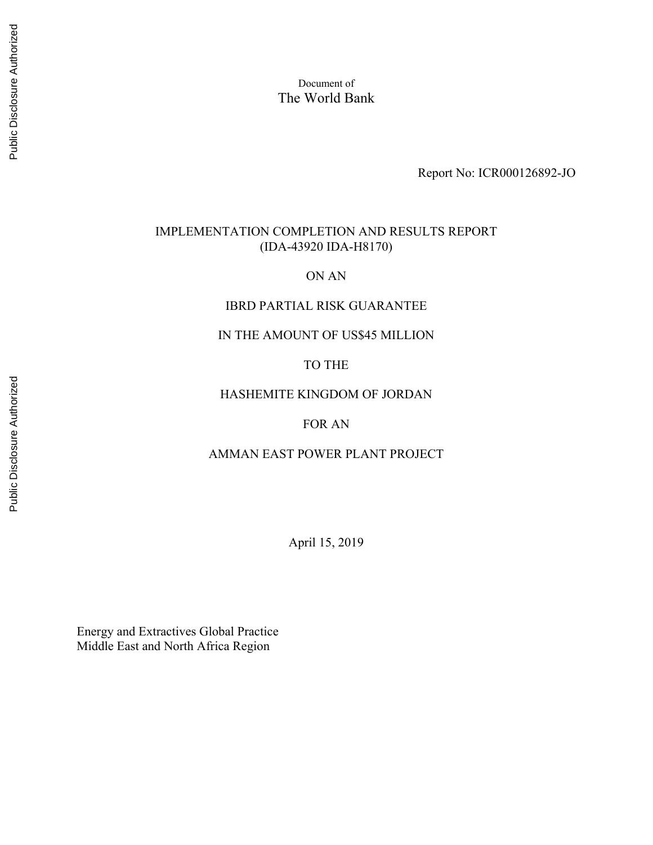Document of The World Bank

Report No: ICR000126892-JO

#### IMPLEMENTATION COMPLETION AND RESULTS REPORT (IDA-43920 IDA-H8170)

#### ON AN

#### IBRD PARTIAL RISK GUARANTEE

#### IN THE AMOUNT OF US\$45 MILLION

#### TO THE

#### HASHEMITE KINGDOM OF JORDAN

#### FOR AN

#### AMMAN EAST POWER PLANT PROJECT

April 15, 2019

Energy and Extractives Global Practice Middle East and North Africa Region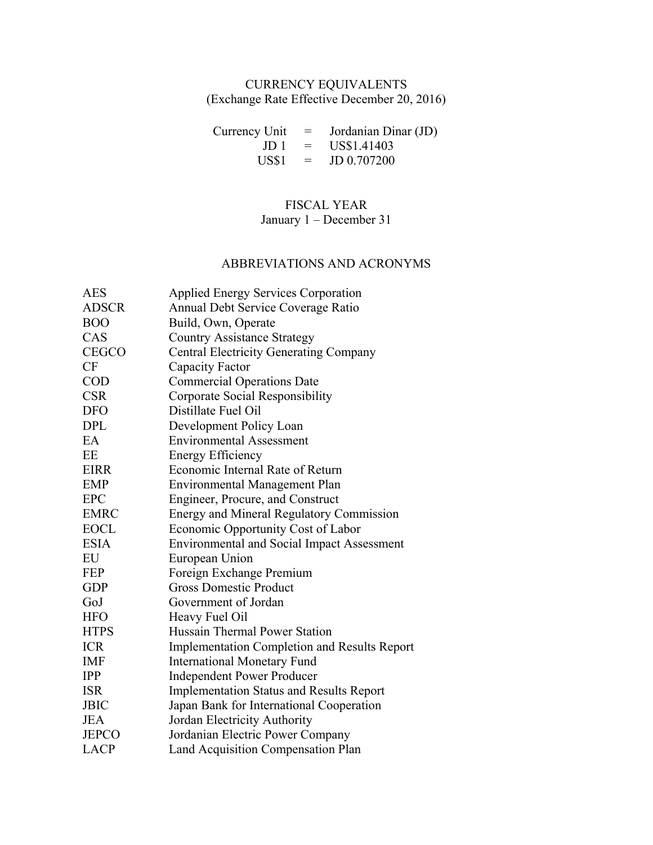#### CURRENCY EQUIVALENTS (Exchange Rate Effective December 20, 2016)

| Currency Unit | $\equiv$          | Jordanian Dinar (JD) |
|---------------|-------------------|----------------------|
| JD 1          | $\equiv$ $\equiv$ | US\$1.41403          |
| US\$1         | $\equiv$          | JD 0.707200          |

# FISCAL YEAR

# January 1 – December 31

# ABBREVIATIONS AND ACRONYMS

| <b>AES</b>   | <b>Applied Energy Services Corporation</b>          |
|--------------|-----------------------------------------------------|
| <b>ADSCR</b> | Annual Debt Service Coverage Ratio                  |
| <b>BOO</b>   | Build, Own, Operate                                 |
| CAS          | <b>Country Assistance Strategy</b>                  |
| CEGCO        | <b>Central Electricity Generating Company</b>       |
| CF           | Capacity Factor                                     |
| <b>COD</b>   | <b>Commercial Operations Date</b>                   |
| <b>CSR</b>   | Corporate Social Responsibility                     |
| <b>DFO</b>   | Distillate Fuel Oil                                 |
| <b>DPL</b>   | Development Policy Loan                             |
| EA           | <b>Environmental Assessment</b>                     |
| EE           | <b>Energy Efficiency</b>                            |
| <b>EIRR</b>  | Economic Internal Rate of Return                    |
| EMP          | Environmental Management Plan                       |
| <b>EPC</b>   | Engineer, Procure, and Construct                    |
| <b>EMRC</b>  | <b>Energy and Mineral Regulatory Commission</b>     |
| <b>EOCL</b>  | Economic Opportunity Cost of Labor                  |
| <b>ESIA</b>  | <b>Environmental and Social Impact Assessment</b>   |
| EU           | European Union                                      |
| <b>FEP</b>   | Foreign Exchange Premium                            |
| <b>GDP</b>   | <b>Gross Domestic Product</b>                       |
| GoJ          | Government of Jordan                                |
| <b>HFO</b>   | Heavy Fuel Oil                                      |
| <b>HTPS</b>  | Hussain Thermal Power Station                       |
| <b>ICR</b>   | <b>Implementation Completion and Results Report</b> |
| <b>IMF</b>   | <b>International Monetary Fund</b>                  |
| <b>IPP</b>   | <b>Independent Power Producer</b>                   |
| <b>ISR</b>   | <b>Implementation Status and Results Report</b>     |
| <b>JBIC</b>  | Japan Bank for International Cooperation            |
| <b>JEA</b>   | Jordan Electricity Authority                        |
| <b>JEPCO</b> | Jordanian Electric Power Company                    |
| <b>LACP</b>  | Land Acquisition Compensation Plan                  |
|              |                                                     |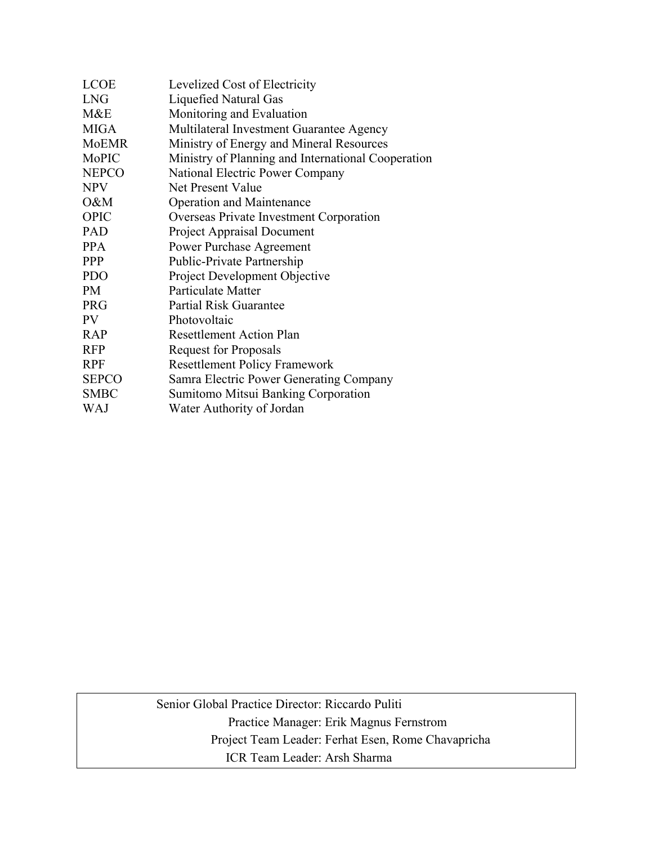| <b>LCOE</b>  | Levelized Cost of Electricity                      |
|--------------|----------------------------------------------------|
| <b>LNG</b>   | Liquefied Natural Gas                              |
| M&E          | Monitoring and Evaluation                          |
| <b>MIGA</b>  | Multilateral Investment Guarantee Agency           |
| <b>MoEMR</b> | Ministry of Energy and Mineral Resources           |
| MoPIC        | Ministry of Planning and International Cooperation |
| <b>NEPCO</b> | National Electric Power Company                    |
| <b>NPV</b>   | Net Present Value                                  |
| O&M          | <b>Operation and Maintenance</b>                   |
| <b>OPIC</b>  | Overseas Private Investment Corporation            |
| PAD          | <b>Project Appraisal Document</b>                  |
| <b>PPA</b>   | <b>Power Purchase Agreement</b>                    |
| <b>PPP</b>   | Public-Private Partnership                         |
| <b>PDO</b>   | Project Development Objective                      |
| <b>PM</b>    | <b>Particulate Matter</b>                          |
| <b>PRG</b>   | Partial Risk Guarantee                             |
| PV           | Photovoltaic                                       |
| <b>RAP</b>   | <b>Resettlement Action Plan</b>                    |
| <b>RFP</b>   | <b>Request for Proposals</b>                       |
| <b>RPF</b>   | <b>Resettlement Policy Framework</b>               |
| <b>SEPCO</b> | Samra Electric Power Generating Company            |
| <b>SMBC</b>  | Sumitomo Mitsui Banking Corporation                |
| <b>WAJ</b>   | Water Authority of Jordan                          |
|              |                                                    |

Senior Global Practice Director: Riccardo Puliti Practice Manager: Erik Magnus Fernstrom Project Team Leader: Ferhat Esen, Rome Chavapricha ICR Team Leader: Arsh Sharma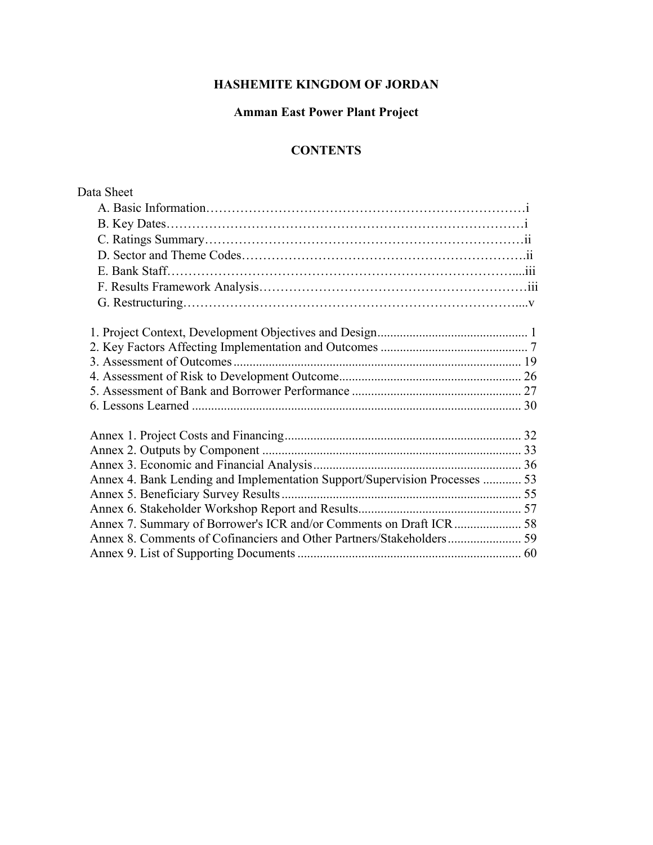# **HASHEMITE KINGDOM OF JORDAN**

# **Amman East Power Plant Project**

### **CONTENTS**

| Data Sheet                                                                 |  |
|----------------------------------------------------------------------------|--|
|                                                                            |  |
|                                                                            |  |
|                                                                            |  |
|                                                                            |  |
|                                                                            |  |
|                                                                            |  |
|                                                                            |  |
|                                                                            |  |
|                                                                            |  |
|                                                                            |  |
|                                                                            |  |
|                                                                            |  |
|                                                                            |  |
|                                                                            |  |
|                                                                            |  |
|                                                                            |  |
|                                                                            |  |
|                                                                            |  |
| Annex 4. Bank Lending and Implementation Support/Supervision Processes  53 |  |
|                                                                            |  |
|                                                                            |  |
| Annex 7. Summary of Borrower's ICR and/or Comments on Draft ICR 58         |  |
|                                                                            |  |
|                                                                            |  |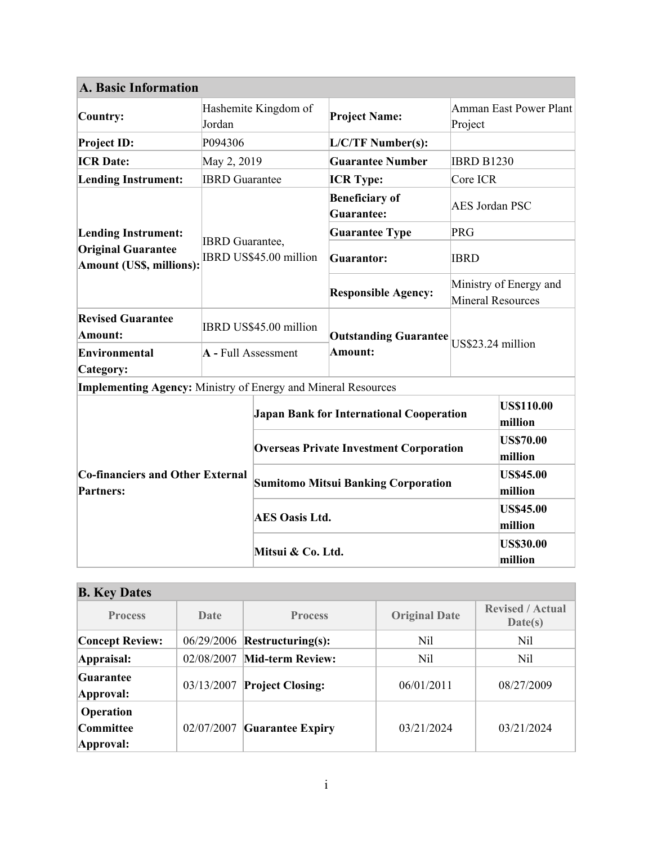| A. Basic Information                                                 |                                |                                                |                                                 |                          |                               |
|----------------------------------------------------------------------|--------------------------------|------------------------------------------------|-------------------------------------------------|--------------------------|-------------------------------|
| Country:                                                             | Hashemite Kingdom of<br>Jordan |                                                | <b>Project Name:</b>                            | Project                  | <b>Amman East Power Plant</b> |
| <b>Project ID:</b>                                                   | P094306                        |                                                | L/C/TF Number(s):                               |                          |                               |
| <b>ICR</b> Date:                                                     | May 2, 2019                    |                                                | <b>Guarantee Number</b>                         | <b>IBRD B1230</b>        |                               |
| <b>Lending Instrument:</b>                                           | <b>IBRD</b> Guarantee          |                                                | <b>ICR Type:</b>                                | Core ICR                 |                               |
|                                                                      |                                |                                                | <b>Beneficiary of</b><br>Guarantee:             | <b>AES Jordan PSC</b>    |                               |
| <b>Lending Instrument:</b>                                           |                                |                                                | <b>Guarantee Type</b>                           | PRG                      |                               |
| <b>Original Guarantee</b><br>Amount (US\$, millions):                | <b>IBRD</b> Guarantee,         | IBRD US\$45.00 million                         | <b>Guarantor:</b>                               | <b>IBRD</b>              |                               |
|                                                                      |                                |                                                | <b>Responsible Agency:</b>                      | <b>Mineral Resources</b> | Ministry of Energy and        |
| <b>Revised Guarantee</b><br>Amount:                                  |                                | IBRD US\$45.00 million                         | <b>Outstanding Guarantee</b>                    |                          |                               |
| Environmental<br>Category:                                           | $\mathbf{A}$ - Full Assessment |                                                | Amount:                                         | US\$23.24 million        |                               |
| <b>Implementing Agency:</b> Ministry of Energy and Mineral Resources |                                |                                                |                                                 |                          |                               |
|                                                                      |                                |                                                | <b>Japan Bank for International Cooperation</b> |                          | <b>US\$110.00</b><br>million  |
| <b>Co-financiers and Other External</b><br><b>Partners:</b>          |                                | <b>Overseas Private Investment Corporation</b> |                                                 |                          | <b>US\$70.00</b><br>million   |
|                                                                      |                                | <b>Sumitomo Mitsui Banking Corporation</b>     |                                                 |                          | <b>US\$45.00</b><br>million   |
|                                                                      |                                | <b>AES Oasis Ltd.</b>                          |                                                 |                          | <b>US\$45.00</b><br>million   |
|                                                                      |                                | Mitsui & Co. Ltd.                              |                                                 |                          | <b>US\$30.00</b><br>million   |

# **B. Key Dates**

| <b>Process</b>                      | Date       | <b>Process</b>                            | <b>Original Date</b> | <b>Revised / Actual</b><br>Date(s) |
|-------------------------------------|------------|-------------------------------------------|----------------------|------------------------------------|
| <b>Concept Review:</b>              | 06/29/2006 | $\left  \text{Restructuring}(s): \right $ | Nil                  | N <sub>il</sub>                    |
| Appraisal:                          | 02/08/2007 | Mid-term Review:                          | Nil                  | Nil                                |
| Guarantee<br>Approval:              | 03/13/2007 | <b>Project Closing:</b>                   | 06/01/2011           | 08/27/2009                         |
| Operation<br>Committee<br>Approval: | 02/07/2007 | <b>Guarantee Expiry</b>                   | 03/21/2024           | 03/21/2024                         |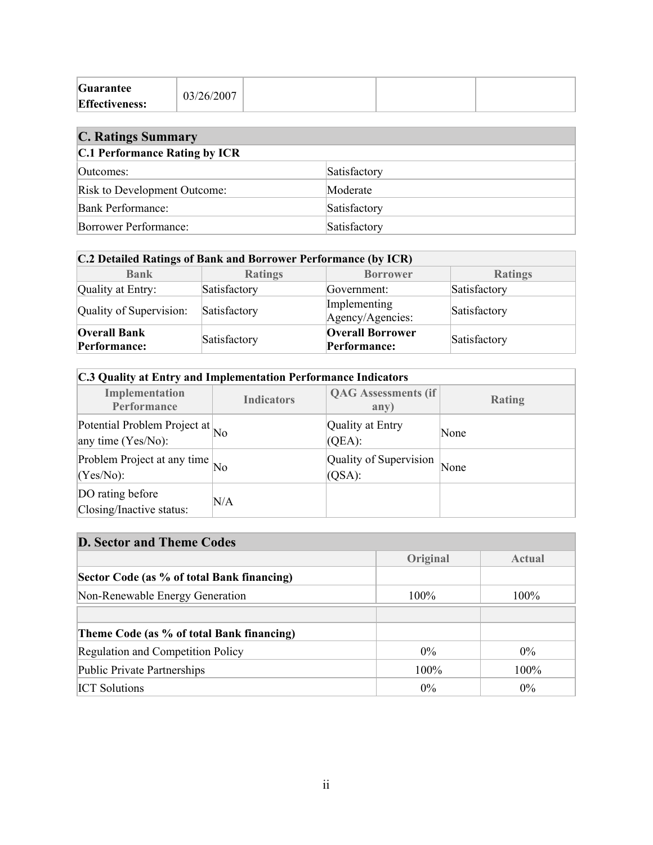|  | Guarantee<br><b>Effectiveness:</b> | 03/26/2007 |  |  |  |
|--|------------------------------------|------------|--|--|--|
|--|------------------------------------|------------|--|--|--|

| <b>C. Ratings Summary</b>            |              |  |
|--------------------------------------|--------------|--|
| <b>C.1 Performance Rating by ICR</b> |              |  |
| Outcomes:                            | Satisfactory |  |
| Risk to Development Outcome:         | Moderate     |  |
| <b>Bank Performance:</b>             | Satisfactory |  |
| <b>Borrower Performance:</b>         | Satisfactory |  |

| C.2 Detailed Ratings of Bank and Borrower Performance (by ICR) |                |                                         |                |  |
|----------------------------------------------------------------|----------------|-----------------------------------------|----------------|--|
| <b>Bank</b>                                                    | <b>Ratings</b> | <b>Borrower</b>                         | <b>Ratings</b> |  |
| Quality at Entry:                                              | Satisfactory   | Government:                             | Satisfactory   |  |
| Quality of Supervision:                                        | Satisfactory   | Implementing<br>Agency/Agencies:        | Satisfactory   |  |
| <b>Overall Bank</b><br>Performance:                            | Satisfactory   | <b>Overall Borrower</b><br>Performance: | Satisfactory   |  |

| C.3 Quality at Entry and Implementation Performance Indicators |                   |                                    |        |  |
|----------------------------------------------------------------|-------------------|------------------------------------|--------|--|
| Implementation<br>Performance                                  | <b>Indicators</b> | <b>QAG</b> Assessments (if<br>any) | Rating |  |
| Potential Problem Project at No<br>any time (Yes/No):          |                   | Quality at Entry<br>$(QEA)$ :      | None   |  |
| Problem Project at any time $\vert$ No<br>$(Yes/No)$ :         |                   | Quality of Supervision<br>(QSA):   | None   |  |
| DO rating before<br>Closing/Inactive status:                   | N/A               |                                    |        |  |

| <b>D. Sector and Theme Codes</b>           |          |        |
|--------------------------------------------|----------|--------|
|                                            | Original | Actual |
| Sector Code (as % of total Bank financing) |          |        |
| Non-Renewable Energy Generation            | 100%     | 100%   |
|                                            |          |        |
| Theme Code (as % of total Bank financing)  |          |        |
| Regulation and Competition Policy          | $0\%$    | $0\%$  |
| Public Private Partnerships                | $100\%$  | 100%   |
| <b>ICT</b> Solutions                       | $0\%$    | $0\%$  |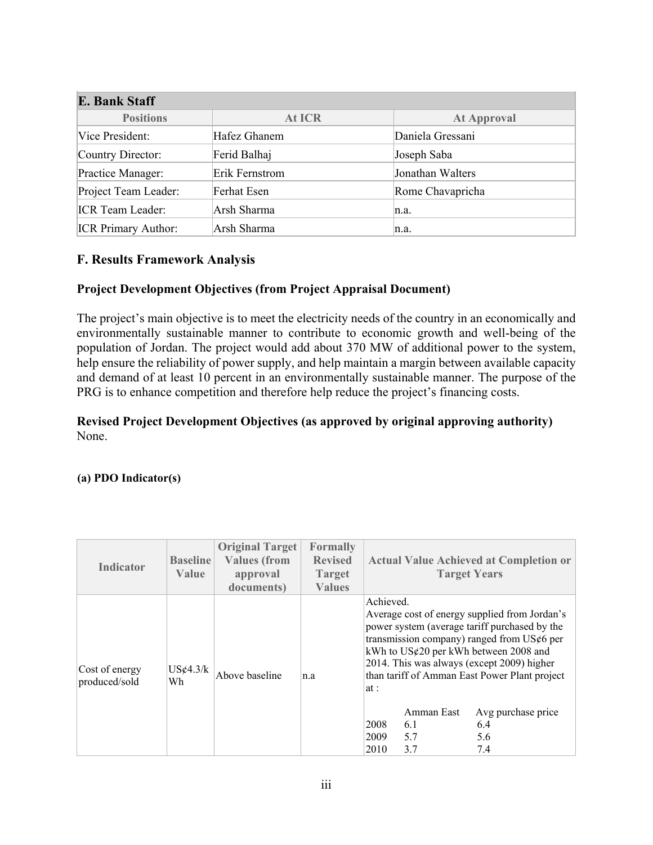| E. Bank Staff              |                |                    |
|----------------------------|----------------|--------------------|
| <b>Positions</b>           | At ICR         | <b>At Approval</b> |
| Vice President:            | Hafez Ghanem   | Daniela Gressani   |
| Country Director:          | Ferid Balhaj   | Joseph Saba        |
| Practice Manager:          | Erik Fernstrom | Jonathan Walters   |
| Project Team Leader:       | Ferhat Esen    | Rome Chavapricha   |
| <b>ICR</b> Team Leader:    | Arsh Sharma    | n.a.               |
| <b>ICR Primary Author:</b> | Arsh Sharma    | n.a.               |

#### **F. Results Framework Analysis**

#### **Project Development Objectives (from Project Appraisal Document)**

The project's main objective is to meet the electricity needs of the country in an economically and environmentally sustainable manner to contribute to economic growth and well-being of the population of Jordan. The project would add about 370 MW of additional power to the system, help ensure the reliability of power supply, and help maintain a margin between available capacity and demand of at least 10 percent in an environmentally sustainable manner. The purpose of the PRG is to enhance competition and therefore help reduce the project's financing costs.

#### **Revised Project Development Objectives (as approved by original approving authority)** None.

#### **(a) PDO Indicator(s)**

| <b>Indicator</b>                | <b>Baseline</b><br>Value   | <b>Original Target</b><br><b>Values</b> (from<br>approval<br>documents) | <b>Formally</b><br><b>Revised</b><br><b>Target</b><br><b>Values</b> |                                          |                                 | <b>Actual Value Achieved at Completion or</b><br><b>Target Years</b>                                                                                                                                                                                                                                                                   |
|---------------------------------|----------------------------|-------------------------------------------------------------------------|---------------------------------------------------------------------|------------------------------------------|---------------------------------|----------------------------------------------------------------------------------------------------------------------------------------------------------------------------------------------------------------------------------------------------------------------------------------------------------------------------------------|
| Cost of energy<br>produced/sold | $US\mathcal{E}4.3/k$<br>Wh | Above baseline                                                          | n.a                                                                 | Achieved.<br>at:<br>2008<br>2009<br>2010 | Amman East<br>6.1<br>5.7<br>3.7 | Average cost of energy supplied from Jordan's<br>power system (average tariff purchased by the<br>transmission company) ranged from US $\phi$ 6 per<br>kWh to US¢20 per kWh between 2008 and<br>2014. This was always (except 2009) higher<br>than tariff of Amman East Power Plant project<br>Avg purchase price<br>6.4<br>5.6<br>7.4 |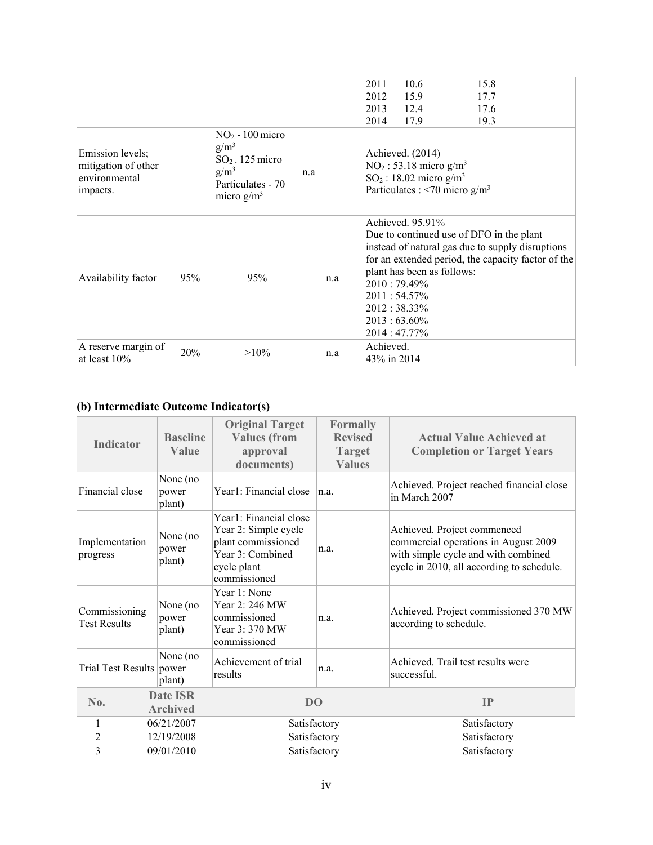|                                                                      |     |                                                                                                   |     | 2011<br>10.6<br>15.8<br>2012<br>15.9<br>17.7<br>12.4<br>2013<br>17.6<br>17.9<br>2014<br>19.3                                                                                                                                                                                           |
|----------------------------------------------------------------------|-----|---------------------------------------------------------------------------------------------------|-----|----------------------------------------------------------------------------------------------------------------------------------------------------------------------------------------------------------------------------------------------------------------------------------------|
| Emission levels;<br>mitigation of other<br>environmental<br>impacts. |     | $NO2 - 100$ micro<br>$g/m^3$<br>$SO2$ . 125 micro<br>$g/m^3$<br>Particulates - 70<br>micro $g/m3$ | n.a | Achieved. (2014)<br>$NO2$ : 53.18 micro g/m <sup>3</sup><br>$SO_2$ : 18.02 micro g/m <sup>3</sup><br>Particulates : < 70 micro $g/m3$                                                                                                                                                  |
| Availability factor                                                  | 95% | 95%                                                                                               | n.a | Achieved. 95.91%<br>Due to continued use of DFO in the plant<br>instead of natural gas due to supply disruptions<br>for an extended period, the capacity factor of the<br>plant has been as follows:<br>2010: 79.49%<br>$2011:54.57\%$<br>2012:38.33%<br>$2013:63.60\%$<br>2014:47.77% |
| A reserve margin of<br>at least $10\%$                               | 20% | $>10\%$                                                                                           | n.a | Achieved.<br>43% in 2014                                                                                                                                                                                                                                                               |

# **(b) Intermediate Outcome Indicator(s)**

| <b>Indicator</b>                     |                             | <b>Baseline</b><br>Value    | <b>Original Target</b><br><b>Values</b> (from<br>approval<br>documents)                                                 | <b>Formally</b><br><b>Revised</b><br><b>Target</b><br><b>Values</b> |              | <b>Actual Value Achieved at</b><br><b>Completion or Target Years</b>                                                                                    |  |
|--------------------------------------|-----------------------------|-----------------------------|-------------------------------------------------------------------------------------------------------------------------|---------------------------------------------------------------------|--------------|---------------------------------------------------------------------------------------------------------------------------------------------------------|--|
| Financial close                      |                             | None (no<br>power<br>plant) | Year1: Financial close                                                                                                  | n.a.                                                                |              | Achieved. Project reached financial close<br>in March 2007                                                                                              |  |
| Implementation<br>progress           |                             | None (no<br>power<br>plant) | Year1: Financial close<br>Year 2: Simple cycle<br>plant commissioned<br>Year 3: Combined<br>cycle plant<br>commissioned | n.a.                                                                |              | Achieved. Project commenced<br>commercial operations in August 2009<br>with simple cycle and with combined<br>cycle in 2010, all according to schedule. |  |
| Commissioning<br><b>Test Results</b> |                             | None (no<br>power<br>plant) | Year 1: None<br>Year 2: 246 MW<br>commissioned<br>Year 3: 370 MW<br>commissioned                                        | n.a.                                                                |              | Achieved. Project commissioned 370 MW<br>according to schedule.                                                                                         |  |
|                                      | Trial Test Results power    | None (no<br>plant)          | Achievement of trial<br>results                                                                                         | n.a.                                                                |              | Achieved. Trail test results were<br>successful.                                                                                                        |  |
| No.                                  | Date ISR<br><b>Archived</b> |                             |                                                                                                                         | <b>DO</b>                                                           |              | IP                                                                                                                                                      |  |
| 1                                    |                             | 06/21/2007                  |                                                                                                                         | Satisfactory                                                        |              | Satisfactory                                                                                                                                            |  |
| $\overline{2}$                       |                             | 12/19/2008                  |                                                                                                                         | Satisfactory                                                        |              | Satisfactory                                                                                                                                            |  |
| 3                                    |                             | 09/01/2010                  |                                                                                                                         | Satisfactory                                                        | Satisfactory |                                                                                                                                                         |  |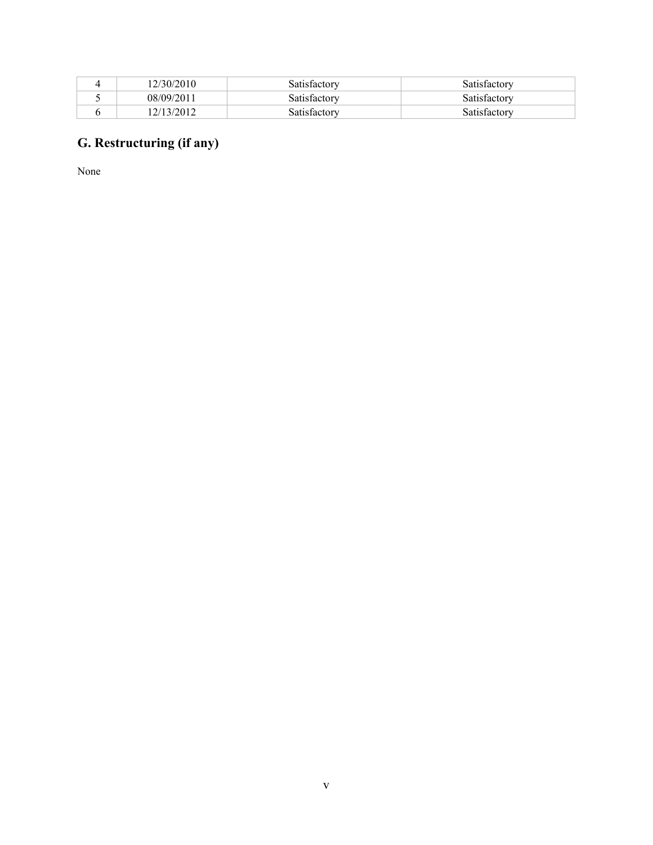| 12/30/2010 | Satisfactory | Satisfactory |
|------------|--------------|--------------|
| 08/09/2011 | Satisfactory | Satisfactory |
| 12/13/2012 | Satisfactory | Satisfactory |

# **G. Restructuring (if any)**

None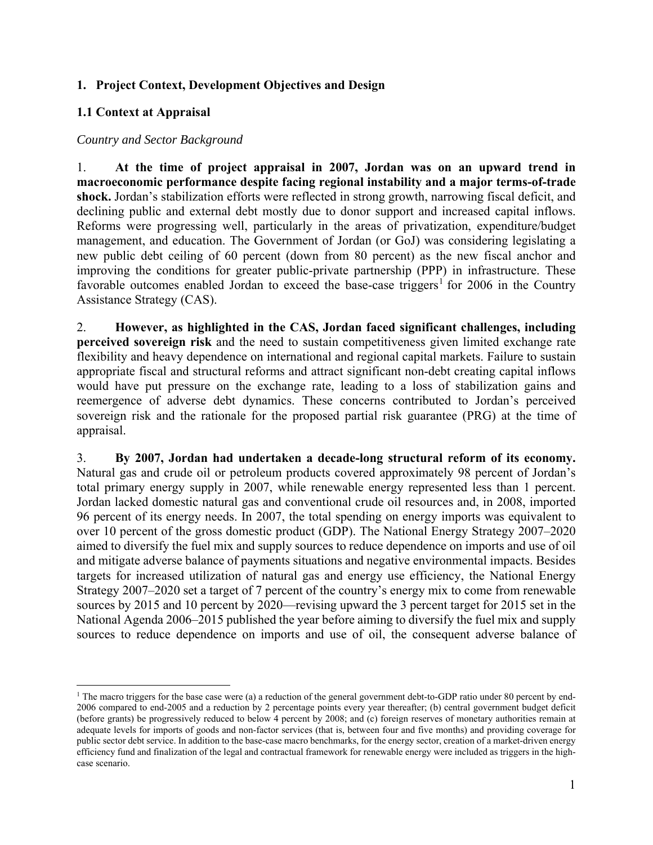#### **1. Project Context, Development Objectives and Design**

## **1.1 Context at Appraisal**

 $\overline{a}$ 

#### *Country and Sector Background*

1. **At the time of project appraisal in 2007, Jordan was on an upward trend in macroeconomic performance despite facing regional instability and a major terms-of-trade shock.** Jordan's stabilization efforts were reflected in strong growth, narrowing fiscal deficit, and declining public and external debt mostly due to donor support and increased capital inflows. Reforms were progressing well, particularly in the areas of privatization, expenditure/budget management, and education. The Government of Jordan (or GoJ) was considering legislating a new public debt ceiling of 60 percent (down from 80 percent) as the new fiscal anchor and improving the conditions for greater public-private partnership (PPP) in infrastructure. These favorable outcomes enabled Jordan to exceed the base-case triggers<sup>1</sup> for 2006 in the Country Assistance Strategy (CAS).

2. **However, as highlighted in the CAS, Jordan faced significant challenges, including perceived sovereign risk** and the need to sustain competitiveness given limited exchange rate flexibility and heavy dependence on international and regional capital markets. Failure to sustain appropriate fiscal and structural reforms and attract significant non-debt creating capital inflows would have put pressure on the exchange rate, leading to a loss of stabilization gains and reemergence of adverse debt dynamics. These concerns contributed to Jordan's perceived sovereign risk and the rationale for the proposed partial risk guarantee (PRG) at the time of appraisal.

3. **By 2007, Jordan had undertaken a decade-long structural reform of its economy.**  Natural gas and crude oil or petroleum products covered approximately 98 percent of Jordan's total primary energy supply in 2007, while renewable energy represented less than 1 percent. Jordan lacked domestic natural gas and conventional crude oil resources and, in 2008, imported 96 percent of its energy needs. In 2007, the total spending on energy imports was equivalent to over 10 percent of the gross domestic product (GDP). The National Energy Strategy 2007–2020 aimed to diversify the fuel mix and supply sources to reduce dependence on imports and use of oil and mitigate adverse balance of payments situations and negative environmental impacts. Besides targets for increased utilization of natural gas and energy use efficiency, the National Energy Strategy 2007–2020 set a target of 7 percent of the country's energy mix to come from renewable sources by 2015 and 10 percent by 2020—revising upward the 3 percent target for 2015 set in the National Agenda 2006–2015 published the year before aiming to diversify the fuel mix and supply sources to reduce dependence on imports and use of oil, the consequent adverse balance of

<sup>&</sup>lt;sup>1</sup> The macro triggers for the base case were (a) a reduction of the general government debt-to-GDP ratio under 80 percent by end-2006 compared to end-2005 and a reduction by 2 percentage points every year thereafter; (b) central government budget deficit (before grants) be progressively reduced to below 4 percent by 2008; and (c) foreign reserves of monetary authorities remain at adequate levels for imports of goods and non-factor services (that is, between four and five months) and providing coverage for public sector debt service. In addition to the base-case macro benchmarks, for the energy sector, creation of a market-driven energy efficiency fund and finalization of the legal and contractual framework for renewable energy were included as triggers in the highcase scenario.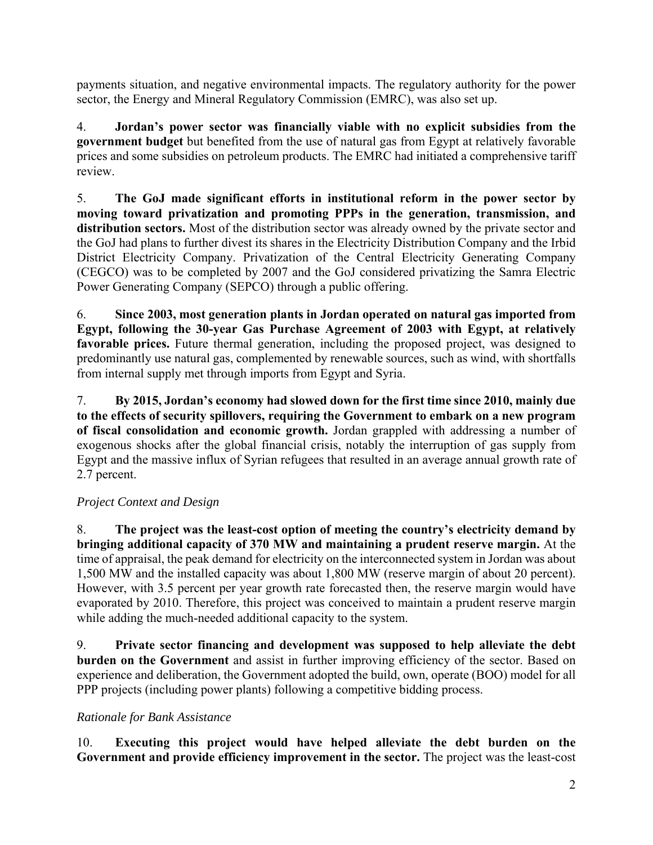payments situation, and negative environmental impacts. The regulatory authority for the power sector, the Energy and Mineral Regulatory Commission (EMRC), was also set up.

4. **Jordan's power sector was financially viable with no explicit subsidies from the government budget** but benefited from the use of natural gas from Egypt at relatively favorable prices and some subsidies on petroleum products. The EMRC had initiated a comprehensive tariff review.

5. **The GoJ made significant efforts in institutional reform in the power sector by moving toward privatization and promoting PPPs in the generation, transmission, and distribution sectors.** Most of the distribution sector was already owned by the private sector and the GoJ had plans to further divest its shares in the Electricity Distribution Company and the Irbid District Electricity Company. Privatization of the Central Electricity Generating Company (CEGCO) was to be completed by 2007 and the GoJ considered privatizing the Samra Electric Power Generating Company (SEPCO) through a public offering.

6. **Since 2003, most generation plants in Jordan operated on natural gas imported from Egypt, following the 30-year Gas Purchase Agreement of 2003 with Egypt, at relatively**  favorable prices. Future thermal generation, including the proposed project, was designed to predominantly use natural gas, complemented by renewable sources, such as wind, with shortfalls from internal supply met through imports from Egypt and Syria.

7. **By 2015, Jordan's economy had slowed down for the first time since 2010, mainly due to the effects of security spillovers, requiring the Government to embark on a new program of fiscal consolidation and economic growth.** Jordan grappled with addressing a number of exogenous shocks after the global financial crisis, notably the interruption of gas supply from Egypt and the massive influx of Syrian refugees that resulted in an average annual growth rate of 2.7 percent.

# *Project Context and Design*

8. **The project was the least-cost option of meeting the country's electricity demand by bringing additional capacity of 370 MW and maintaining a prudent reserve margin.** At the time of appraisal, the peak demand for electricity on the interconnected system in Jordan was about 1,500 MW and the installed capacity was about 1,800 MW (reserve margin of about 20 percent). However, with 3.5 percent per year growth rate forecasted then, the reserve margin would have evaporated by 2010. Therefore, this project was conceived to maintain a prudent reserve margin while adding the much-needed additional capacity to the system.

9. **Private sector financing and development was supposed to help alleviate the debt burden on the Government** and assist in further improving efficiency of the sector. Based on experience and deliberation, the Government adopted the build, own, operate (BOO) model for all PPP projects (including power plants) following a competitive bidding process.

# *Rationale for Bank Assistance*

10. **Executing this project would have helped alleviate the debt burden on the Government and provide efficiency improvement in the sector.** The project was the least-cost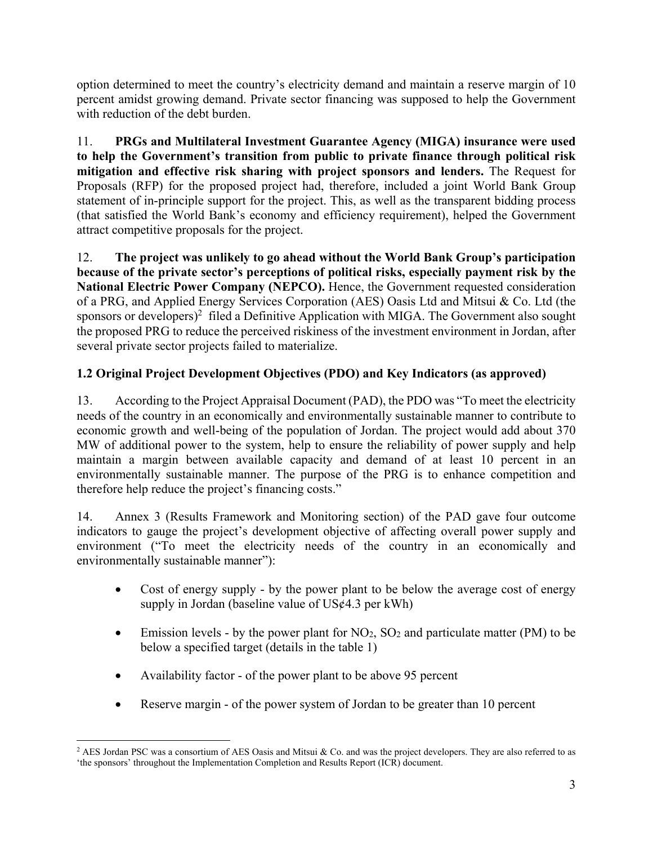option determined to meet the country's electricity demand and maintain a reserve margin of 10 percent amidst growing demand. Private sector financing was supposed to help the Government with reduction of the debt burden.

11. **PRGs and Multilateral Investment Guarantee Agency (MIGA) insurance were used to help the Government's transition from public to private finance through political risk mitigation and effective risk sharing with project sponsors and lenders.** The Request for Proposals (RFP) for the proposed project had, therefore, included a joint World Bank Group statement of in-principle support for the project. This, as well as the transparent bidding process (that satisfied the World Bank's economy and efficiency requirement), helped the Government attract competitive proposals for the project.

12. **The project was unlikely to go ahead without the World Bank Group's participation because of the private sector's perceptions of political risks, especially payment risk by the**  National Electric Power Company (NEPCO). Hence, the Government requested consideration of a PRG, and Applied Energy Services Corporation (AES) Oasis Ltd and Mitsui & Co. Ltd (the sponsors or developers)<sup>2</sup> filed a Definitive Application with MIGA. The Government also sought the proposed PRG to reduce the perceived riskiness of the investment environment in Jordan, after several private sector projects failed to materialize.

# **1.2 Original Project Development Objectives (PDO) and Key Indicators (as approved)**

13. According to the Project Appraisal Document (PAD), the PDO was "To meet the electricity needs of the country in an economically and environmentally sustainable manner to contribute to economic growth and well-being of the population of Jordan. The project would add about 370 MW of additional power to the system, help to ensure the reliability of power supply and help maintain a margin between available capacity and demand of at least 10 percent in an environmentally sustainable manner. The purpose of the PRG is to enhance competition and therefore help reduce the project's financing costs."

14. Annex 3 (Results Framework and Monitoring section) of the PAD gave four outcome indicators to gauge the project's development objective of affecting overall power supply and environment ("To meet the electricity needs of the country in an economically and environmentally sustainable manner"):

- Cost of energy supply by the power plant to be below the average cost of energy supply in Jordan (baseline value of US¢4.3 per kWh)
- $\bullet$  Emission levels by the power plant for NO<sub>2</sub>, SO<sub>2</sub> and particulate matter (PM) to be below a specified target (details in the table 1)
- Availability factor of the power plant to be above 95 percent

<u>.</u>

• Reserve margin - of the power system of Jordan to be greater than 10 percent

 $2$  AES Jordan PSC was a consortium of AES Oasis and Mitsui & Co. and was the project developers. They are also referred to as 'the sponsors' throughout the Implementation Completion and Results Report (ICR) document.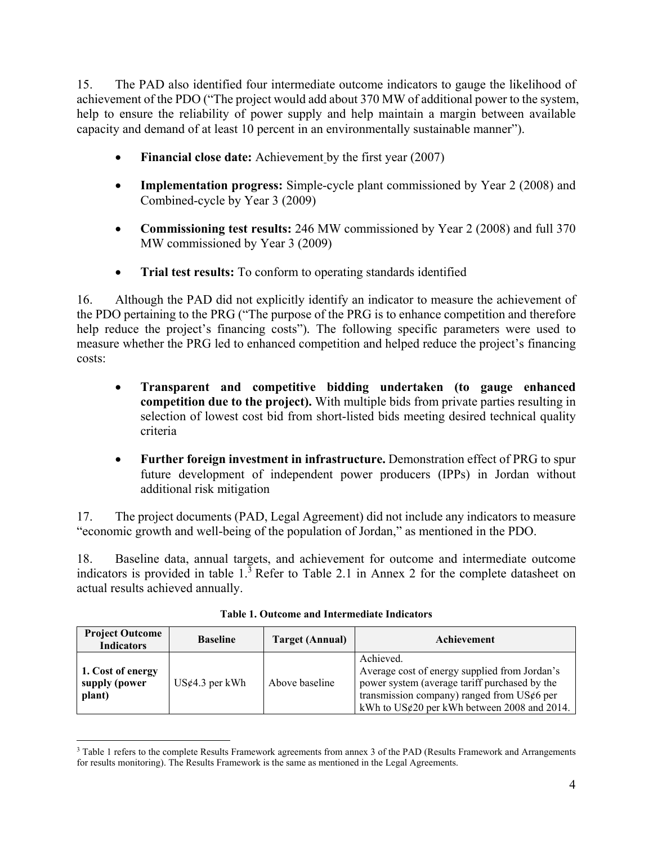15. The PAD also identified four intermediate outcome indicators to gauge the likelihood of achievement of the PDO ("The project would add about 370 MW of additional power to the system, help to ensure the reliability of power supply and help maintain a margin between available capacity and demand of at least 10 percent in an environmentally sustainable manner").

- Financial close date: Achievement by the first year (2007)
- **Implementation progress:** Simple-cycle plant commissioned by Year 2 (2008) and Combined-cycle by Year 3 (2009)
- **Commissioning test results:** 246 MW commissioned by Year 2 (2008) and full 370 MW commissioned by Year 3 (2009)
- Trial test results: To conform to operating standards identified

16. Although the PAD did not explicitly identify an indicator to measure the achievement of the PDO pertaining to the PRG ("The purpose of the PRG is to enhance competition and therefore help reduce the project's financing costs")*.* The following specific parameters were used to measure whether the PRG led to enhanced competition and helped reduce the project's financing costs:

- **Transparent and competitive bidding undertaken (to gauge enhanced competition due to the project).** With multiple bids from private parties resulting in selection of lowest cost bid from short-listed bids meeting desired technical quality criteria
- **Further foreign investment in infrastructure.** Demonstration effect of PRG to spur future development of independent power producers (IPPs) in Jordan without additional risk mitigation

17. The project documents (PAD, Legal Agreement) did not include any indicators to measure "economic growth and well-being of the population of Jordan," as mentioned in the PDO.

18. Baseline data, annual targets, and achievement for outcome and intermediate outcome indicators is provided in table  $1<sup>3</sup>$  Refer to Table 2.1 in Annex 2 for the complete datasheet on actual results achieved annually.

| <b>Project Outcome</b><br><b>Indicators</b>  | <b>Baseline</b>          | <b>Target (Annual)</b> | Achievement                                                                                                                                                                                                  |
|----------------------------------------------|--------------------------|------------------------|--------------------------------------------------------------------------------------------------------------------------------------------------------------------------------------------------------------|
| 1. Cost of energy<br>supply (power<br>plant) | $US\epsilon 4.3$ per kWh | Above baseline         | Achieved.<br>Average cost of energy supplied from Jordan's<br>power system (average tariff purchased by the<br>transmission company) ranged from $US\phi$ per<br>kWh to US¢20 per kWh between 2008 and 2014. |

**Table 1. Outcome and Intermediate Indicators** 

 $\overline{a}$ 

<sup>&</sup>lt;sup>3</sup> Table 1 refers to the complete Results Framework agreements from annex 3 of the PAD (Results Framework and Arrangements for results monitoring). The Results Framework is the same as mentioned in the Legal Agreements.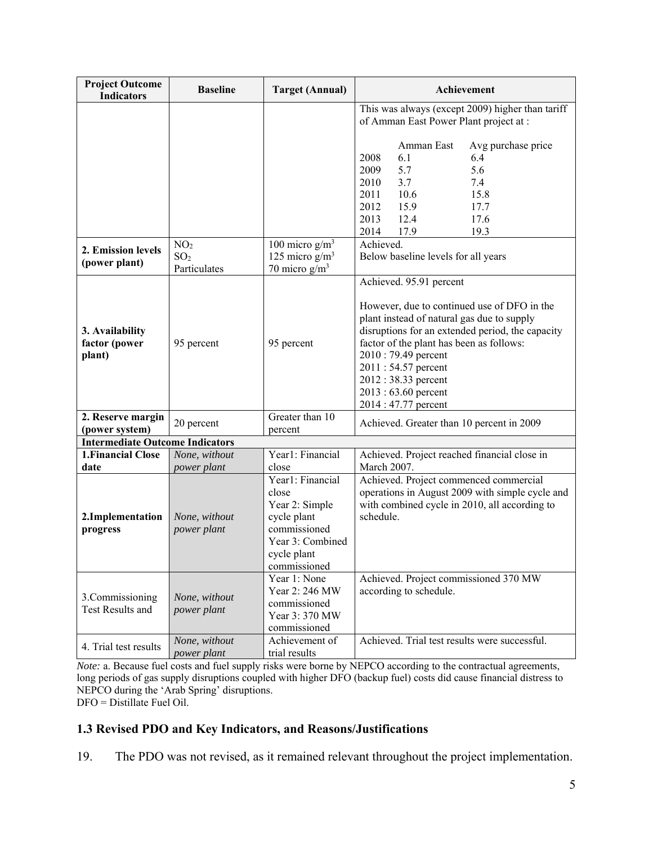| <b>Project Outcome</b><br><b>Indicators</b>                  | <b>Baseline</b>                               | <b>Target (Annual)</b>                                                                                                        | Achievement                                                                                                                                                                                                                                                                                                                             |
|--------------------------------------------------------------|-----------------------------------------------|-------------------------------------------------------------------------------------------------------------------------------|-----------------------------------------------------------------------------------------------------------------------------------------------------------------------------------------------------------------------------------------------------------------------------------------------------------------------------------------|
|                                                              |                                               |                                                                                                                               | This was always (except 2009) higher than tariff<br>of Amman East Power Plant project at :                                                                                                                                                                                                                                              |
| 2. Emission levels<br>(power plant)                          | NO <sub>2</sub><br>SO <sub>2</sub>            | 100 micro $g/m3$<br>125 micro $g/m3$                                                                                          | Amman East<br>Avg purchase price<br>6.1<br>2008<br>6.4<br>5.7<br>5.6<br>2009<br>3.7<br>2010<br>7.4<br>10.6<br>2011<br>15.8<br>15.9<br>2012<br>17.7<br>12.4<br>17.6<br>2013<br>2014<br>17.9<br>19.3<br>Achieved.<br>Below baseline levels for all years                                                                                  |
|                                                              | Particulates                                  | 70 micro $g/m3$                                                                                                               |                                                                                                                                                                                                                                                                                                                                         |
| 3. Availability<br>factor (power<br>plant)                   | 95 percent                                    | 95 percent                                                                                                                    | Achieved. 95.91 percent<br>However, due to continued use of DFO in the<br>plant instead of natural gas due to supply<br>disruptions for an extended period, the capacity<br>factor of the plant has been as follows:<br>2010: 79.49 percent<br>2011:54.57 percent<br>2012:38.33 percent<br>$2013:63.60$ percent<br>2014 : 47.77 percent |
| 2. Reserve margin                                            | 20 percent                                    | Greater than 10                                                                                                               | Achieved. Greater than 10 percent in 2009                                                                                                                                                                                                                                                                                               |
| (power system)                                               |                                               | percent                                                                                                                       |                                                                                                                                                                                                                                                                                                                                         |
| <b>Intermediate Outcome Indicators</b>                       |                                               |                                                                                                                               |                                                                                                                                                                                                                                                                                                                                         |
| <b>1. Financial Close</b><br>date                            | None, without                                 | Year1: Financial<br>close                                                                                                     | Achieved. Project reached financial close in<br>March 2007.                                                                                                                                                                                                                                                                             |
| 2.Implementation<br>progress                                 | power plant<br>None, without<br>power plant   | Year1: Financial<br>close<br>Year 2: Simple<br>cycle plant<br>commissioned<br>Year 3: Combined<br>cycle plant<br>commissioned | Achieved. Project commenced commercial<br>operations in August 2009 with simple cycle and<br>with combined cycle in 2010, all according to<br>schedule.                                                                                                                                                                                 |
| 3.Commissioning<br>Test Results and<br>4. Trial test results | None, without<br>power plant<br>None, without | Year 1: None<br>Year 2: 246 MW<br>commissioned<br>Year 3:370 MW<br>commissioned<br>Achievement of                             | Achieved. Project commissioned 370 MW<br>according to schedule.<br>Achieved. Trial test results were successful.                                                                                                                                                                                                                        |
|                                                              | power plant                                   | trial results                                                                                                                 |                                                                                                                                                                                                                                                                                                                                         |

*Note:* a. Because fuel costs and fuel supply risks were borne by NEPCO according to the contractual agreements, long periods of gas supply disruptions coupled with higher DFO (backup fuel) costs did cause financial distress to NEPCO during the 'Arab Spring' disruptions. DFO = Distillate Fuel Oil.

#### **1.3 Revised PDO and Key Indicators, and Reasons/Justifications**

19. The PDO was not revised, as it remained relevant throughout the project implementation.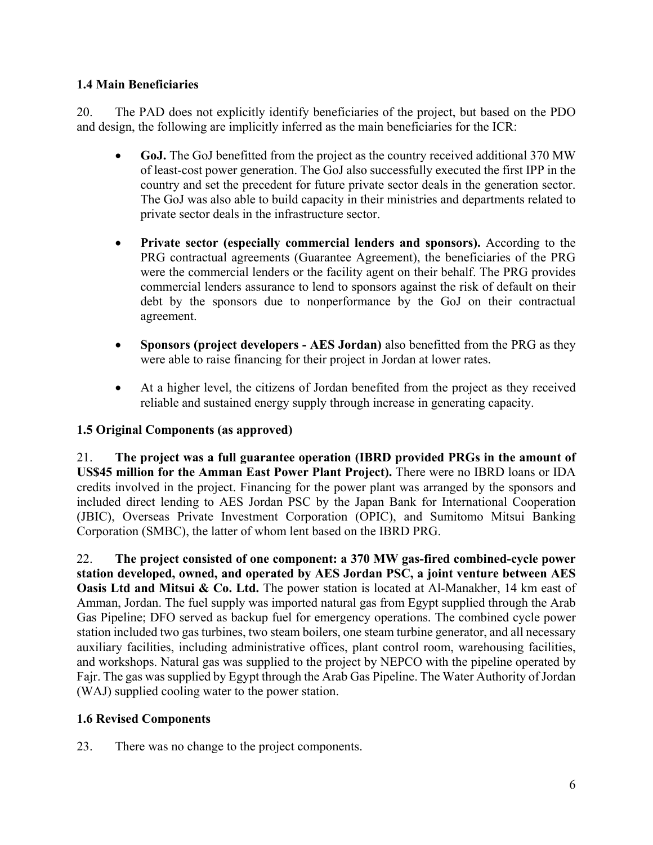## **1.4 Main Beneficiaries**

20. The PAD does not explicitly identify beneficiaries of the project, but based on the PDO and design, the following are implicitly inferred as the main beneficiaries for the ICR:

- **GoJ.** The GoJ benefitted from the project as the country received additional 370 MW of least-cost power generation. The GoJ also successfully executed the first IPP in the country and set the precedent for future private sector deals in the generation sector. The GoJ was also able to build capacity in their ministries and departments related to private sector deals in the infrastructure sector.
- **Private sector (especially commercial lenders and sponsors).** According to the PRG contractual agreements (Guarantee Agreement), the beneficiaries of the PRG were the commercial lenders or the facility agent on their behalf. The PRG provides commercial lenders assurance to lend to sponsors against the risk of default on their debt by the sponsors due to nonperformance by the GoJ on their contractual agreement.
- **Sponsors (project developers AES Jordan)** also benefitted from the PRG as they were able to raise financing for their project in Jordan at lower rates.
- At a higher level, the citizens of Jordan benefited from the project as they received reliable and sustained energy supply through increase in generating capacity.

# **1.5 Original Components (as approved)**

21. **The project was a full guarantee operation (IBRD provided PRGs in the amount of US\$45 million for the Amman East Power Plant Project).** There were no IBRD loans or IDA credits involved in the project. Financing for the power plant was arranged by the sponsors and included direct lending to AES Jordan PSC by the Japan Bank for International Cooperation (JBIC), Overseas Private Investment Corporation (OPIC), and Sumitomo Mitsui Banking Corporation (SMBC), the latter of whom lent based on the IBRD PRG.

22. **The project consisted of one component: a 370 MW gas-fired combined-cycle power station developed, owned, and operated by AES Jordan PSC, a joint venture between AES Oasis Ltd and Mitsui & Co. Ltd.** The power station is located at Al-Manakher, 14 km east of Amman, Jordan. The fuel supply was imported natural gas from Egypt supplied through the Arab Gas Pipeline; DFO served as backup fuel for emergency operations. The combined cycle power station included two gas turbines, two steam boilers, one steam turbine generator, and all necessary auxiliary facilities, including administrative offices, plant control room, warehousing facilities, and workshops. Natural gas was supplied to the project by NEPCO with the pipeline operated by Fajr. The gas was supplied by Egypt through the Arab Gas Pipeline. The Water Authority of Jordan (WAJ) supplied cooling water to the power station.

# **1.6 Revised Components**

23. There was no change to the project components.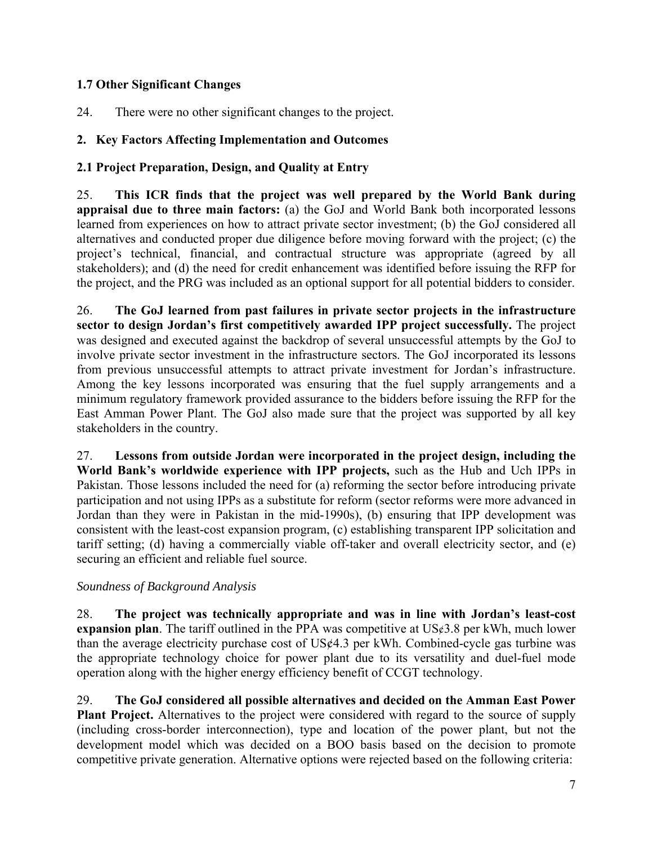## **1.7 Other Significant Changes**

24. There were no other significant changes to the project.

## **2. Key Factors Affecting Implementation and Outcomes**

### **2.1 Project Preparation, Design, and Quality at Entry**

25. **This ICR finds that the project was well prepared by the World Bank during appraisal due to three main factors:** (a) the GoJ and World Bank both incorporated lessons learned from experiences on how to attract private sector investment; (b) the GoJ considered all alternatives and conducted proper due diligence before moving forward with the project; (c) the project's technical, financial, and contractual structure was appropriate (agreed by all stakeholders); and (d) the need for credit enhancement was identified before issuing the RFP for the project, and the PRG was included as an optional support for all potential bidders to consider.

26. **The GoJ learned from past failures in private sector projects in the infrastructure sector to design Jordan's first competitively awarded IPP project successfully.** The project was designed and executed against the backdrop of several unsuccessful attempts by the GoJ to involve private sector investment in the infrastructure sectors. The GoJ incorporated its lessons from previous unsuccessful attempts to attract private investment for Jordan's infrastructure. Among the key lessons incorporated was ensuring that the fuel supply arrangements and a minimum regulatory framework provided assurance to the bidders before issuing the RFP for the East Amman Power Plant. The GoJ also made sure that the project was supported by all key stakeholders in the country.

27. **Lessons from outside Jordan were incorporated in the project design, including the World Bank's worldwide experience with IPP projects,** such as the Hub and Uch IPPs in Pakistan. Those lessons included the need for (a) reforming the sector before introducing private participation and not using IPPs as a substitute for reform (sector reforms were more advanced in Jordan than they were in Pakistan in the mid-1990s), (b) ensuring that IPP development was consistent with the least-cost expansion program, (c) establishing transparent IPP solicitation and tariff setting; (d) having a commercially viable off-taker and overall electricity sector, and (e) securing an efficient and reliable fuel source.

#### *Soundness of Background Analysis*

28. **The project was technically appropriate and was in line with Jordan's least-cost expansion plan**. The tariff outlined in the PPA was competitive at US $\epsilon$ 3.8 per kWh, much lower than the average electricity purchase cost of US¢4.3 per kWh. Combined-cycle gas turbine was the appropriate technology choice for power plant due to its versatility and duel-fuel mode operation along with the higher energy efficiency benefit of CCGT technology.

29. **The GoJ considered all possible alternatives and decided on the Amman East Power Plant Project.** Alternatives to the project were considered with regard to the source of supply (including cross-border interconnection), type and location of the power plant, but not the development model which was decided on a BOO basis based on the decision to promote competitive private generation. Alternative options were rejected based on the following criteria: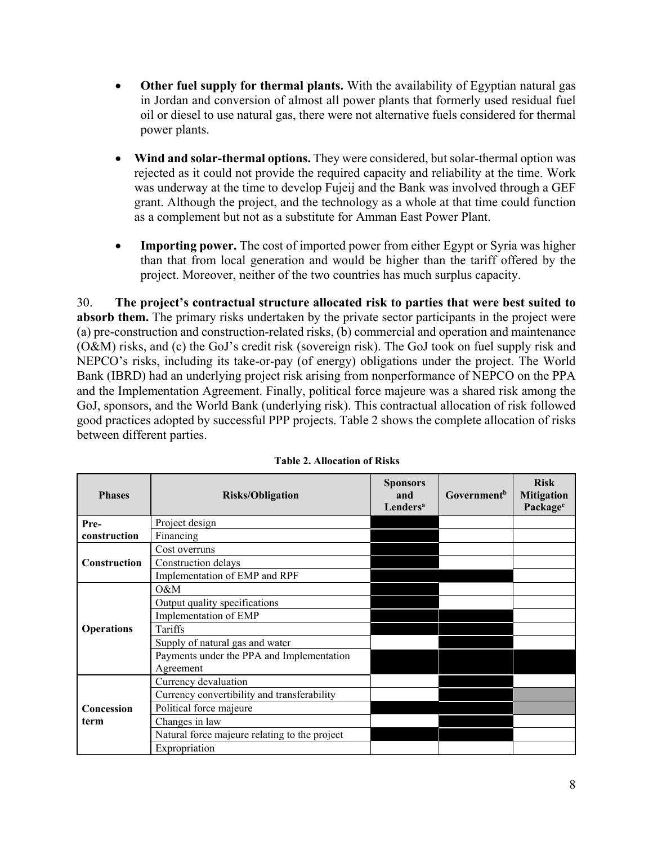- **Other fuel supply for thermal plants.** With the availability of Egyptian natural gas in Jordan and conversion of almost all power plants that formerly used residual fuel oil or diesel to use natural gas, there were not alternative fuels considered for thermal power plants.
- **Wind and solar-thermal options.** They were considered, but solar-thermal option was rejected as it could not provide the required capacity and reliability at the time. Work was underway at the time to develop Fujeij and the Bank was involved through a GEF grant. Although the project, and the technology as a whole at that time could function as a complement but not as a substitute for Amman East Power Plant.
- **Importing power.** The cost of imported power from either Egypt or Syria was higher than that from local generation and would be higher than the tariff offered by the project. Moreover, neither of the two countries has much surplus capacity.

30. **The project's contractual structure allocated risk to parties that were best suited to absorb them.** The primary risks undertaken by the private sector participants in the project were (a) pre-construction and construction-related risks, (b) commercial and operation and maintenance (O&M) risks, and (c) the GoJ's credit risk (sovereign risk). The GoJ took on fuel supply risk and NEPCO's risks, including its take-or-pay (of energy) obligations under the project. The World Bank (IBRD) had an underlying project risk arising from nonperformance of NEPCO on the PPA and the Implementation Agreement. Finally, political force majeure was a shared risk among the GoJ, sponsors, and the World Bank (underlying risk). This contractual allocation of risk followed good practices adopted by successful PPP projects. Table 2 shows the complete allocation of risks between different parties.

| <b>Phases</b>       | <b>Risks/Obligation</b>                       | <b>Sponsors</b><br>and<br><b>Lenders</b> <sup>a</sup> | Government <sup>b</sup> | <b>Risk</b><br><b>Mitigation</b><br>Package <sup>c</sup> |
|---------------------|-----------------------------------------------|-------------------------------------------------------|-------------------------|----------------------------------------------------------|
| Pre-                | Project design                                |                                                       |                         |                                                          |
| construction        | Financing                                     |                                                       |                         |                                                          |
|                     | Cost overruns                                 |                                                       |                         |                                                          |
| <b>Construction</b> | Construction delays                           |                                                       |                         |                                                          |
|                     | Implementation of EMP and RPF                 |                                                       |                         |                                                          |
|                     | $O\&M$                                        |                                                       |                         |                                                          |
|                     | Output quality specifications                 |                                                       |                         |                                                          |
|                     | Implementation of EMP                         |                                                       |                         |                                                          |
| <b>Operations</b>   | Tariffs                                       |                                                       |                         |                                                          |
|                     | Supply of natural gas and water               |                                                       |                         |                                                          |
|                     | Payments under the PPA and Implementation     |                                                       |                         |                                                          |
|                     | Agreement                                     |                                                       |                         |                                                          |
|                     | Currency devaluation                          |                                                       |                         |                                                          |
|                     | Currency convertibility and transferability   |                                                       |                         |                                                          |
| Concession          | Political force majeure                       |                                                       |                         |                                                          |
| term                | Changes in law                                |                                                       |                         |                                                          |
|                     | Natural force majeure relating to the project |                                                       |                         |                                                          |
|                     | Expropriation                                 |                                                       |                         |                                                          |

|  | <b>Table 2. Allocation of Risks</b> |  |
|--|-------------------------------------|--|
|--|-------------------------------------|--|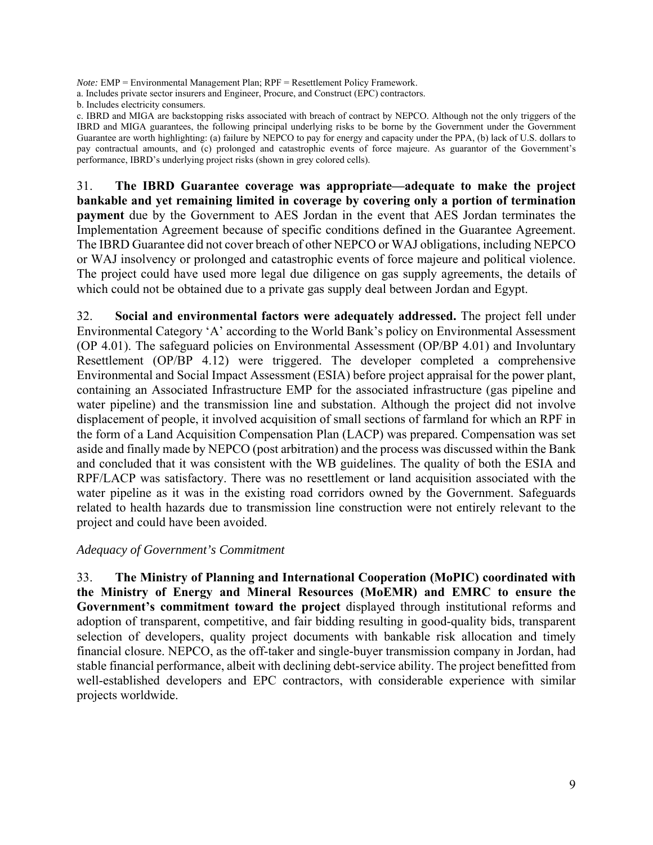*Note:* EMP = Environmental Management Plan; RPF = Resettlement Policy Framework.

a. Includes private sector insurers and Engineer, Procure, and Construct (EPC) contractors.

b. Includes electricity consumers.

c. IBRD and MIGA are backstopping risks associated with breach of contract by NEPCO. Although not the only triggers of the IBRD and MIGA guarantees, the following principal underlying risks to be borne by the Government under the Government Guarantee are worth highlighting: (a) failure by NEPCO to pay for energy and capacity under the PPA, (b) lack of U.S. dollars to pay contractual amounts, and (c) prolonged and catastrophic events of force majeure. As guarantor of the Government's performance, IBRD's underlying project risks (shown in grey colored cells).

31. **The IBRD Guarantee coverage was appropriate—adequate to make the project bankable and yet remaining limited in coverage by covering only a portion of termination payment** due by the Government to AES Jordan in the event that AES Jordan terminates the Implementation Agreement because of specific conditions defined in the Guarantee Agreement. The IBRD Guarantee did not cover breach of other NEPCO or WAJ obligations, including NEPCO or WAJ insolvency or prolonged and catastrophic events of force majeure and political violence. The project could have used more legal due diligence on gas supply agreements, the details of which could not be obtained due to a private gas supply deal between Jordan and Egypt.

32. **Social and environmental factors were adequately addressed.** The project fell under Environmental Category 'A' according to the World Bank's policy on Environmental Assessment (OP 4.01). The safeguard policies on Environmental Assessment (OP/BP 4.01) and Involuntary Resettlement (OP/BP 4.12) were triggered. The developer completed a comprehensive Environmental and Social Impact Assessment (ESIA) before project appraisal for the power plant, containing an Associated Infrastructure EMP for the associated infrastructure (gas pipeline and water pipeline) and the transmission line and substation. Although the project did not involve displacement of people, it involved acquisition of small sections of farmland for which an RPF in the form of a Land Acquisition Compensation Plan (LACP) was prepared. Compensation was set aside and finally made by NEPCO (post arbitration) and the process was discussed within the Bank and concluded that it was consistent with the WB guidelines. The quality of both the ESIA and RPF/LACP was satisfactory. There was no resettlement or land acquisition associated with the water pipeline as it was in the existing road corridors owned by the Government. Safeguards related to health hazards due to transmission line construction were not entirely relevant to the project and could have been avoided.

#### *Adequacy of Government's Commitment*

33. **The Ministry of Planning and International Cooperation (MoPIC) coordinated with the Ministry of Energy and Mineral Resources (MoEMR) and EMRC to ensure the Government's commitment toward the project** displayed through institutional reforms and adoption of transparent, competitive, and fair bidding resulting in good-quality bids, transparent selection of developers, quality project documents with bankable risk allocation and timely financial closure. NEPCO, as the off-taker and single-buyer transmission company in Jordan, had stable financial performance, albeit with declining debt-service ability. The project benefitted from well-established developers and EPC contractors, with considerable experience with similar projects worldwide.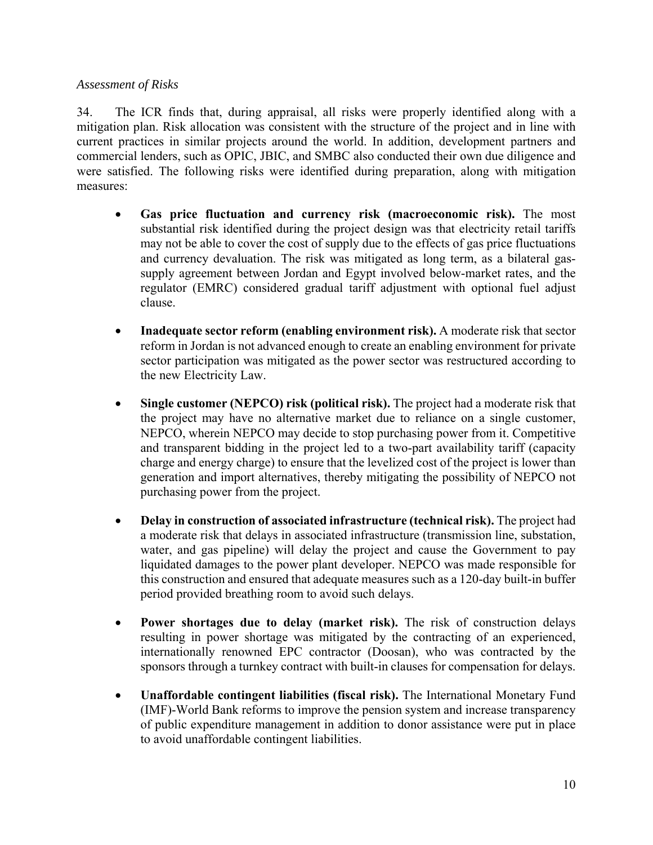#### *Assessment of Risks*

34. The ICR finds that, during appraisal, all risks were properly identified along with a mitigation plan. Risk allocation was consistent with the structure of the project and in line with current practices in similar projects around the world. In addition, development partners and commercial lenders, such as OPIC, JBIC, and SMBC also conducted their own due diligence and were satisfied. The following risks were identified during preparation, along with mitigation measures:

- **Gas price fluctuation and currency risk (macroeconomic risk).** The most substantial risk identified during the project design was that electricity retail tariffs may not be able to cover the cost of supply due to the effects of gas price fluctuations and currency devaluation. The risk was mitigated as long term, as a bilateral gassupply agreement between Jordan and Egypt involved below-market rates, and the regulator (EMRC) considered gradual tariff adjustment with optional fuel adjust clause.
- **Inadequate sector reform (enabling environment risk).** A moderate risk that sector reform in Jordan is not advanced enough to create an enabling environment for private sector participation was mitigated as the power sector was restructured according to the new Electricity Law.
- **Single customer (NEPCO) risk (political risk).** The project had a moderate risk that the project may have no alternative market due to reliance on a single customer, NEPCO, wherein NEPCO may decide to stop purchasing power from it. Competitive and transparent bidding in the project led to a two-part availability tariff (capacity charge and energy charge) to ensure that the levelized cost of the project is lower than generation and import alternatives, thereby mitigating the possibility of NEPCO not purchasing power from the project.
- **Delay in construction of associated infrastructure (technical risk).** The project had a moderate risk that delays in associated infrastructure (transmission line, substation, water, and gas pipeline) will delay the project and cause the Government to pay liquidated damages to the power plant developer. NEPCO was made responsible for this construction and ensured that adequate measures such as a 120-day built-in buffer period provided breathing room to avoid such delays.
- **Power shortages due to delay (market risk).** The risk of construction delays resulting in power shortage was mitigated by the contracting of an experienced, internationally renowned EPC contractor (Doosan), who was contracted by the sponsors through a turnkey contract with built-in clauses for compensation for delays.
- **Unaffordable contingent liabilities (fiscal risk).** The International Monetary Fund (IMF)-World Bank reforms to improve the pension system and increase transparency of public expenditure management in addition to donor assistance were put in place to avoid unaffordable contingent liabilities.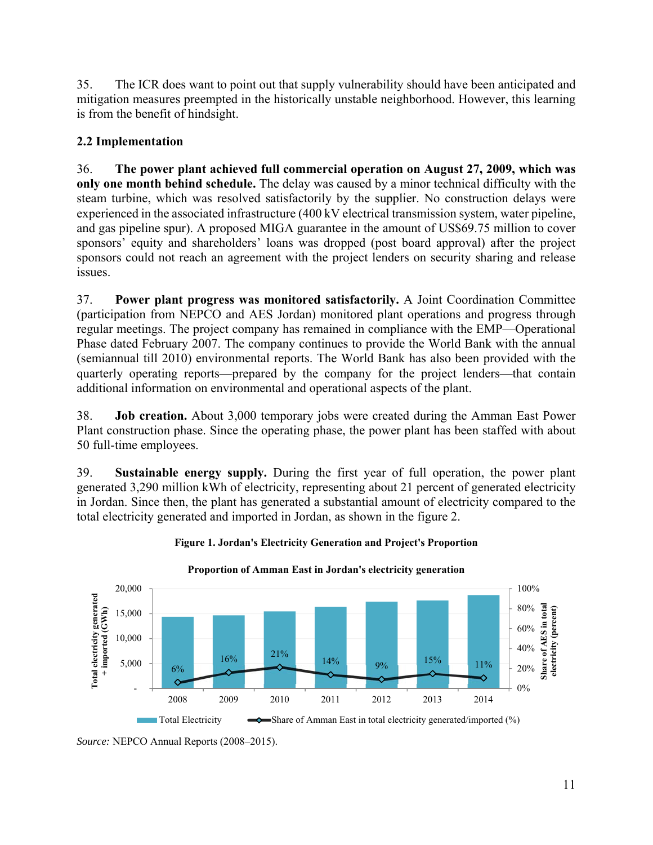35. The ICR does want to point out that supply vulnerability should have been anticipated and mitigation measures preempted in the historically unstable neighborhood. However, this learning is from the benefit of hindsight.

# **2.2 Implementation**

36. **The power plant achieved full commercial operation on August 27, 2009, which was only one month behind schedule.** The delay was caused by a minor technical difficulty with the steam turbine, which was resolved satisfactorily by the supplier. No construction delays were experienced in the associated infrastructure (400 kV electrical transmission system, water pipeline, and gas pipeline spur). A proposed MIGA guarantee in the amount of US\$69.75 million to cover sponsors' equity and shareholders' loans was dropped (post board approval) after the project sponsors could not reach an agreement with the project lenders on security sharing and release issues.

37. **Power plant progress was monitored satisfactorily.** A Joint Coordination Committee (participation from NEPCO and AES Jordan) monitored plant operations and progress through regular meetings. The project company has remained in compliance with the EMP—Operational Phase dated February 2007. The company continues to provide the World Bank with the annual (semiannual till 2010) environmental reports. The World Bank has also been provided with the quarterly operating reports—prepared by the company for the project lenders—that contain additional information on environmental and operational aspects of the plant.

38. **Job creation.** About 3,000 temporary jobs were created during the Amman East Power Plant construction phase. Since the operating phase, the power plant has been staffed with about 50 full-time employees.

39. **Sustainable energy supply.** During the first year of full operation, the power plant generated 3,290 million kWh of electricity, representing about 21 percent of generated electricity in Jordan. Since then, the plant has generated a substantial amount of electricity compared to the total electricity generated and imported in Jordan, as shown in the figure 2.





*Source:* NEPCO Annual Reports (2008–2015).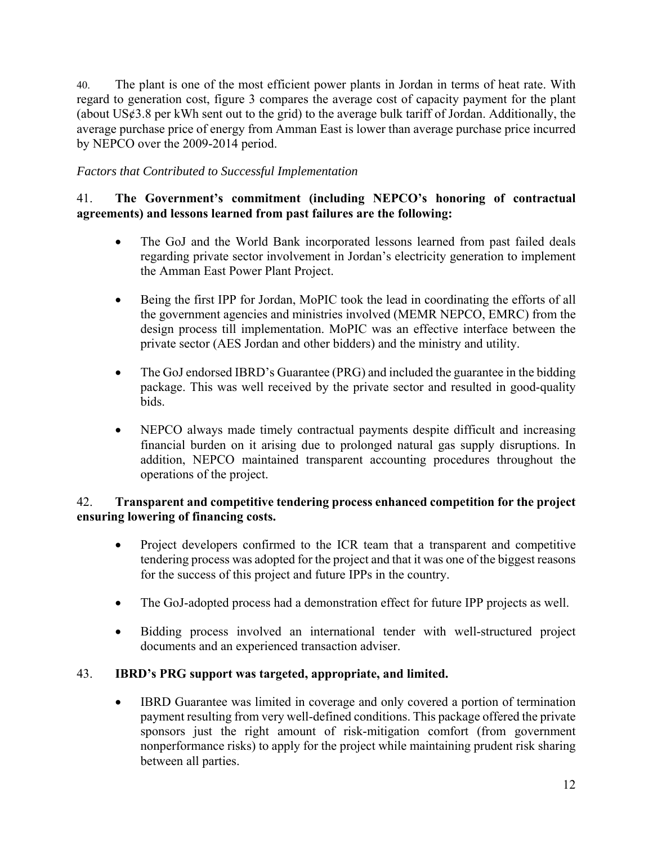40. The plant is one of the most efficient power plants in Jordan in terms of heat rate. With regard to generation cost, figure 3 compares the average cost of capacity payment for the plant (about  $US\epsilon 3.8$  per kWh sent out to the grid) to the average bulk tariff of Jordan. Additionally, the average purchase price of energy from Amman East is lower than average purchase price incurred by NEPCO over the 2009-2014 period.

## *Factors that Contributed to Successful Implementation*

#### 41. **The Government's commitment (including NEPCO's honoring of contractual agreements) and lessons learned from past failures are the following:**

- The GoJ and the World Bank incorporated lessons learned from past failed deals regarding private sector involvement in Jordan's electricity generation to implement the Amman East Power Plant Project.
- Being the first IPP for Jordan, MoPIC took the lead in coordinating the efforts of all the government agencies and ministries involved (MEMR NEPCO, EMRC) from the design process till implementation. MoPIC was an effective interface between the private sector (AES Jordan and other bidders) and the ministry and utility.
- The GoJ endorsed IBRD's Guarantee (PRG) and included the guarantee in the bidding package. This was well received by the private sector and resulted in good-quality bids.
- NEPCO always made timely contractual payments despite difficult and increasing financial burden on it arising due to prolonged natural gas supply disruptions. In addition, NEPCO maintained transparent accounting procedures throughout the operations of the project.

### 42. **Transparent and competitive tendering process enhanced competition for the project ensuring lowering of financing costs.**

- Project developers confirmed to the ICR team that a transparent and competitive tendering process was adopted for the project and that it was one of the biggest reasons for the success of this project and future IPPs in the country.
- The GoJ-adopted process had a demonstration effect for future IPP projects as well.
- Bidding process involved an international tender with well-structured project documents and an experienced transaction adviser.

#### 43. **IBRD's PRG support was targeted, appropriate, and limited.**

 IBRD Guarantee was limited in coverage and only covered a portion of termination payment resulting from very well-defined conditions. This package offered the private sponsors just the right amount of risk-mitigation comfort (from government nonperformance risks) to apply for the project while maintaining prudent risk sharing between all parties.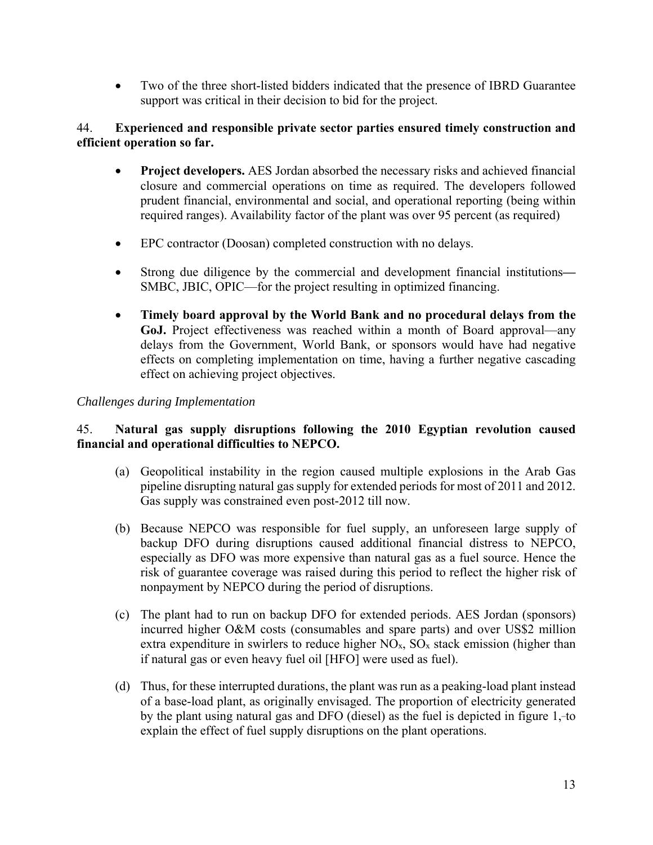Two of the three short-listed bidders indicated that the presence of IBRD Guarantee support was critical in their decision to bid for the project.

#### 44. **Experienced and responsible private sector parties ensured timely construction and efficient operation so far.**

- **Project developers.** AES Jordan absorbed the necessary risks and achieved financial closure and commercial operations on time as required. The developers followed prudent financial, environmental and social, and operational reporting (being within required ranges). Availability factor of the plant was over 95 percent (as required)
- EPC contractor (Doosan) completed construction with no delays.
- Strong due diligence by the commercial and development financial institutions**—** SMBC, JBIC, OPIC—for the project resulting in optimized financing.
- **Timely board approval by the World Bank and no procedural delays from the GoJ.** Project effectiveness was reached within a month of Board approval—any delays from the Government, World Bank, or sponsors would have had negative effects on completing implementation on time, having a further negative cascading effect on achieving project objectives.

#### *Challenges during Implementation*

### 45. **Natural gas supply disruptions following the 2010 Egyptian revolution caused financial and operational difficulties to NEPCO.**

- (a) Geopolitical instability in the region caused multiple explosions in the Arab Gas pipeline disrupting natural gas supply for extended periods for most of 2011 and 2012. Gas supply was constrained even post-2012 till now.
- (b) Because NEPCO was responsible for fuel supply, an unforeseen large supply of backup DFO during disruptions caused additional financial distress to NEPCO, especially as DFO was more expensive than natural gas as a fuel source. Hence the risk of guarantee coverage was raised during this period to reflect the higher risk of nonpayment by NEPCO during the period of disruptions.
- (c) The plant had to run on backup DFO for extended periods. AES Jordan (sponsors) incurred higher O&M costs (consumables and spare parts) and over US\$2 million extra expenditure in swirlers to reduce higher  $NO<sub>x</sub>$ ,  $SO<sub>x</sub>$  stack emission (higher than if natural gas or even heavy fuel oil [HFO] were used as fuel).
- (d) Thus, for these interrupted durations, the plant was run as a peaking-load plant instead of a base-load plant, as originally envisaged. The proportion of electricity generated by the plant using natural gas and DFO (diesel) as the fuel is depicted in figure 1,-to explain the effect of fuel supply disruptions on the plant operations.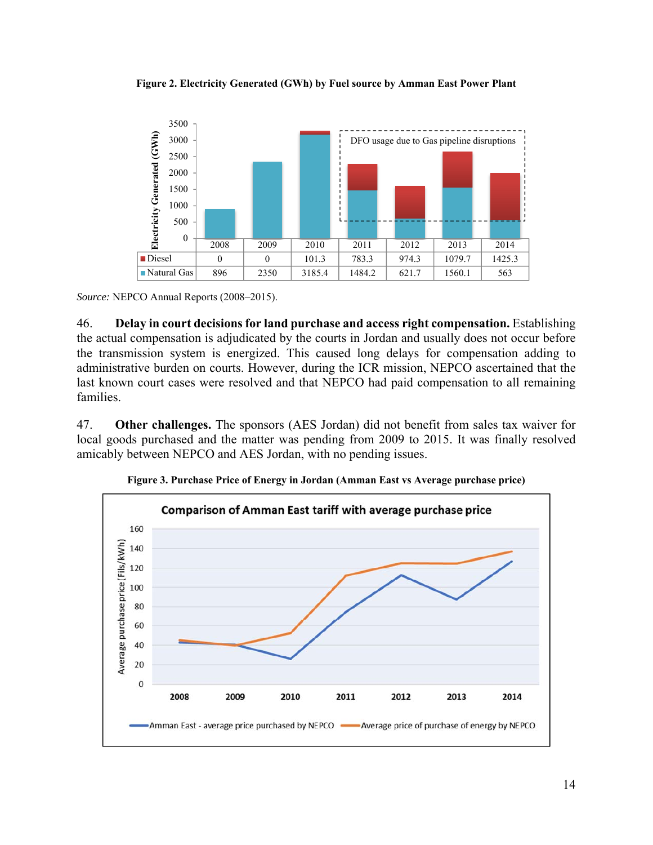**Figure 2. Electricity Generated (GWh) by Fuel source by Amman East Power Plant** 



*Source:* NEPCO Annual Reports (2008–2015).

46. **Delay in court decisions for land purchase and access right compensation.** Establishing the actual compensation is adjudicated by the courts in Jordan and usually does not occur before the transmission system is energized. This caused long delays for compensation adding to administrative burden on courts. However, during the ICR mission, NEPCO ascertained that the last known court cases were resolved and that NEPCO had paid compensation to all remaining families.

47. **Other challenges.** The sponsors (AES Jordan) did not benefit from sales tax waiver for local goods purchased and the matter was pending from 2009 to 2015. It was finally resolved amicably between NEPCO and AES Jordan, with no pending issues.



**Figure 3. Purchase Price of Energy in Jordan (Amman East vs Average purchase price)**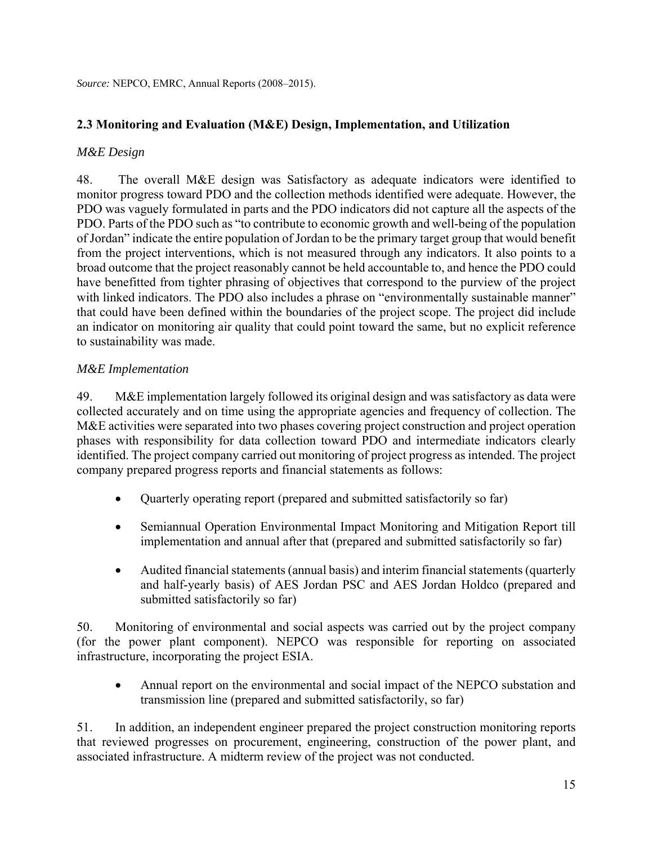*Source:* NEPCO, EMRC, Annual Reports (2008–2015).

### **2.3 Monitoring and Evaluation (M&E) Design, Implementation, and Utilization**

#### *M&E Design*

48. The overall M&E design was Satisfactory as adequate indicators were identified to monitor progress toward PDO and the collection methods identified were adequate. However, the PDO was vaguely formulated in parts and the PDO indicators did not capture all the aspects of the PDO. Parts of the PDO such as "to contribute to economic growth and well-being of the population of Jordan" indicate the entire population of Jordan to be the primary target group that would benefit from the project interventions, which is not measured through any indicators. It also points to a broad outcome that the project reasonably cannot be held accountable to, and hence the PDO could have benefitted from tighter phrasing of objectives that correspond to the purview of the project with linked indicators. The PDO also includes a phrase on "environmentally sustainable manner" that could have been defined within the boundaries of the project scope. The project did include an indicator on monitoring air quality that could point toward the same, but no explicit reference to sustainability was made.

#### *M&E Implementation*

49. M&E implementation largely followed its original design and was satisfactory as data were collected accurately and on time using the appropriate agencies and frequency of collection. The M&E activities were separated into two phases covering project construction and project operation phases with responsibility for data collection toward PDO and intermediate indicators clearly identified. The project company carried out monitoring of project progress as intended. The project company prepared progress reports and financial statements as follows:

- Quarterly operating report (prepared and submitted satisfactorily so far)
- Semiannual Operation Environmental Impact Monitoring and Mitigation Report till implementation and annual after that (prepared and submitted satisfactorily so far)
- Audited financial statements (annual basis) and interim financial statements (quarterly and half-yearly basis) of AES Jordan PSC and AES Jordan Holdco (prepared and submitted satisfactorily so far)

50. Monitoring of environmental and social aspects was carried out by the project company (for the power plant component). NEPCO was responsible for reporting on associated infrastructure, incorporating the project ESIA.

 Annual report on the environmental and social impact of the NEPCO substation and transmission line (prepared and submitted satisfactorily, so far)

51. In addition, an independent engineer prepared the project construction monitoring reports that reviewed progresses on procurement, engineering, construction of the power plant, and associated infrastructure. A midterm review of the project was not conducted.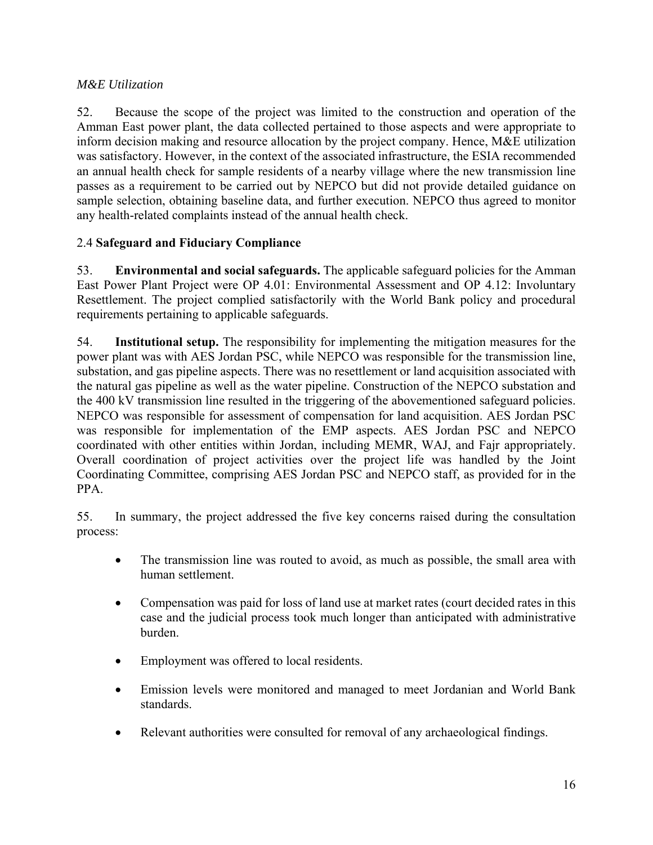### *M&E Utilization*

52. Because the scope of the project was limited to the construction and operation of the Amman East power plant, the data collected pertained to those aspects and were appropriate to inform decision making and resource allocation by the project company. Hence, M&E utilization was satisfactory. However, in the context of the associated infrastructure, the ESIA recommended an annual health check for sample residents of a nearby village where the new transmission line passes as a requirement to be carried out by NEPCO but did not provide detailed guidance on sample selection, obtaining baseline data, and further execution. NEPCO thus agreed to monitor any health-related complaints instead of the annual health check.

# 2.4 **Safeguard and Fiduciary Compliance**

53. **Environmental and social safeguards.** The applicable safeguard policies for the Amman East Power Plant Project were OP 4.01: Environmental Assessment and OP 4.12: Involuntary Resettlement. The project complied satisfactorily with the World Bank policy and procedural requirements pertaining to applicable safeguards.

54. **Institutional setup.** The responsibility for implementing the mitigation measures for the power plant was with AES Jordan PSC, while NEPCO was responsible for the transmission line, substation, and gas pipeline aspects. There was no resettlement or land acquisition associated with the natural gas pipeline as well as the water pipeline. Construction of the NEPCO substation and the 400 kV transmission line resulted in the triggering of the abovementioned safeguard policies. NEPCO was responsible for assessment of compensation for land acquisition. AES Jordan PSC was responsible for implementation of the EMP aspects. AES Jordan PSC and NEPCO coordinated with other entities within Jordan, including MEMR, WAJ, and Fajr appropriately. Overall coordination of project activities over the project life was handled by the Joint Coordinating Committee, comprising AES Jordan PSC and NEPCO staff, as provided for in the PPA.

55. In summary, the project addressed the five key concerns raised during the consultation process:

- The transmission line was routed to avoid, as much as possible, the small area with human settlement.
- Compensation was paid for loss of land use at market rates (court decided rates in this case and the judicial process took much longer than anticipated with administrative burden.
- Employment was offered to local residents.
- Emission levels were monitored and managed to meet Jordanian and World Bank standards.
- Relevant authorities were consulted for removal of any archaeological findings.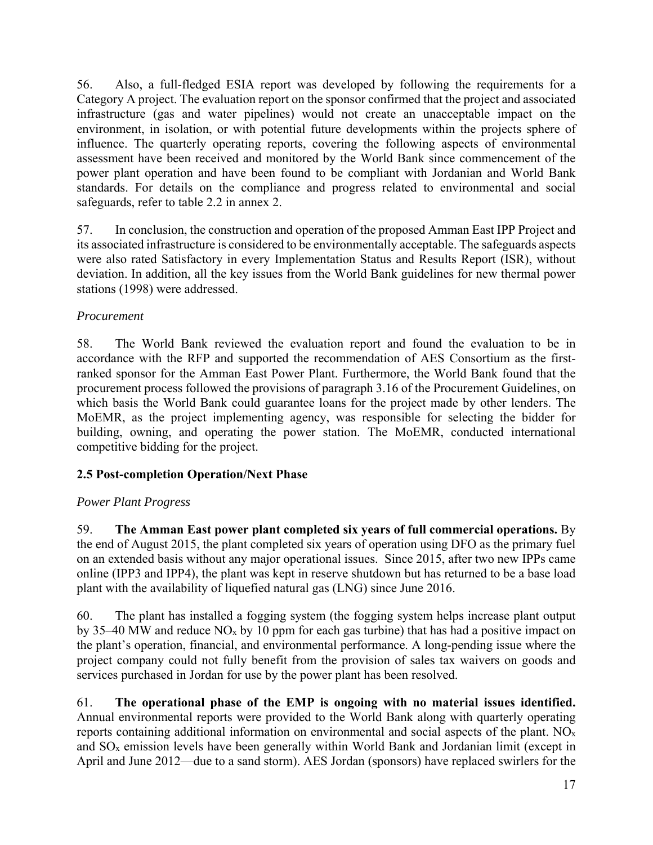56. Also, a full-fledged ESIA report was developed by following the requirements for a Category A project. The evaluation report on the sponsor confirmed that the project and associated infrastructure (gas and water pipelines) would not create an unacceptable impact on the environment, in isolation, or with potential future developments within the projects sphere of influence. The quarterly operating reports, covering the following aspects of environmental assessment have been received and monitored by the World Bank since commencement of the power plant operation and have been found to be compliant with Jordanian and World Bank standards. For details on the compliance and progress related to environmental and social safeguards, refer to table 2.2 in annex 2.

57. In conclusion, the construction and operation of the proposed Amman East IPP Project and its associated infrastructure is considered to be environmentally acceptable. The safeguards aspects were also rated Satisfactory in every Implementation Status and Results Report (ISR), without deviation. In addition, all the key issues from the World Bank guidelines for new thermal power stations (1998) were addressed.

# *Procurement*

58. The World Bank reviewed the evaluation report and found the evaluation to be in accordance with the RFP and supported the recommendation of AES Consortium as the firstranked sponsor for the Amman East Power Plant. Furthermore, the World Bank found that the procurement process followed the provisions of paragraph 3.16 of the Procurement Guidelines, on which basis the World Bank could guarantee loans for the project made by other lenders. The MoEMR, as the project implementing agency, was responsible for selecting the bidder for building, owning, and operating the power station. The MoEMR, conducted international competitive bidding for the project.

# **2.5 Post-completion Operation/Next Phase**

# *Power Plant Progress*

59. **The Amman East power plant completed six years of full commercial operations.** By the end of August 2015, the plant completed six years of operation using DFO as the primary fuel on an extended basis without any major operational issues. Since 2015, after two new IPPs came online (IPP3 and IPP4), the plant was kept in reserve shutdown but has returned to be a base load plant with the availability of liquefied natural gas (LNG) since June 2016.

60. The plant has installed a fogging system (the fogging system helps increase plant output by 35–40 MW and reduce  $NO<sub>x</sub>$  by 10 ppm for each gas turbine) that has had a positive impact on the plant's operation, financial, and environmental performance. A long-pending issue where the project company could not fully benefit from the provision of sales tax waivers on goods and services purchased in Jordan for use by the power plant has been resolved.

61. **The operational phase of the EMP is ongoing with no material issues identified.**  Annual environmental reports were provided to the World Bank along with quarterly operating reports containing additional information on environmental and social aspects of the plant.  $NO<sub>x</sub>$ and SOx emission levels have been generally within World Bank and Jordanian limit (except in April and June 2012—due to a sand storm). AES Jordan (sponsors) have replaced swirlers for the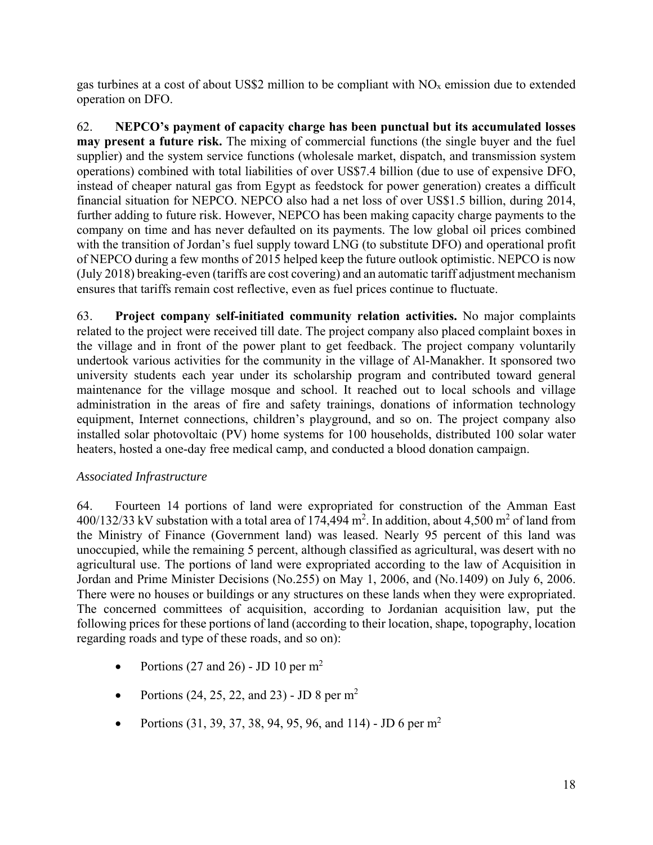gas turbines at a cost of about US\$2 million to be compliant with  $NO<sub>x</sub>$  emission due to extended operation on DFO.

62. **NEPCO's payment of capacity charge has been punctual but its accumulated losses may present a future risk.** The mixing of commercial functions (the single buyer and the fuel supplier) and the system service functions (wholesale market, dispatch, and transmission system operations) combined with total liabilities of over US\$7.4 billion (due to use of expensive DFO, instead of cheaper natural gas from Egypt as feedstock for power generation) creates a difficult financial situation for NEPCO. NEPCO also had a net loss of over US\$1.5 billion, during 2014, further adding to future risk. However, NEPCO has been making capacity charge payments to the company on time and has never defaulted on its payments. The low global oil prices combined with the transition of Jordan's fuel supply toward LNG (to substitute DFO) and operational profit of NEPCO during a few months of 2015 helped keep the future outlook optimistic. NEPCO is now (July 2018) breaking-even (tariffs are cost covering) and an automatic tariff adjustment mechanism ensures that tariffs remain cost reflective, even as fuel prices continue to fluctuate.

63. **Project company self-initiated community relation activities.** No major complaints related to the project were received till date. The project company also placed complaint boxes in the village and in front of the power plant to get feedback. The project company voluntarily undertook various activities for the community in the village of Al-Manakher. It sponsored two university students each year under its scholarship program and contributed toward general maintenance for the village mosque and school. It reached out to local schools and village administration in the areas of fire and safety trainings, donations of information technology equipment, Internet connections, children's playground, and so on. The project company also installed solar photovoltaic (PV) home systems for 100 households, distributed 100 solar water heaters, hosted a one-day free medical camp, and conducted a blood donation campaign.

#### *Associated Infrastructure*

64. Fourteen 14 portions of land were expropriated for construction of the Amman East 400/132/33 kV substation with a total area of 174,494 m<sup>2</sup>. In addition, about 4,500 m<sup>2</sup> of land from the Ministry of Finance (Government land) was leased. Nearly 95 percent of this land was unoccupied, while the remaining 5 percent, although classified as agricultural, was desert with no agricultural use. The portions of land were expropriated according to the law of Acquisition in Jordan and Prime Minister Decisions (No.255) on May 1, 2006, and (No.1409) on July 6, 2006. There were no houses or buildings or any structures on these lands when they were expropriated. The concerned committees of acquisition, according to Jordanian acquisition law, put the following prices for these portions of land (according to their location, shape, topography, location regarding roads and type of these roads, and so on):

- Portions (27 and 26) JD 10 per  $m<sup>2</sup>$
- Portions (24, 25, 22, and 23) JD 8 per  $m<sup>2</sup>$
- Portions (31, 39, 37, 38, 94, 95, 96, and 114) JD 6 per m2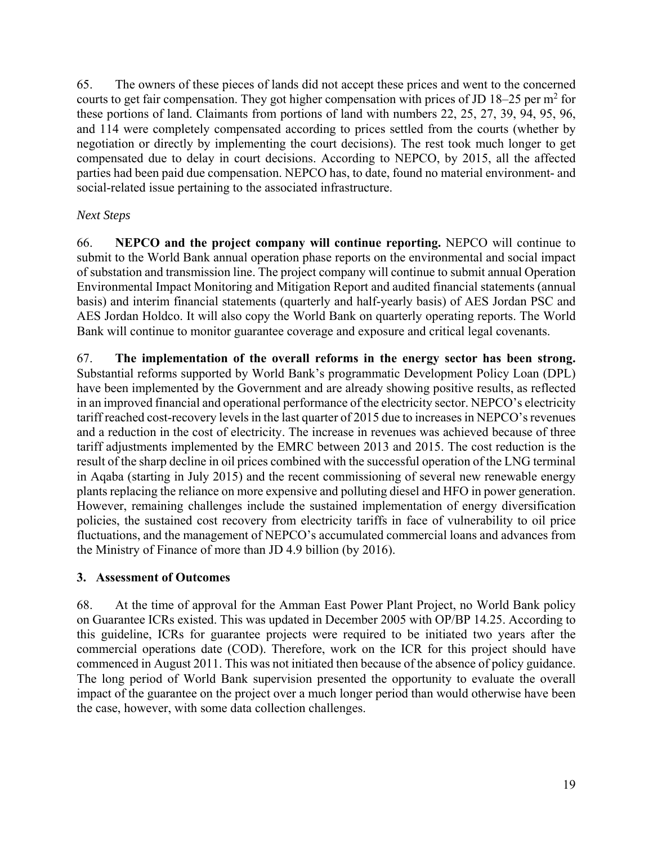65. The owners of these pieces of lands did not accept these prices and went to the concerned courts to get fair compensation. They got higher compensation with prices of JD 18–25 per  $m^2$  for these portions of land. Claimants from portions of land with numbers 22, 25, 27, 39, 94, 95, 96, and 114 were completely compensated according to prices settled from the courts (whether by negotiation or directly by implementing the court decisions). The rest took much longer to get compensated due to delay in court decisions. According to NEPCO, by 2015, all the affected parties had been paid due compensation. NEPCO has, to date, found no material environment- and social-related issue pertaining to the associated infrastructure.

### *Next Steps*

66. **NEPCO and the project company will continue reporting.** NEPCO will continue to submit to the World Bank annual operation phase reports on the environmental and social impact of substation and transmission line. The project company will continue to submit annual Operation Environmental Impact Monitoring and Mitigation Report and audited financial statements (annual basis) and interim financial statements (quarterly and half-yearly basis) of AES Jordan PSC and AES Jordan Holdco. It will also copy the World Bank on quarterly operating reports. The World Bank will continue to monitor guarantee coverage and exposure and critical legal covenants.

67. **The implementation of the overall reforms in the energy sector has been strong.**  Substantial reforms supported by World Bank's programmatic Development Policy Loan (DPL) have been implemented by the Government and are already showing positive results, as reflected in an improved financial and operational performance of the electricity sector. NEPCO's electricity tariff reached cost-recovery levels in the last quarter of 2015 due to increases in NEPCO's revenues and a reduction in the cost of electricity. The increase in revenues was achieved because of three tariff adjustments implemented by the EMRC between 2013 and 2015. The cost reduction is the result of the sharp decline in oil prices combined with the successful operation of the LNG terminal in Aqaba (starting in July 2015) and the recent commissioning of several new renewable energy plants replacing the reliance on more expensive and polluting diesel and HFO in power generation. However, remaining challenges include the sustained implementation of energy diversification policies, the sustained cost recovery from electricity tariffs in face of vulnerability to oil price fluctuations, and the management of NEPCO's accumulated commercial loans and advances from the Ministry of Finance of more than JD 4.9 billion (by 2016).

#### **3. Assessment of Outcomes**

68. At the time of approval for the Amman East Power Plant Project, no World Bank policy on Guarantee ICRs existed. This was updated in December 2005 with OP/BP 14.25. According to this guideline, ICRs for guarantee projects were required to be initiated two years after the commercial operations date (COD). Therefore, work on the ICR for this project should have commenced in August 2011. This was not initiated then because of the absence of policy guidance. The long period of World Bank supervision presented the opportunity to evaluate the overall impact of the guarantee on the project over a much longer period than would otherwise have been the case, however, with some data collection challenges.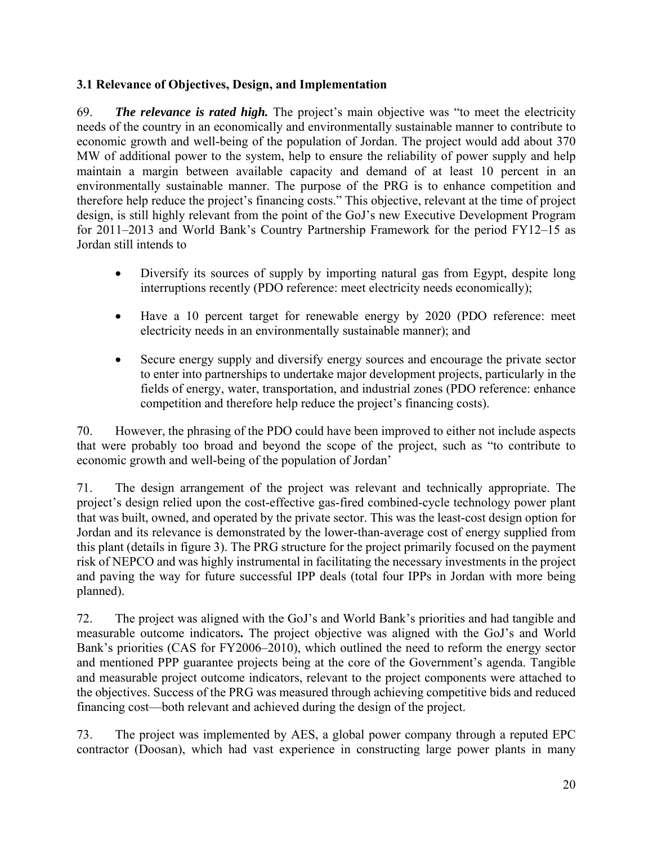#### **3.1 Relevance of Objectives, Design, and Implementation**

69. *The relevance is rated high.* The project's main objective was "to meet the electricity needs of the country in an economically and environmentally sustainable manner to contribute to economic growth and well-being of the population of Jordan. The project would add about 370 MW of additional power to the system, help to ensure the reliability of power supply and help maintain a margin between available capacity and demand of at least 10 percent in an environmentally sustainable manner. The purpose of the PRG is to enhance competition and therefore help reduce the project's financing costs." This objective, relevant at the time of project design, is still highly relevant from the point of the GoJ's new Executive Development Program for 2011–2013 and World Bank's Country Partnership Framework for the period FY12–15 as Jordan still intends to

- Diversify its sources of supply by importing natural gas from Egypt, despite long interruptions recently (PDO reference: meet electricity needs economically);
- Have a 10 percent target for renewable energy by 2020 (PDO reference: meet electricity needs in an environmentally sustainable manner); and
- Secure energy supply and diversify energy sources and encourage the private sector to enter into partnerships to undertake major development projects, particularly in the fields of energy, water, transportation, and industrial zones (PDO reference: enhance competition and therefore help reduce the project's financing costs).

70. However, the phrasing of the PDO could have been improved to either not include aspects that were probably too broad and beyond the scope of the project, such as "to contribute to economic growth and well-being of the population of Jordan'

71. The design arrangement of the project was relevant and technically appropriate. The project's design relied upon the cost-effective gas-fired combined-cycle technology power plant that was built, owned, and operated by the private sector. This was the least-cost design option for Jordan and its relevance is demonstrated by the lower-than-average cost of energy supplied from this plant (details in figure 3). The PRG structure for the project primarily focused on the payment risk of NEPCO and was highly instrumental in facilitating the necessary investments in the project and paving the way for future successful IPP deals (total four IPPs in Jordan with more being planned).

72. The project was aligned with the GoJ's and World Bank's priorities and had tangible and measurable outcome indicators**.** The project objective was aligned with the GoJ's and World Bank's priorities (CAS for FY2006–2010), which outlined the need to reform the energy sector and mentioned PPP guarantee projects being at the core of the Government's agenda. Tangible and measurable project outcome indicators, relevant to the project components were attached to the objectives. Success of the PRG was measured through achieving competitive bids and reduced financing cost—both relevant and achieved during the design of the project.

73. The project was implemented by AES, a global power company through a reputed EPC contractor (Doosan), which had vast experience in constructing large power plants in many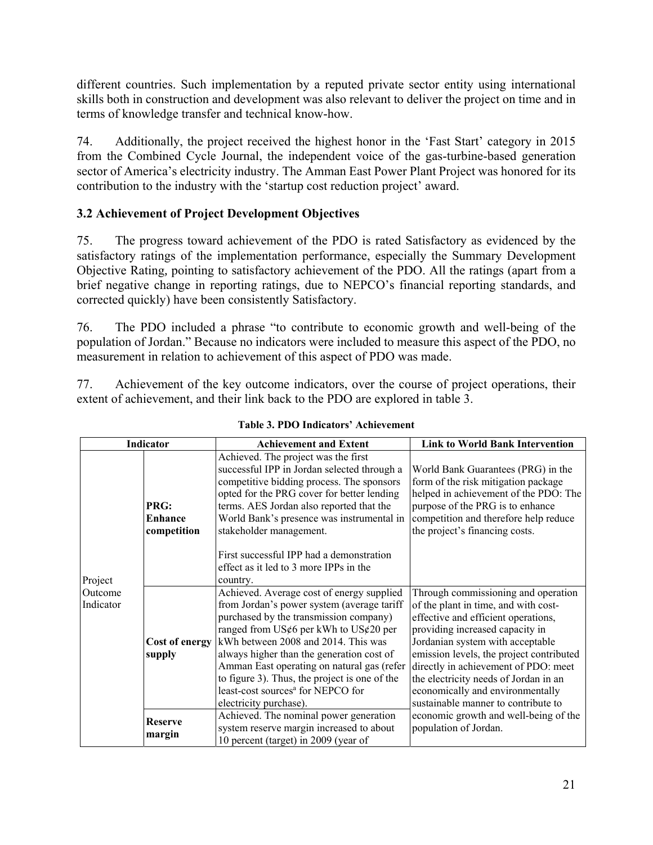different countries. Such implementation by a reputed private sector entity using international skills both in construction and development was also relevant to deliver the project on time and in terms of knowledge transfer and technical know-how.

74. Additionally, the project received the highest honor in the 'Fast Start' category in 2015 from the Combined Cycle Journal, the independent voice of the gas-turbine-based generation sector of America's electricity industry. The Amman East Power Plant Project was honored for its contribution to the industry with the 'startup cost reduction project' award.

### **3.2 Achievement of Project Development Objectives**

75. The progress toward achievement of the PDO is rated Satisfactory as evidenced by the satisfactory ratings of the implementation performance, especially the Summary Development Objective Rating*,* pointing to satisfactory achievement of the PDO. All the ratings (apart from a brief negative change in reporting ratings, due to NEPCO's financial reporting standards, and corrected quickly) have been consistently Satisfactory.

76. The PDO included a phrase "to contribute to economic growth and well-being of the population of Jordan." Because no indicators were included to measure this aspect of the PDO, no measurement in relation to achievement of this aspect of PDO was made.

77. Achievement of the key outcome indicators, over the course of project operations, their extent of achievement, and their link back to the PDO are explored in table 3.

| Indicator                                |                                         | <b>Achievement and Extent</b>                                                                                                                                                                                                                                                                                                                                                                                                                                                                                                                                          | <b>Link to World Bank Intervention</b>                                                                                                                                                                                                                                                                                                                                                                                                                              |
|------------------------------------------|-----------------------------------------|------------------------------------------------------------------------------------------------------------------------------------------------------------------------------------------------------------------------------------------------------------------------------------------------------------------------------------------------------------------------------------------------------------------------------------------------------------------------------------------------------------------------------------------------------------------------|---------------------------------------------------------------------------------------------------------------------------------------------------------------------------------------------------------------------------------------------------------------------------------------------------------------------------------------------------------------------------------------------------------------------------------------------------------------------|
| <b>PRG:</b><br>Project                   | <b>Enhance</b><br>competition           | Achieved. The project was the first<br>successful IPP in Jordan selected through a<br>competitive bidding process. The sponsors<br>opted for the PRG cover for better lending<br>terms. AES Jordan also reported that the<br>World Bank's presence was instrumental in<br>stakeholder management.<br>First successful IPP had a demonstration<br>effect as it led to 3 more IPPs in the<br>country.                                                                                                                                                                    | World Bank Guarantees (PRG) in the<br>form of the risk mitigation package<br>helped in achievement of the PDO: The<br>purpose of the PRG is to enhance<br>competition and therefore help reduce<br>the project's financing costs.                                                                                                                                                                                                                                   |
| Outcome<br>Indicator<br>supply<br>margin | <b>Cost of energy</b><br><b>Reserve</b> | Achieved. Average cost of energy supplied<br>from Jordan's power system (average tariff<br>purchased by the transmission company)<br>ranged from US¢6 per kWh to US¢20 per<br>kWh between 2008 and 2014. This was<br>always higher than the generation cost of<br>Amman East operating on natural gas (refer<br>to figure 3). Thus, the project is one of the<br>least-cost sources <sup>a</sup> for NEPCO for<br>electricity purchase).<br>Achieved. The nominal power generation<br>system reserve margin increased to about<br>10 percent (target) in 2009 (year of | Through commissioning and operation<br>of the plant in time, and with cost-<br>effective and efficient operations,<br>providing increased capacity in<br>Jordanian system with acceptable<br>emission levels, the project contributed<br>directly in achievement of PDO: meet<br>the electricity needs of Jordan in an<br>economically and environmentally<br>sustainable manner to contribute to<br>economic growth and well-being of the<br>population of Jordan. |

#### **Table 3. PDO Indicators' Achievement**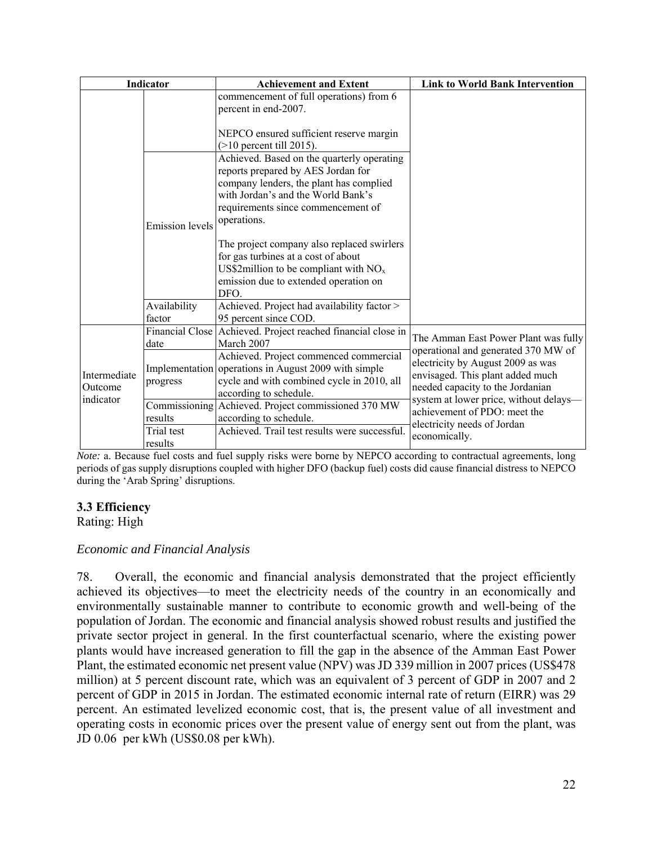| Indicator                            |                                | <b>Achievement and Extent</b>                                                                                                                                                  | <b>Link to World Bank Intervention</b>                                                                                 |
|--------------------------------------|--------------------------------|--------------------------------------------------------------------------------------------------------------------------------------------------------------------------------|------------------------------------------------------------------------------------------------------------------------|
|                                      |                                | commencement of full operations) from 6<br>percent in end-2007.                                                                                                                |                                                                                                                        |
|                                      |                                | NEPCO ensured sufficient reserve margin<br>$(>10$ percent till 2015).<br>Achieved. Based on the quarterly operating<br>reports prepared by AES Jordan for                      |                                                                                                                        |
|                                      | <b>Emission</b> levels         | company lenders, the plant has complied<br>with Jordan's and the World Bank's<br>requirements since commencement of<br>operations.                                             |                                                                                                                        |
|                                      |                                | The project company also replaced swirlers<br>for gas turbines at a cost of about<br>US\$2 million to be compliant with $NOx$<br>emission due to extended operation on<br>DFO. |                                                                                                                        |
|                                      | Availability<br>factor         | Achieved. Project had availability factor ><br>95 percent since COD.                                                                                                           |                                                                                                                        |
|                                      | <b>Financial Close</b><br>date | Achieved. Project reached financial close in<br>March 2007                                                                                                                     | The Amman East Power Plant was fully<br>operational and generated 370 MW of                                            |
| Intermediate<br>Outcome<br>indicator | progress                       | Achieved. Project commenced commercial<br>Implementation operations in August 2009 with simple<br>cycle and with combined cycle in 2010, all<br>according to schedule.         | electricity by August 2009 as was<br>envisaged. This plant added much<br>needed capacity to the Jordanian              |
|                                      | Commissioning<br>results       | Achieved. Project commissioned 370 MW<br>according to schedule.                                                                                                                | system at lower price, without delays-<br>achievement of PDO: meet the<br>electricity needs of Jordan<br>economically. |
|                                      | Trial test<br>results          | Achieved. Trail test results were successful                                                                                                                                   |                                                                                                                        |

*Note:* a. Because fuel costs and fuel supply risks were borne by NEPCO according to contractual agreements, long periods of gas supply disruptions coupled with higher DFO (backup fuel) costs did cause financial distress to NEPCO during the 'Arab Spring' disruptions.

#### **3.3 Efficiency**

Rating: High

#### *Economic and Financial Analysis*

78. Overall, the economic and financial analysis demonstrated that the project efficiently achieved its objectives—to meet the electricity needs of the country in an economically and environmentally sustainable manner to contribute to economic growth and well-being of the population of Jordan. The economic and financial analysis showed robust results and justified the private sector project in general. In the first counterfactual scenario, where the existing power plants would have increased generation to fill the gap in the absence of the Amman East Power Plant, the estimated economic net present value (NPV) was JD 339 million in 2007 prices (US\$478 million) at 5 percent discount rate, which was an equivalent of 3 percent of GDP in 2007 and 2 percent of GDP in 2015 in Jordan. The estimated economic internal rate of return (EIRR) was 29 percent. An estimated levelized economic cost, that is, the present value of all investment and operating costs in economic prices over the present value of energy sent out from the plant, was JD 0.06 per kWh (US\$0.08 per kWh).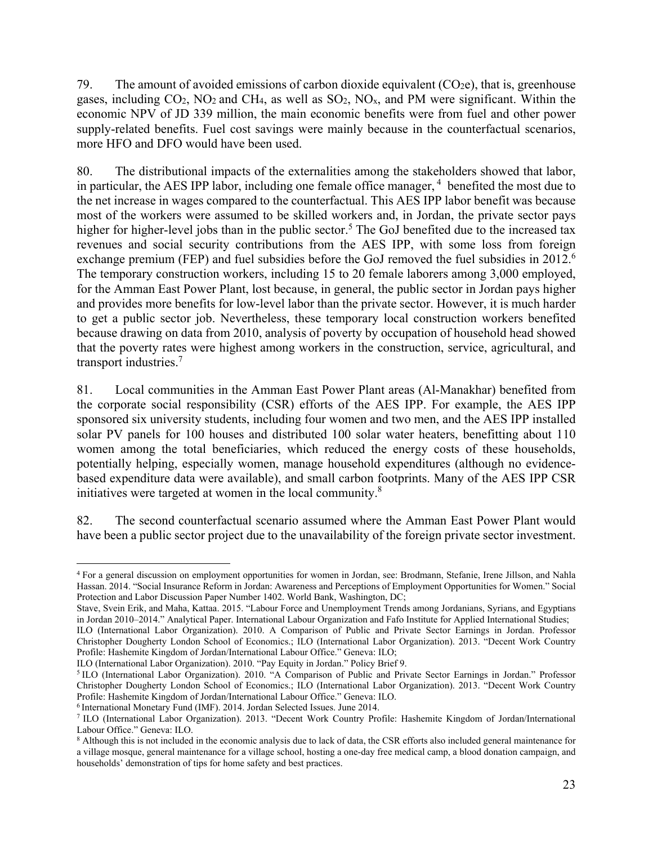79. The amount of avoided emissions of carbon dioxide equivalent  $(CO<sub>2</sub>e)$ , that is, greenhouse gases, including  $CO_2$ ,  $NO_2$  and  $CH_4$ , as well as  $SO_2$ ,  $NO_x$ , and PM were significant. Within the economic NPV of JD 339 million, the main economic benefits were from fuel and other power supply-related benefits. Fuel cost savings were mainly because in the counterfactual scenarios, more HFO and DFO would have been used.

80. The distributional impacts of the externalities among the stakeholders showed that labor, in particular, the AES IPP labor, including one female office manager,  $4$  benefited the most due to the net increase in wages compared to the counterfactual. This AES IPP labor benefit was because most of the workers were assumed to be skilled workers and, in Jordan, the private sector pays higher for higher-level jobs than in the public sector.<sup>5</sup> The GoJ benefited due to the increased tax revenues and social security contributions from the AES IPP, with some loss from foreign exchange premium (FEP) and fuel subsidies before the GoJ removed the fuel subsidies in 2012.<sup>6</sup> The temporary construction workers, including 15 to 20 female laborers among 3,000 employed, for the Amman East Power Plant, lost because, in general, the public sector in Jordan pays higher and provides more benefits for low-level labor than the private sector. However, it is much harder to get a public sector job. Nevertheless, these temporary local construction workers benefited because drawing on data from 2010, analysis of poverty by occupation of household head showed that the poverty rates were highest among workers in the construction, service, agricultural, and transport industries.<sup>7</sup>

81. Local communities in the Amman East Power Plant areas (Al-Manakhar) benefited from the corporate social responsibility (CSR) efforts of the AES IPP. For example, the AES IPP sponsored six university students, including four women and two men, and the AES IPP installed solar PV panels for 100 houses and distributed 100 solar water heaters, benefitting about 110 women among the total beneficiaries, which reduced the energy costs of these households, potentially helping, especially women, manage household expenditures (although no evidencebased expenditure data were available), and small carbon footprints. Many of the AES IPP CSR initiatives were targeted at women in the local community.8

82. The second counterfactual scenario assumed where the Amman East Power Plant would have been a public sector project due to the unavailability of the foreign private sector investment.

Stave, Svein Erik, and Maha, Kattaa. 2015. "Labour Force and Unemployment Trends among Jordanians, Syrians, and Egyptians in Jordan 2010–2014." Analytical Paper. International Labour Organization and Fafo Institute for Applied International Studies;

 $\overline{a}$ 

<sup>4</sup> For a general discussion on employment opportunities for women in Jordan, see: Brodmann, Stefanie, Irene Jillson, and Nahla Hassan. 2014. "Social Insurance Reform in Jordan: Awareness and Perceptions of Employment Opportunities for Women." Social Protection and Labor Discussion Paper Number 1402. World Bank, Washington, DC;

ILO (International Labor Organization). 2010. A Comparison of Public and Private Sector Earnings in Jordan. Professor Christopher Dougherty London School of Economics.; ILO (International Labor Organization). 2013. "Decent Work Country Profile: Hashemite Kingdom of Jordan/International Labour Office." Geneva: ILO;<br>ILO (International Labor Organization). 2010. "Pay Equity in Jordan." Policy Brief 9.

<sup>&</sup>lt;sup>5</sup> ILO (International Labor Organization). 2010. "A Comparison of Public and Private Sector Earnings in Jordan." Professor Christopher Dougherty London School of Economics.; ILO (International Labor Organization). 2013. "Decent Work Country Profile: Hashemite Kingdom of Jordan/International Labour Office." Geneva: ILO.<br><sup>6</sup> International Monetary Fund (IMF). 2014. Jordan Selected Issues. June 2014.<br><sup>7</sup> ILO (International Labor Organization). 2013. "Decent Work

Labour Office." Geneva: ILO.<br><sup>8</sup> Although this is not included in the economic analysis due to lack of data, the CSR efforts also included general maintenance for

a village mosque, general maintenance for a village school, hosting a one-day free medical camp, a blood donation campaign, and households' demonstration of tips for home safety and best practices.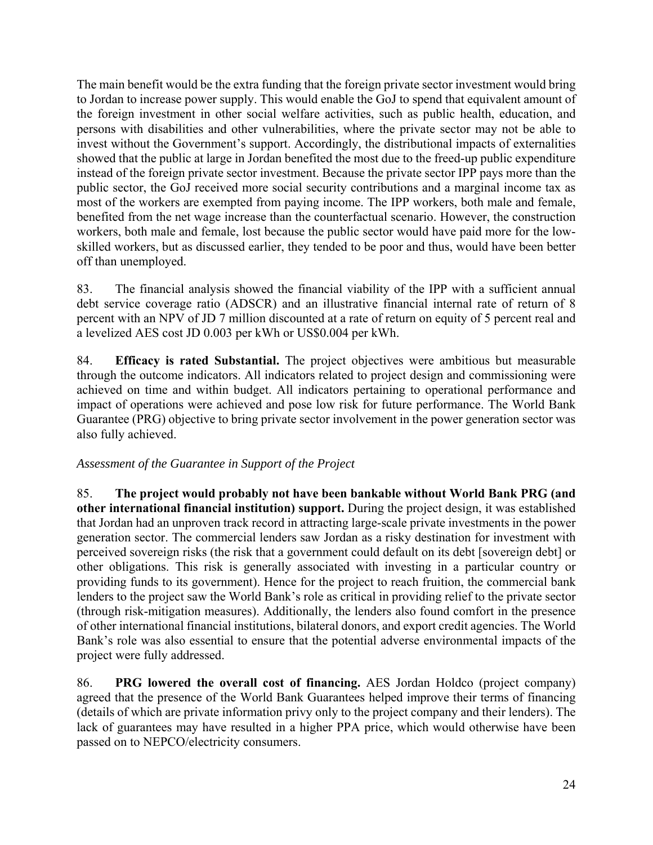The main benefit would be the extra funding that the foreign private sector investment would bring to Jordan to increase power supply. This would enable the GoJ to spend that equivalent amount of the foreign investment in other social welfare activities, such as public health, education, and persons with disabilities and other vulnerabilities, where the private sector may not be able to invest without the Government's support. Accordingly, the distributional impacts of externalities showed that the public at large in Jordan benefited the most due to the freed-up public expenditure instead of the foreign private sector investment. Because the private sector IPP pays more than the public sector, the GoJ received more social security contributions and a marginal income tax as most of the workers are exempted from paying income. The IPP workers, both male and female, benefited from the net wage increase than the counterfactual scenario. However, the construction workers, both male and female, lost because the public sector would have paid more for the lowskilled workers, but as discussed earlier, they tended to be poor and thus, would have been better off than unemployed.

83. The financial analysis showed the financial viability of the IPP with a sufficient annual debt service coverage ratio (ADSCR) and an illustrative financial internal rate of return of 8 percent with an NPV of JD 7 million discounted at a rate of return on equity of 5 percent real and a levelized AES cost JD 0.003 per kWh or US\$0.004 per kWh.

84. **Efficacy is rated Substantial.** The project objectives were ambitious but measurable through the outcome indicators. All indicators related to project design and commissioning were achieved on time and within budget. All indicators pertaining to operational performance and impact of operations were achieved and pose low risk for future performance. The World Bank Guarantee (PRG) objective to bring private sector involvement in the power generation sector was also fully achieved.

#### *Assessment of the Guarantee in Support of the Project*

85. **The project would probably not have been bankable without World Bank PRG (and other international financial institution) support.** During the project design, it was established that Jordan had an unproven track record in attracting large-scale private investments in the power generation sector. The commercial lenders saw Jordan as a risky destination for investment with perceived sovereign risks (the risk that a government could default on its debt [sovereign debt] or other obligations. This risk is generally associated with investing in a particular country or providing funds to its government). Hence for the project to reach fruition, the commercial bank lenders to the project saw the World Bank's role as critical in providing relief to the private sector (through risk-mitigation measures). Additionally, the lenders also found comfort in the presence of other international financial institutions, bilateral donors, and export credit agencies. The World Bank's role was also essential to ensure that the potential adverse environmental impacts of the project were fully addressed.

86. **PRG lowered the overall cost of financing.** AES Jordan Holdco (project company) agreed that the presence of the World Bank Guarantees helped improve their terms of financing (details of which are private information privy only to the project company and their lenders). The lack of guarantees may have resulted in a higher PPA price, which would otherwise have been passed on to NEPCO/electricity consumers.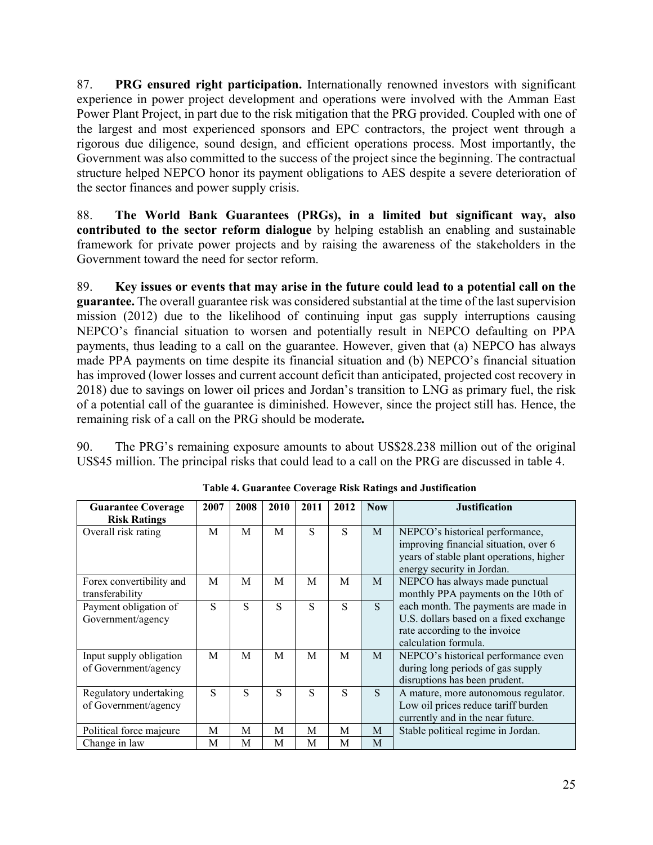87. **PRG ensured right participation.** Internationally renowned investors with significant experience in power project development and operations were involved with the Amman East Power Plant Project, in part due to the risk mitigation that the PRG provided. Coupled with one of the largest and most experienced sponsors and EPC contractors, the project went through a rigorous due diligence, sound design, and efficient operations process. Most importantly, the Government was also committed to the success of the project since the beginning. The contractual structure helped NEPCO honor its payment obligations to AES despite a severe deterioration of the sector finances and power supply crisis.

88. **The World Bank Guarantees (PRGs), in a limited but significant way, also contributed to the sector reform dialogue** by helping establish an enabling and sustainable framework for private power projects and by raising the awareness of the stakeholders in the Government toward the need for sector reform.

89. **Key issues or events that may arise in the future could lead to a potential call on the guarantee.** The overall guarantee risk was considered substantial at the time of the last supervision mission (2012) due to the likelihood of continuing input gas supply interruptions causing NEPCO's financial situation to worsen and potentially result in NEPCO defaulting on PPA payments, thus leading to a call on the guarantee. However, given that (a) NEPCO has always made PPA payments on time despite its financial situation and (b) NEPCO's financial situation has improved (lower losses and current account deficit than anticipated, projected cost recovery in 2018) due to savings on lower oil prices and Jordan's transition to LNG as primary fuel, the risk of a potential call of the guarantee is diminished. However, since the project still has. Hence, the remaining risk of a call on the PRG should be moderate*.*

90. The PRG's remaining exposure amounts to about US\$28.238 million out of the original US\$45 million. The principal risks that could lead to a call on the PRG are discussed in table 4.

| <b>Guarantee Coverage</b><br><b>Risk Ratings</b> | 2007 | 2008 | 2010 | 2011 | 2012 | <b>Now</b>   | <b>Justification</b>                                                                                                                               |
|--------------------------------------------------|------|------|------|------|------|--------------|----------------------------------------------------------------------------------------------------------------------------------------------------|
| Overall risk rating                              | M    | M    | M    | S    | S    | M            | NEPCO's historical performance,<br>improving financial situation, over 6<br>years of stable plant operations, higher<br>energy security in Jordan. |
| Forex convertibility and<br>transferability      | M    | M    | M    | M    | M    | M            | NEPCO has always made punctual<br>monthly PPA payments on the 10th of                                                                              |
| Payment obligation of<br>Government/agency       | S    | S    | S    | S    | S    | <sub>S</sub> | each month. The payments are made in<br>U.S. dollars based on a fixed exchange<br>rate according to the invoice<br>calculation formula.            |
| Input supply obligation<br>of Government/agency  | M    | M    | M    | M    | M    | M            | NEPCO's historical performance even<br>during long periods of gas supply<br>disruptions has been prudent.                                          |
| Regulatory undertaking<br>of Government/agency   | S    | S    | S    | S    | S    | S            | A mature, more autonomous regulator.<br>Low oil prices reduce tariff burden<br>currently and in the near future.                                   |
| Political force majeure                          | M    | M    | M    | M    | M    | M            | Stable political regime in Jordan.                                                                                                                 |
| Change in law                                    | M    | M    | M    | М    | М    | M            |                                                                                                                                                    |

 **Table 4. Guarantee Coverage Risk Ratings and Justification**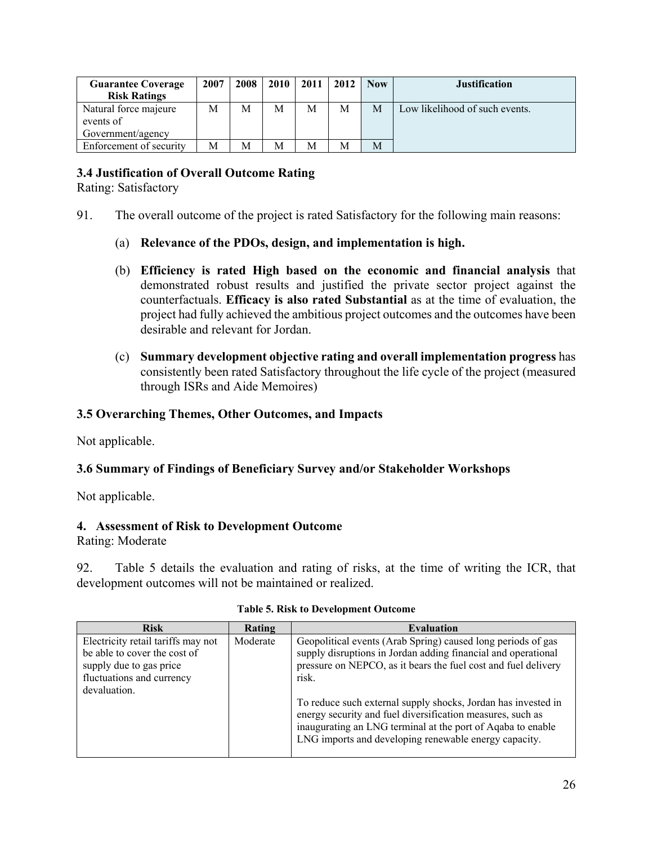| <b>Guarantee Coverage</b><br><b>Risk Ratings</b> | 2007 | 2008 | 2010 | 2011 | 2012 | <b>Now</b> | <b>Justification</b>           |
|--------------------------------------------------|------|------|------|------|------|------------|--------------------------------|
| Natural force majeure<br>events of               | Μ    | М    | M    | M    | М    | M          | Low likelihood of such events. |
| Government/agency                                |      |      |      |      |      |            |                                |
| Enforcement of security                          | М    | M    | М    | M    | М    | M          |                                |

### **3.4 Justification of Overall Outcome Rating**

Rating: Satisfactory

- 91. The overall outcome of the project is rated Satisfactory for the following main reasons:
	- (a) **Relevance of the PDOs, design, and implementation is high.**
	- (b) **Efficiency is rated High based on the economic and financial analysis** that demonstrated robust results and justified the private sector project against the counterfactuals. **Efficacy is also rated Substantial** as at the time of evaluation, the project had fully achieved the ambitious project outcomes and the outcomes have been desirable and relevant for Jordan.
	- (c) **Summary development objective rating and overall implementation progress** has consistently been rated Satisfactory throughout the life cycle of the project (measured through ISRs and Aide Memoires)

#### **3.5 Overarching Themes, Other Outcomes, and Impacts**

Not applicable.

#### **3.6 Summary of Findings of Beneficiary Survey and/or Stakeholder Workshops**

Not applicable.

#### **4. Assessment of Risk to Development Outcome**

Rating: Moderate

92. Table 5 details the evaluation and rating of risks, at the time of writing the ICR, that development outcomes will not be maintained or realized.

| <b>Risk</b>                                                                                                                | Rating   | <b>Evaluation</b>                                                                                                                                                                                                                                   |
|----------------------------------------------------------------------------------------------------------------------------|----------|-----------------------------------------------------------------------------------------------------------------------------------------------------------------------------------------------------------------------------------------------------|
| Electricity retail tariffs may not<br>be able to cover the cost of<br>supply due to gas price<br>fluctuations and currency | Moderate | Geopolitical events (Arab Spring) caused long periods of gas<br>supply disruptions in Jordan adding financial and operational<br>pressure on NEPCO, as it bears the fuel cost and fuel delivery<br>risk.                                            |
| devaluation.                                                                                                               |          | To reduce such external supply shocks, Jordan has invested in<br>energy security and fuel diversification measures, such as<br>inaugurating an LNG terminal at the port of Aqaba to enable<br>LNG imports and developing renewable energy capacity. |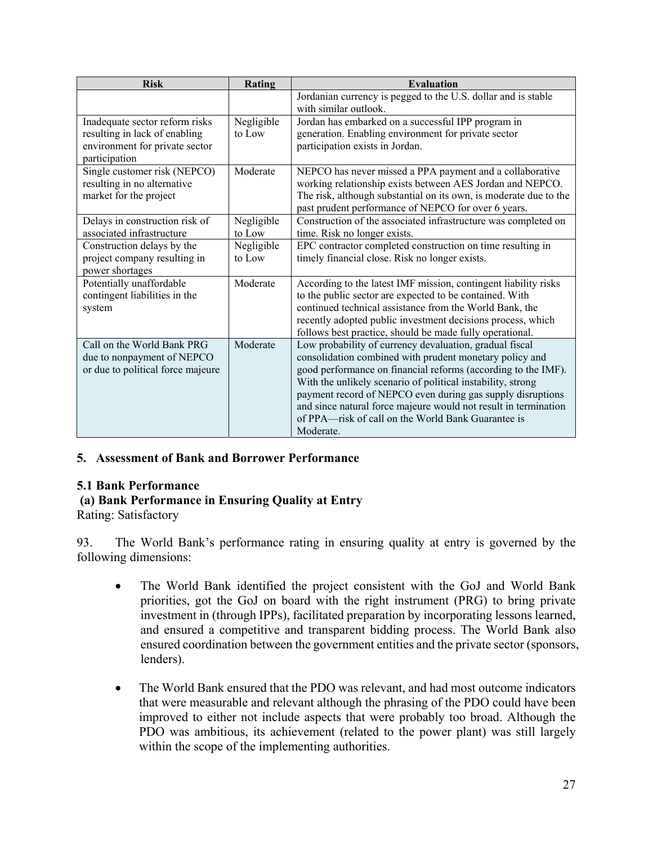| <b>Risk</b>                                                                                                        | <b>Rating</b>        | <b>Evaluation</b>                                                                                                                                                                                                                                                                                                                                                                                                                                      |
|--------------------------------------------------------------------------------------------------------------------|----------------------|--------------------------------------------------------------------------------------------------------------------------------------------------------------------------------------------------------------------------------------------------------------------------------------------------------------------------------------------------------------------------------------------------------------------------------------------------------|
|                                                                                                                    |                      | Jordanian currency is pegged to the U.S. dollar and is stable<br>with similar outlook.                                                                                                                                                                                                                                                                                                                                                                 |
| Inadequate sector reform risks<br>resulting in lack of enabling<br>environment for private sector<br>participation | Negligible<br>to Low | Jordan has embarked on a successful IPP program in<br>generation. Enabling environment for private sector<br>participation exists in Jordan.                                                                                                                                                                                                                                                                                                           |
| Single customer risk (NEPCO)<br>resulting in no alternative<br>market for the project                              | Moderate             | NEPCO has never missed a PPA payment and a collaborative<br>working relationship exists between AES Jordan and NEPCO.<br>The risk, although substantial on its own, is moderate due to the<br>past prudent performance of NEPCO for over 6 years.                                                                                                                                                                                                      |
| Delays in construction risk of<br>associated infrastructure                                                        | Negligible<br>to Low | Construction of the associated infrastructure was completed on<br>time. Risk no longer exists.                                                                                                                                                                                                                                                                                                                                                         |
| Construction delays by the<br>project company resulting in<br>power shortages                                      | Negligible<br>to Low | EPC contractor completed construction on time resulting in<br>timely financial close. Risk no longer exists.                                                                                                                                                                                                                                                                                                                                           |
| Potentially unaffordable<br>contingent liabilities in the<br>system                                                | Moderate             | According to the latest IMF mission, contingent liability risks<br>to the public sector are expected to be contained. With<br>continued technical assistance from the World Bank, the<br>recently adopted public investment decisions process, which<br>follows best practice, should be made fully operational.                                                                                                                                       |
| Call on the World Bank PRG<br>due to nonpayment of NEPCO<br>or due to political force majeure                      | Moderate             | Low probability of currency devaluation, gradual fiscal<br>consolidation combined with prudent monetary policy and<br>good performance on financial reforms (according to the IMF).<br>With the unlikely scenario of political instability, strong<br>payment record of NEPCO even during gas supply disruptions<br>and since natural force majeure would not result in termination<br>of PPA—risk of call on the World Bank Guarantee is<br>Moderate. |

#### **5. Assessment of Bank and Borrower Performance**

#### **5.1 Bank Performance**

#### **(a) Bank Performance in Ensuring Quality at Entry**

Rating: Satisfactory

93. The World Bank's performance rating in ensuring quality at entry is governed by the following dimensions:

- The World Bank identified the project consistent with the GoJ and World Bank priorities, got the GoJ on board with the right instrument (PRG) to bring private investment in (through IPPs), facilitated preparation by incorporating lessons learned, and ensured a competitive and transparent bidding process. The World Bank also ensured coordination between the government entities and the private sector (sponsors, lenders).
- The World Bank ensured that the PDO was relevant, and had most outcome indicators that were measurable and relevant although the phrasing of the PDO could have been improved to either not include aspects that were probably too broad. Although the PDO was ambitious, its achievement (related to the power plant) was still largely within the scope of the implementing authorities.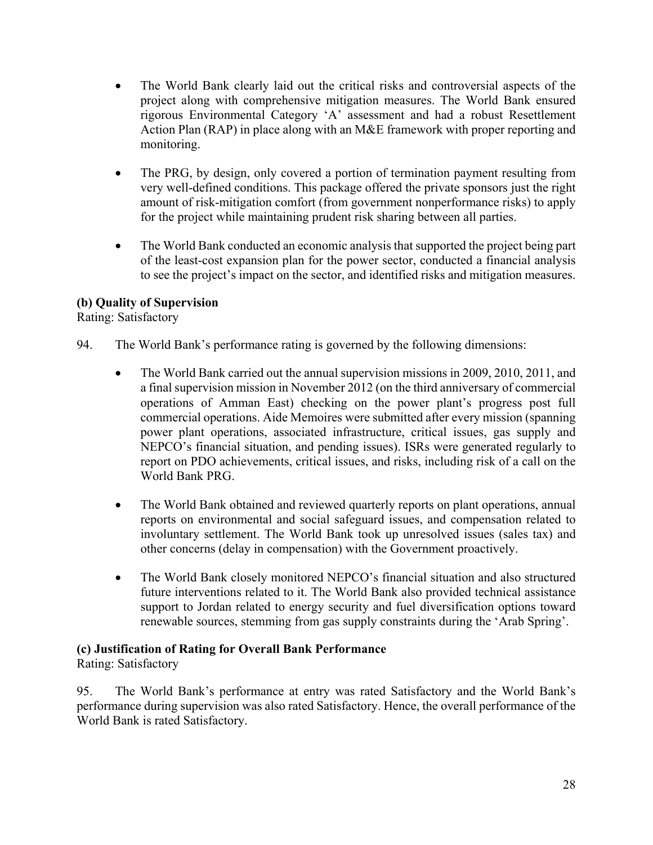- The World Bank clearly laid out the critical risks and controversial aspects of the project along with comprehensive mitigation measures. The World Bank ensured rigorous Environmental Category 'A' assessment and had a robust Resettlement Action Plan (RAP) in place along with an M&E framework with proper reporting and monitoring.
- The PRG, by design, only covered a portion of termination payment resulting from very well-defined conditions. This package offered the private sponsors just the right amount of risk-mitigation comfort (from government nonperformance risks) to apply for the project while maintaining prudent risk sharing between all parties.
- The World Bank conducted an economic analysis that supported the project being part of the least-cost expansion plan for the power sector, conducted a financial analysis to see the project's impact on the sector, and identified risks and mitigation measures.

### **(b) Quality of Supervision**

Rating: Satisfactory

- 94. The World Bank's performance rating is governed by the following dimensions:
	- The World Bank carried out the annual supervision missions in 2009, 2010, 2011, and a final supervision mission in November 2012 (on the third anniversary of commercial operations of Amman East) checking on the power plant's progress post full commercial operations. Aide Memoires were submitted after every mission (spanning power plant operations, associated infrastructure, critical issues, gas supply and NEPCO's financial situation, and pending issues). ISRs were generated regularly to report on PDO achievements, critical issues, and risks, including risk of a call on the World Bank PRG.
	- The World Bank obtained and reviewed quarterly reports on plant operations, annual reports on environmental and social safeguard issues, and compensation related to involuntary settlement. The World Bank took up unresolved issues (sales tax) and other concerns (delay in compensation) with the Government proactively.
	- The World Bank closely monitored NEPCO's financial situation and also structured future interventions related to it. The World Bank also provided technical assistance support to Jordan related to energy security and fuel diversification options toward renewable sources, stemming from gas supply constraints during the 'Arab Spring'.

#### **(c) Justification of Rating for Overall Bank Performance**

Rating: Satisfactory

95. The World Bank's performance at entry was rated Satisfactory and the World Bank's performance during supervision was also rated Satisfactory. Hence, the overall performance of the World Bank is rated Satisfactory.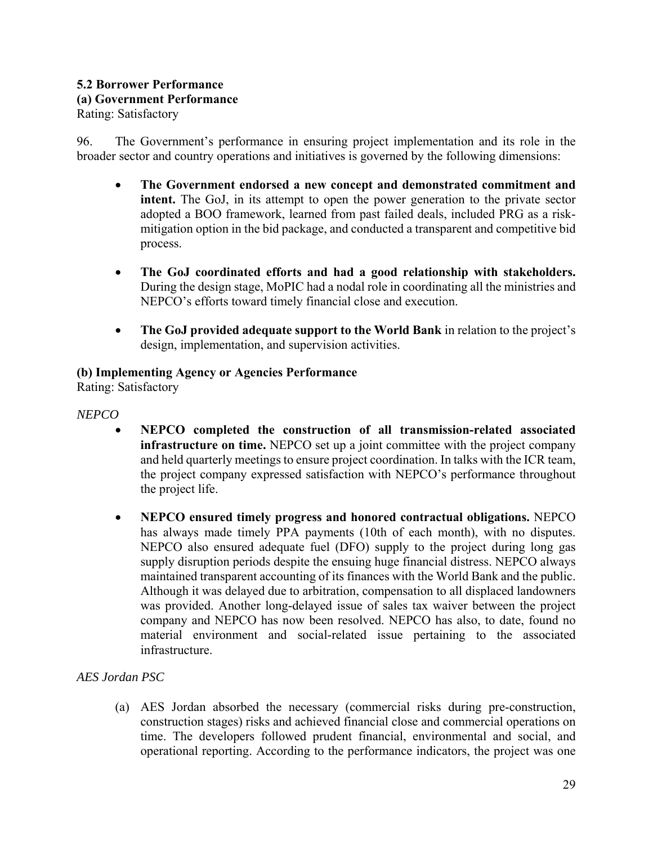#### **5.2 Borrower Performance (a) Government Performance** Rating: Satisfactory

96. The Government's performance in ensuring project implementation and its role in the broader sector and country operations and initiatives is governed by the following dimensions:

- **The Government endorsed a new concept and demonstrated commitment and intent.** The GoJ, in its attempt to open the power generation to the private sector adopted a BOO framework, learned from past failed deals, included PRG as a riskmitigation option in the bid package, and conducted a transparent and competitive bid process.
- **The GoJ coordinated efforts and had a good relationship with stakeholders.** During the design stage, MoPIC had a nodal role in coordinating all the ministries and NEPCO's efforts toward timely financial close and execution.
- **The GoJ provided adequate support to the World Bank** in relation to the project's design, implementation, and supervision activities.

# **(b) Implementing Agency or Agencies Performance**

Rating: Satisfactory

### *NEPCO*

- **NEPCO completed the construction of all transmission-related associated infrastructure on time.** NEPCO set up a joint committee with the project company and held quarterly meetings to ensure project coordination. In talks with the ICR team, the project company expressed satisfaction with NEPCO's performance throughout the project life.
- **NEPCO ensured timely progress and honored contractual obligations.** NEPCO has always made timely PPA payments (10th of each month), with no disputes. NEPCO also ensured adequate fuel (DFO) supply to the project during long gas supply disruption periods despite the ensuing huge financial distress. NEPCO always maintained transparent accounting of its finances with the World Bank and the public. Although it was delayed due to arbitration, compensation to all displaced landowners was provided. Another long-delayed issue of sales tax waiver between the project company and NEPCO has now been resolved. NEPCO has also, to date, found no material environment and social-related issue pertaining to the associated infrastructure.

# *AES Jordan PSC*

(a) AES Jordan absorbed the necessary (commercial risks during pre-construction, construction stages) risks and achieved financial close and commercial operations on time. The developers followed prudent financial, environmental and social, and operational reporting. According to the performance indicators, the project was one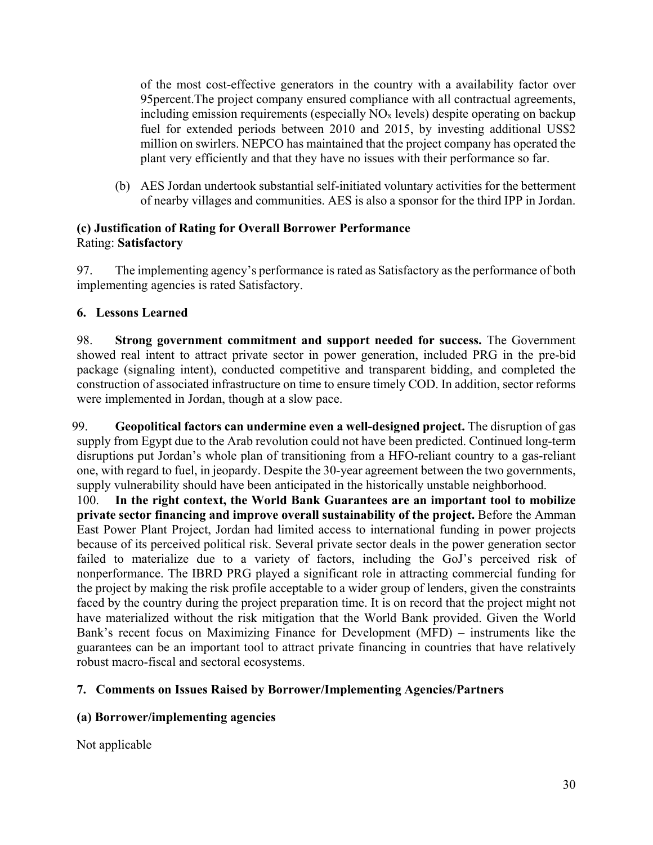of the most cost-effective generators in the country with a availability factor over 95percent.The project company ensured compliance with all contractual agreements, including emission requirements (especially  $NO<sub>x</sub>$  levels) despite operating on backup fuel for extended periods between 2010 and 2015, by investing additional US\$2 million on swirlers. NEPCO has maintained that the project company has operated the plant very efficiently and that they have no issues with their performance so far.

(b) AES Jordan undertook substantial self-initiated voluntary activities for the betterment of nearby villages and communities. AES is also a sponsor for the third IPP in Jordan.

#### **(c) Justification of Rating for Overall Borrower Performance**  Rating: **Satisfactory**

97. The implementing agency's performance is rated as Satisfactory as the performance of both implementing agencies is rated Satisfactory.

# **6. Lessons Learned**

98. **Strong government commitment and support needed for success.** The Government showed real intent to attract private sector in power generation, included PRG in the pre-bid package (signaling intent), conducted competitive and transparent bidding, and completed the construction of associated infrastructure on time to ensure timely COD. In addition, sector reforms were implemented in Jordan, though at a slow pace.

99. **Geopolitical factors can undermine even a well-designed project.** The disruption of gas supply from Egypt due to the Arab revolution could not have been predicted. Continued long-term disruptions put Jordan's whole plan of transitioning from a HFO-reliant country to a gas-reliant one, with regard to fuel, in jeopardy. Despite the 30-year agreement between the two governments, supply vulnerability should have been anticipated in the historically unstable neighborhood.

100. **In the right context, the World Bank Guarantees are an important tool to mobilize private sector financing and improve overall sustainability of the project.** Before the Amman East Power Plant Project, Jordan had limited access to international funding in power projects because of its perceived political risk. Several private sector deals in the power generation sector failed to materialize due to a variety of factors, including the GoJ's perceived risk of nonperformance. The IBRD PRG played a significant role in attracting commercial funding for the project by making the risk profile acceptable to a wider group of lenders, given the constraints faced by the country during the project preparation time. It is on record that the project might not have materialized without the risk mitigation that the World Bank provided. Given the World Bank's recent focus on Maximizing Finance for Development (MFD) – instruments like the guarantees can be an important tool to attract private financing in countries that have relatively robust macro-fiscal and sectoral ecosystems.

# **7. Comments on Issues Raised by Borrower/Implementing Agencies/Partners**

# **(a) Borrower/implementing agencies**

Not applicable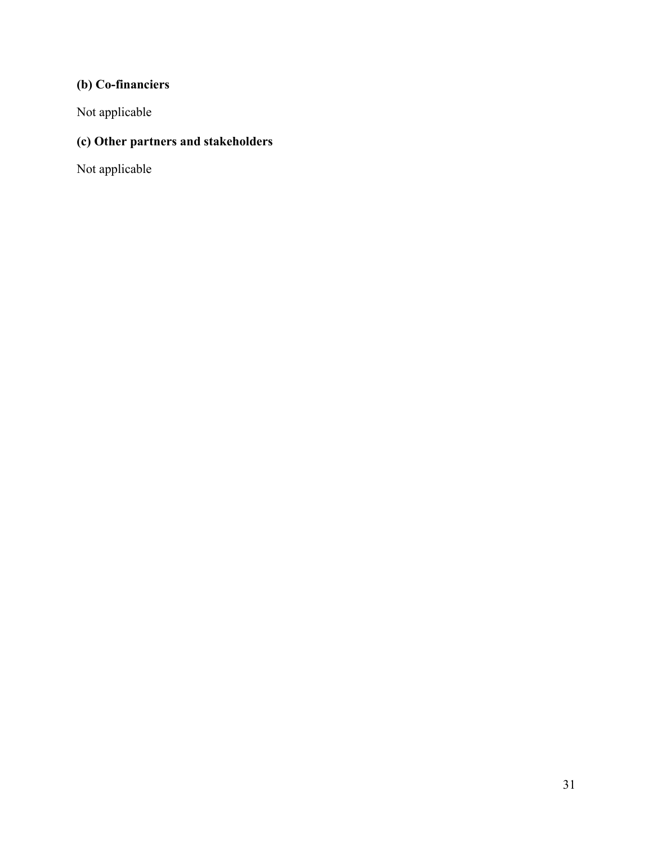# **(b) Co-financiers**

Not applicable

# **(c) Other partners and stakeholders**

Not applicable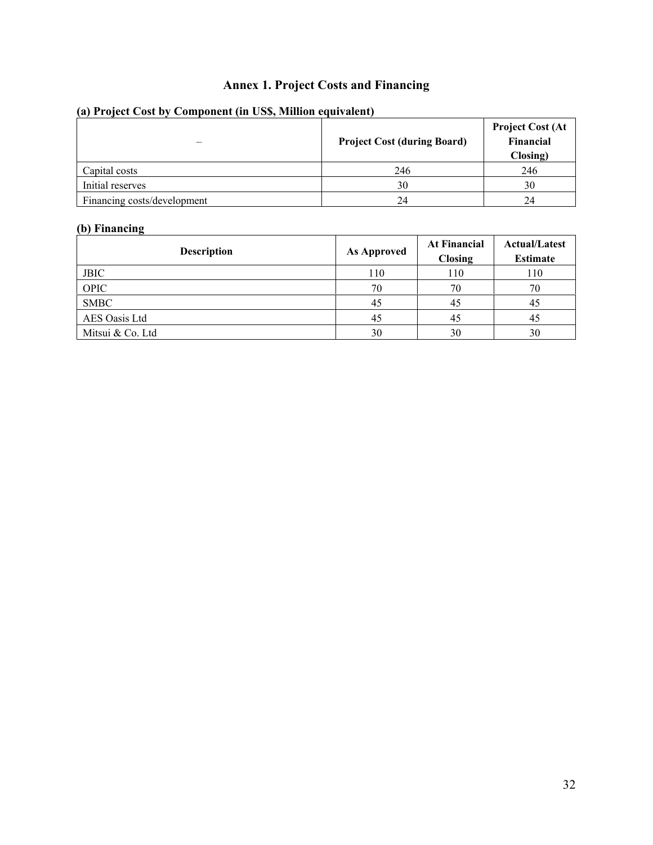# **Annex 1. Project Costs and Financing**

# **(a) Project Cost by Component (in US\$, Million equivalent)**

| –                           | <b>Project Cost (during Board)</b> | <b>Project Cost (At</b><br>Financial<br>Closing) |
|-----------------------------|------------------------------------|--------------------------------------------------|
| Capital costs               | 246                                | 246                                              |
| Initial reserves            | 30                                 | 30                                               |
| Financing costs/development | 24                                 | 24                                               |

# **(b) Financing**

| <b>Description</b> | <b>As Approved</b> | <b>At Financial</b><br><b>Closing</b> | <b>Actual/Latest</b><br><b>Estimate</b> |  |  |  |
|--------------------|--------------------|---------------------------------------|-----------------------------------------|--|--|--|
| <b>JBIC</b>        | 110                | 110                                   | 110                                     |  |  |  |
| OPIC               | 70                 | 70                                    | 70                                      |  |  |  |
| <b>SMBC</b>        | 45                 | 45                                    | 45                                      |  |  |  |
| AES Oasis Ltd      | 45                 | 45                                    | 45                                      |  |  |  |
| Mitsui & Co. Ltd   | 30                 | 30                                    | 30                                      |  |  |  |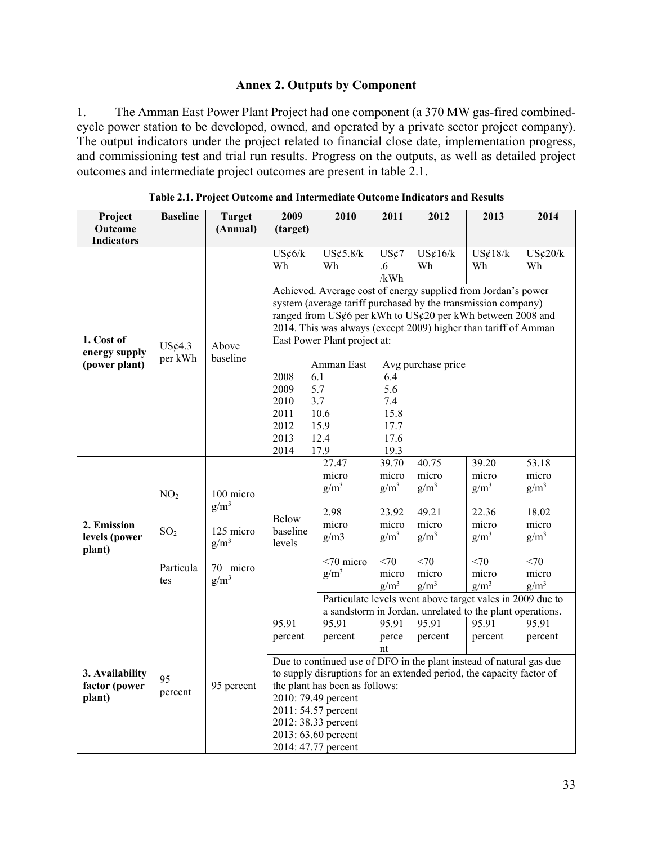#### **Annex 2. Outputs by Component**

1. The Amman East Power Plant Project had one component (a 370 MW gas-fired combinedcycle power station to be developed, owned, and operated by a private sector project company). The output indicators under the project related to financial close date, implementation progress, and commissioning test and trial run results. Progress on the outputs, as well as detailed project outcomes and intermediate project outcomes are present in table 2.1.

| Project           | <b>Baseline</b> | <b>Target</b>        | 2009                                                            | 2010                                                                 | 2011             | 2012               | 2013                                                      | 2014       |  |  |  |  |  |
|-------------------|-----------------|----------------------|-----------------------------------------------------------------|----------------------------------------------------------------------|------------------|--------------------|-----------------------------------------------------------|------------|--|--|--|--|--|
| Outcome           |                 | (Annual)             | (target)                                                        |                                                                      |                  |                    |                                                           |            |  |  |  |  |  |
| <b>Indicators</b> |                 |                      |                                                                 |                                                                      |                  |                    |                                                           |            |  |  |  |  |  |
|                   |                 |                      | $US$ ¢6/k                                                       | $US$ ¢5.8/k                                                          | $US\mathcal{E}7$ | US¢16/k            | US¢18/k                                                   | $US$ ¢20/k |  |  |  |  |  |
|                   |                 |                      | Wh                                                              | Wh                                                                   | .6               | Wh                 | Wh                                                        | Wh         |  |  |  |  |  |
|                   |                 |                      |                                                                 |                                                                      | /kWh             |                    |                                                           |            |  |  |  |  |  |
|                   |                 |                      | Achieved. Average cost of energy supplied from Jordan's power   |                                                                      |                  |                    |                                                           |            |  |  |  |  |  |
|                   |                 |                      | system (average tariff purchased by the transmission company)   |                                                                      |                  |                    |                                                           |            |  |  |  |  |  |
|                   |                 |                      | ranged from US¢6 per kWh to US¢20 per kWh between 2008 and      |                                                                      |                  |                    |                                                           |            |  |  |  |  |  |
|                   |                 |                      | 2014. This was always (except 2009) higher than tariff of Amman |                                                                      |                  |                    |                                                           |            |  |  |  |  |  |
| 1. Cost of        |                 |                      | East Power Plant project at:                                    |                                                                      |                  |                    |                                                           |            |  |  |  |  |  |
| energy supply     | $US$ $¢4.3$     | Above                |                                                                 |                                                                      |                  |                    |                                                           |            |  |  |  |  |  |
| (power plant)     | per kWh         | baseline             |                                                                 | Amman East                                                           |                  | Avg purchase price |                                                           |            |  |  |  |  |  |
|                   |                 |                      | 2008                                                            | 6.1                                                                  | 6.4              |                    |                                                           |            |  |  |  |  |  |
|                   |                 |                      | 2009                                                            | 5.7                                                                  | 5.6              |                    |                                                           |            |  |  |  |  |  |
|                   |                 |                      | 2010                                                            | 3.7                                                                  | 7.4              |                    |                                                           |            |  |  |  |  |  |
|                   |                 |                      | 2011                                                            | 10.6                                                                 | 15.8             |                    |                                                           |            |  |  |  |  |  |
|                   |                 |                      | 2012                                                            | 15.9                                                                 | 17.7             |                    |                                                           |            |  |  |  |  |  |
|                   |                 |                      | 2013                                                            | 12.4                                                                 | 17.6             |                    |                                                           |            |  |  |  |  |  |
|                   |                 |                      | 2014                                                            | 17.9                                                                 | 19.3             |                    |                                                           |            |  |  |  |  |  |
|                   |                 |                      |                                                                 | 27.47                                                                | 39.70            | 40.75              | 39.20                                                     | 53.18      |  |  |  |  |  |
|                   |                 | 100 micro<br>$g/m^3$ |                                                                 | micro                                                                | micro            | micro              | micro                                                     | micro      |  |  |  |  |  |
|                   | NO <sub>2</sub> |                      |                                                                 | $g/m^3$                                                              | $g/m^3$          | $g/m^3$            | $g/m^3$                                                   | $g/m^3$    |  |  |  |  |  |
|                   |                 |                      |                                                                 |                                                                      |                  |                    |                                                           |            |  |  |  |  |  |
|                   |                 |                      | <b>Below</b>                                                    | 2.98                                                                 | 23.92            | 49.21              | 22.36                                                     | 18.02      |  |  |  |  |  |
| 2. Emission       | SO <sub>2</sub> | 125 micro            | baseline                                                        | micro                                                                | micro            | micro              | micro                                                     | micro      |  |  |  |  |  |
| levels (power     |                 | $g/m^3$              | levels                                                          | g/m3                                                                 | $g/m^3$          | $g/m^3$            | g/m <sup>3</sup>                                          | $g/m^3$    |  |  |  |  |  |
| plant)            |                 |                      |                                                                 | <70 micro                                                            | <70              | <70                | <70                                                       | <70        |  |  |  |  |  |
|                   | Particula       | 70 micro             |                                                                 | $g/m^3$                                                              | micro            | micro              | micro                                                     | micro      |  |  |  |  |  |
|                   | tes             | $g/m^3$              |                                                                 |                                                                      | $g/m^3$          | $g/m^3$            | $g/m^3$                                                   | $g/m^3$    |  |  |  |  |  |
|                   |                 |                      |                                                                 |                                                                      |                  |                    | Particulate levels went above target vales in 2009 due to |            |  |  |  |  |  |
|                   |                 |                      |                                                                 |                                                                      |                  |                    | a sandstorm in Jordan, unrelated to the plant operations. |            |  |  |  |  |  |
|                   |                 |                      | 95.91                                                           | 95.91                                                                | 95.91            | 95.91              | 95.91                                                     | 95.91      |  |  |  |  |  |
|                   |                 |                      | percent                                                         | percent                                                              | perce            | percent            | percent                                                   | percent    |  |  |  |  |  |
|                   |                 |                      |                                                                 |                                                                      | nt               |                    |                                                           |            |  |  |  |  |  |
|                   |                 |                      |                                                                 | Due to continued use of DFO in the plant instead of natural gas due  |                  |                    |                                                           |            |  |  |  |  |  |
| 3. Availability   |                 |                      |                                                                 | to supply disruptions for an extended period, the capacity factor of |                  |                    |                                                           |            |  |  |  |  |  |
| factor (power     | 95              | 95 percent           |                                                                 | the plant has been as follows:                                       |                  |                    |                                                           |            |  |  |  |  |  |
| plant)            | percent         |                      | 2010: 79.49 percent                                             |                                                                      |                  |                    |                                                           |            |  |  |  |  |  |
|                   |                 |                      | 2011: 54.57 percent                                             |                                                                      |                  |                    |                                                           |            |  |  |  |  |  |
|                   |                 |                      | 2012: 38.33 percent                                             |                                                                      |                  |                    |                                                           |            |  |  |  |  |  |
|                   |                 |                      | 2013: 63.60 percent                                             |                                                                      |                  |                    |                                                           |            |  |  |  |  |  |
|                   |                 |                      | 2014: 47.77 percent                                             |                                                                      |                  |                    |                                                           |            |  |  |  |  |  |

**Table 2.1. Project Outcome and Intermediate Outcome Indicators and Results**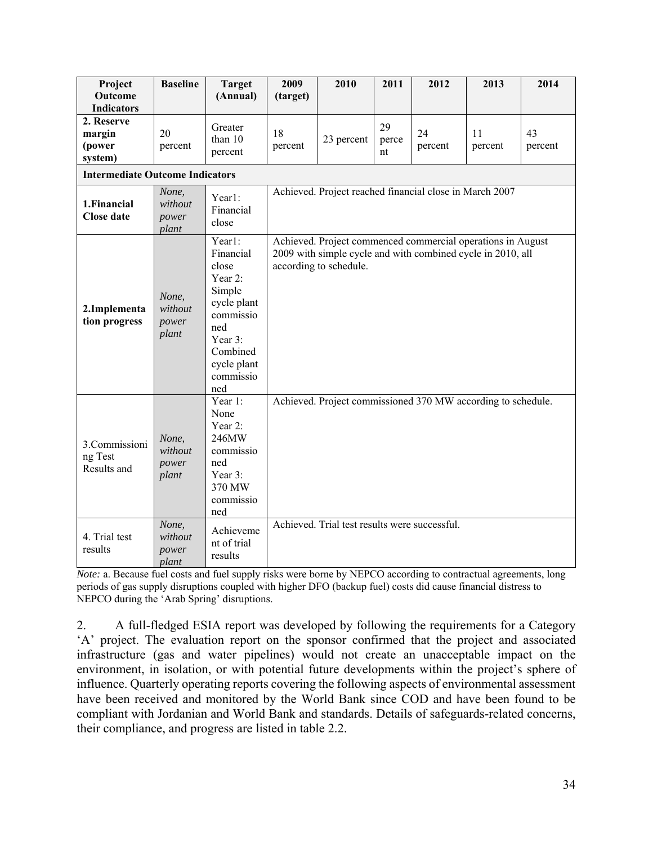| Project<br>Outcome<br><b>Indicators</b>   | <b>Baseline</b>                    | <b>Target</b><br>(Annual)                                                                                                                      | 2009<br>(target) | 2010                                                                                                                                                 | 2011              | 2012          | 2013          | 2014          |  |  |  |  |
|-------------------------------------------|------------------------------------|------------------------------------------------------------------------------------------------------------------------------------------------|------------------|------------------------------------------------------------------------------------------------------------------------------------------------------|-------------------|---------------|---------------|---------------|--|--|--|--|
| 2. Reserve<br>margin<br>(power<br>system) | 20<br>percent                      | Greater<br>than 10<br>percent                                                                                                                  | 18<br>percent    | 23 percent                                                                                                                                           | 29<br>perce<br>nt | 24<br>percent | 11<br>percent | 43<br>percent |  |  |  |  |
| <b>Intermediate Outcome Indicators</b>    |                                    |                                                                                                                                                |                  |                                                                                                                                                      |                   |               |               |               |  |  |  |  |
| 1.Financial<br><b>Close date</b>          | None,<br>without<br>power<br>plant | Year1:<br>Financial<br>close                                                                                                                   |                  | Achieved. Project reached financial close in March 2007                                                                                              |                   |               |               |               |  |  |  |  |
| 2.Implementa<br>tion progress             | None,<br>without<br>power<br>plant | Year1:<br>Financial<br>close<br>Year 2:<br>Simple<br>cycle plant<br>commissio<br>ned<br>Year 3:<br>Combined<br>cycle plant<br>commissio<br>ned |                  | Achieved. Project commenced commercial operations in August<br>2009 with simple cycle and with combined cycle in 2010, all<br>according to schedule. |                   |               |               |               |  |  |  |  |
| 3.Commissioni<br>ng Test<br>Results and   | None,<br>without<br>power<br>plant | Year 1:<br>None<br>Year 2:<br>246MW<br>commissio<br>ned<br>Year 3:<br>370 MW<br>commissio<br>ned                                               |                  | Achieved. Project commissioned 370 MW according to schedule.                                                                                         |                   |               |               |               |  |  |  |  |
| 4. Trial test<br>results                  | None,<br>without<br>power<br>plant | Achieveme<br>nt of trial<br>results                                                                                                            |                  | Achieved. Trial test results were successful.                                                                                                        |                   |               |               |               |  |  |  |  |

*Note:* a. Because fuel costs and fuel supply risks were borne by NEPCO according to contractual agreements, long periods of gas supply disruptions coupled with higher DFO (backup fuel) costs did cause financial distress to NEPCO during the 'Arab Spring' disruptions.

2. A full-fledged ESIA report was developed by following the requirements for a Category 'A' project. The evaluation report on the sponsor confirmed that the project and associated infrastructure (gas and water pipelines) would not create an unacceptable impact on the environment, in isolation, or with potential future developments within the project's sphere of influence. Quarterly operating reports covering the following aspects of environmental assessment have been received and monitored by the World Bank since COD and have been found to be compliant with Jordanian and World Bank and standards. Details of safeguards-related concerns, their compliance, and progress are listed in table 2.2.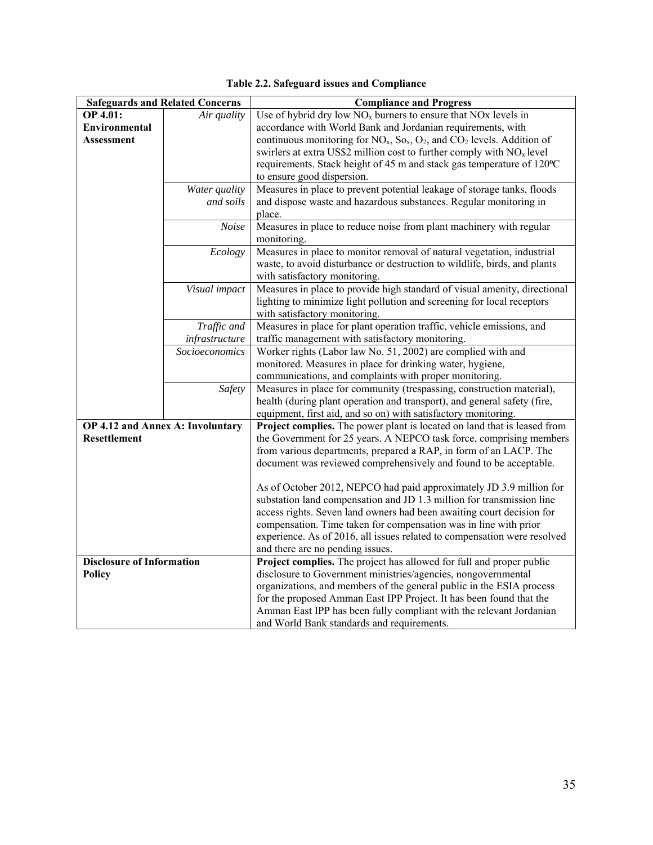|                                  | <b>Safeguards and Related Concerns</b> | <b>Compliance and Progress</b>                                                     |  |  |  |  |  |  |  |  |
|----------------------------------|----------------------------------------|------------------------------------------------------------------------------------|--|--|--|--|--|--|--|--|
| <b>OP 4.01:</b>                  | Air quality                            | Use of hybrid dry low $NOx$ burners to ensure that $NOx$ levels in                 |  |  |  |  |  |  |  |  |
| <b>Environmental</b>             |                                        | accordance with World Bank and Jordanian requirements, with                        |  |  |  |  |  |  |  |  |
| Assessment                       |                                        | continuous monitoring for $NO_x$ , $So_x$ , $O_2$ , and $CO_2$ levels. Addition of |  |  |  |  |  |  |  |  |
|                                  |                                        | swirlers at extra US\$2 million cost to further comply with $NOx$ level            |  |  |  |  |  |  |  |  |
|                                  |                                        | requirements. Stack height of 45 m and stack gas temperature of 120°C              |  |  |  |  |  |  |  |  |
|                                  |                                        | to ensure good dispersion.                                                         |  |  |  |  |  |  |  |  |
|                                  | Water quality                          | Measures in place to prevent potential leakage of storage tanks, floods            |  |  |  |  |  |  |  |  |
|                                  | and soils                              | and dispose waste and hazardous substances. Regular monitoring in                  |  |  |  |  |  |  |  |  |
|                                  |                                        | place.                                                                             |  |  |  |  |  |  |  |  |
|                                  | Noise                                  | Measures in place to reduce noise from plant machinery with regular                |  |  |  |  |  |  |  |  |
|                                  |                                        | monitoring.                                                                        |  |  |  |  |  |  |  |  |
|                                  | Ecology                                | Measures in place to monitor removal of natural vegetation, industrial             |  |  |  |  |  |  |  |  |
|                                  |                                        | waste, to avoid disturbance or destruction to wildlife, birds, and plants          |  |  |  |  |  |  |  |  |
|                                  |                                        | with satisfactory monitoring.                                                      |  |  |  |  |  |  |  |  |
|                                  | Visual impact                          | Measures in place to provide high standard of visual amenity, directional          |  |  |  |  |  |  |  |  |
|                                  |                                        | lighting to minimize light pollution and screening for local receptors             |  |  |  |  |  |  |  |  |
|                                  |                                        | with satisfactory monitoring.                                                      |  |  |  |  |  |  |  |  |
|                                  | Traffic and                            | Measures in place for plant operation traffic, vehicle emissions, and              |  |  |  |  |  |  |  |  |
|                                  | infrastructure                         | traffic management with satisfactory monitoring.                                   |  |  |  |  |  |  |  |  |
|                                  | Socioeconomics                         | Worker rights (Labor law No. 51, 2002) are complied with and                       |  |  |  |  |  |  |  |  |
|                                  |                                        | monitored. Measures in place for drinking water, hygiene,                          |  |  |  |  |  |  |  |  |
|                                  |                                        | communications, and complaints with proper monitoring.                             |  |  |  |  |  |  |  |  |
|                                  | Safety                                 | Measures in place for community (trespassing, construction material),              |  |  |  |  |  |  |  |  |
|                                  |                                        | health (during plant operation and transport), and general safety (fire,           |  |  |  |  |  |  |  |  |
|                                  |                                        | equipment, first aid, and so on) with satisfactory monitoring.                     |  |  |  |  |  |  |  |  |
| OP 4.12 and Annex A: Involuntary |                                        | Project complies. The power plant is located on land that is leased from           |  |  |  |  |  |  |  |  |
| <b>Resettlement</b>              |                                        | the Government for 25 years. A NEPCO task force, comprising members                |  |  |  |  |  |  |  |  |
|                                  |                                        | from various departments, prepared a RAP, in form of an LACP. The                  |  |  |  |  |  |  |  |  |
|                                  |                                        | document was reviewed comprehensively and found to be acceptable.                  |  |  |  |  |  |  |  |  |
|                                  |                                        |                                                                                    |  |  |  |  |  |  |  |  |
|                                  |                                        | As of October 2012, NEPCO had paid approximately JD 3.9 million for                |  |  |  |  |  |  |  |  |
|                                  |                                        | substation land compensation and JD 1.3 million for transmission line              |  |  |  |  |  |  |  |  |
|                                  |                                        | access rights. Seven land owners had been awaiting court decision for              |  |  |  |  |  |  |  |  |
|                                  |                                        | compensation. Time taken for compensation was in line with prior                   |  |  |  |  |  |  |  |  |
|                                  |                                        | experience. As of 2016, all issues related to compensation were resolved           |  |  |  |  |  |  |  |  |
|                                  |                                        | and there are no pending issues.                                                   |  |  |  |  |  |  |  |  |
| <b>Disclosure of Information</b> |                                        | Project complies. The project has allowed for full and proper public               |  |  |  |  |  |  |  |  |
| <b>Policy</b>                    |                                        | disclosure to Government ministries/agencies, nongovernmental                      |  |  |  |  |  |  |  |  |
|                                  |                                        | organizations, and members of the general public in the ESIA process               |  |  |  |  |  |  |  |  |
|                                  |                                        | for the proposed Amman East IPP Project. It has been found that the                |  |  |  |  |  |  |  |  |
|                                  |                                        | Amman East IPP has been fully compliant with the relevant Jordanian                |  |  |  |  |  |  |  |  |
|                                  |                                        | and World Bank standards and requirements.                                         |  |  |  |  |  |  |  |  |

**Table 2.2. Safeguard issues and Compliance**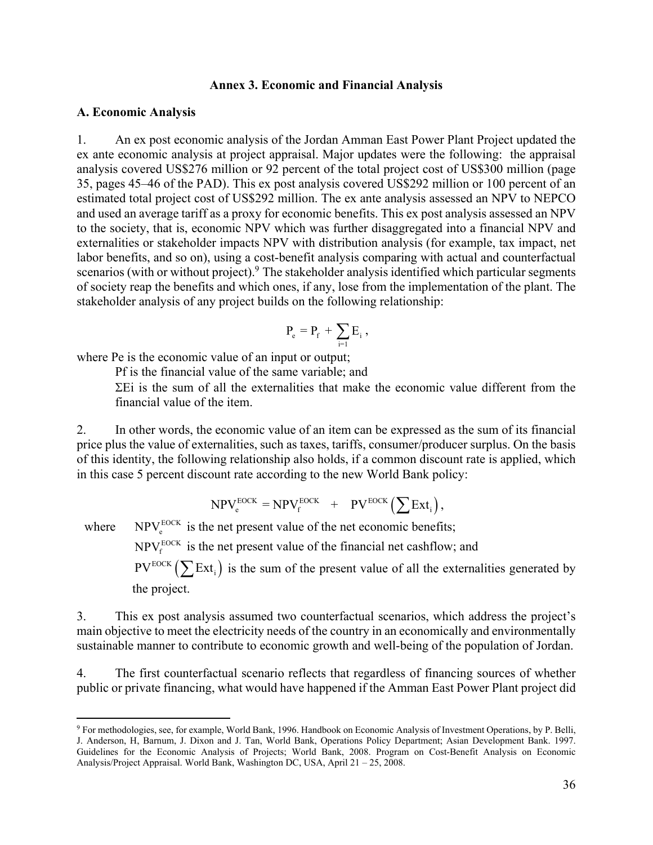#### **Annex 3. Economic and Financial Analysis**

#### **A. Economic Analysis**

 $\overline{a}$ 

1. An ex post economic analysis of the Jordan Amman East Power Plant Project updated the ex ante economic analysis at project appraisal. Major updates were the following: the appraisal analysis covered US\$276 million or 92 percent of the total project cost of US\$300 million (page 35, pages 45–46 of the PAD). This ex post analysis covered US\$292 million or 100 percent of an estimated total project cost of US\$292 million. The ex ante analysis assessed an NPV to NEPCO and used an average tariff as a proxy for economic benefits. This ex post analysis assessed an NPV to the society, that is, economic NPV which was further disaggregated into a financial NPV and externalities or stakeholder impacts NPV with distribution analysis (for example, tax impact, net labor benefits, and so on), using a cost-benefit analysis comparing with actual and counterfactual scenarios (with or without project). <sup>9</sup> The stakeholder analysis identified which particular segments of society reap the benefits and which ones, if any, lose from the implementation of the plant. The stakeholder analysis of any project builds on the following relationship:

$$
P_e = P_f \, + \, \sum_{i=1} E_i \; ,
$$

where Pe is the economic value of an input or output;

Pf is the financial value of the same variable; and

 $\Sigma$ Ei is the sum of all the externalities that make the economic value different from the financial value of the item.

2. In other words, the economic value of an item can be expressed as the sum of its financial price plus the value of externalities, such as taxes, tariffs, consumer/producer surplus. On the basis of this identity, the following relationship also holds, if a common discount rate is applied, which in this case 5 percent discount rate according to the new World Bank policy:

$$
NPV_e^{EOCK} = NPV_f^{EOCK} + PV^{EOCK} \left(\sum Ext_i\right),
$$

where  $NPV_e^{EOCK}$  is the net present value of the net economic benefits;

 $NPV_f^{EOCK}$  is the net present value of the financial net cashflow; and

 $PV^{EOCK}(\sum Ext_i)$  is the sum of the present value of all the externalities generated by the project.

3. This ex post analysis assumed two counterfactual scenarios, which address the project's main objective to meet the electricity needs of the country in an economically and environmentally sustainable manner to contribute to economic growth and well-being of the population of Jordan.

4. The first counterfactual scenario reflects that regardless of financing sources of whether public or private financing, what would have happened if the Amman East Power Plant project did

<sup>9</sup> For methodologies, see, for example, World Bank, 1996. Handbook on Economic Analysis of Investment Operations, by P. Belli, J. Anderson, H, Barnum, J. Dixon and J. Tan, World Bank, Operations Policy Department; Asian Development Bank. 1997. Guidelines for the Economic Analysis of Projects; World Bank, 2008. Program on Cost-Benefit Analysis on Economic Analysis/Project Appraisal. World Bank, Washington DC, USA, April 21 – 25, 2008.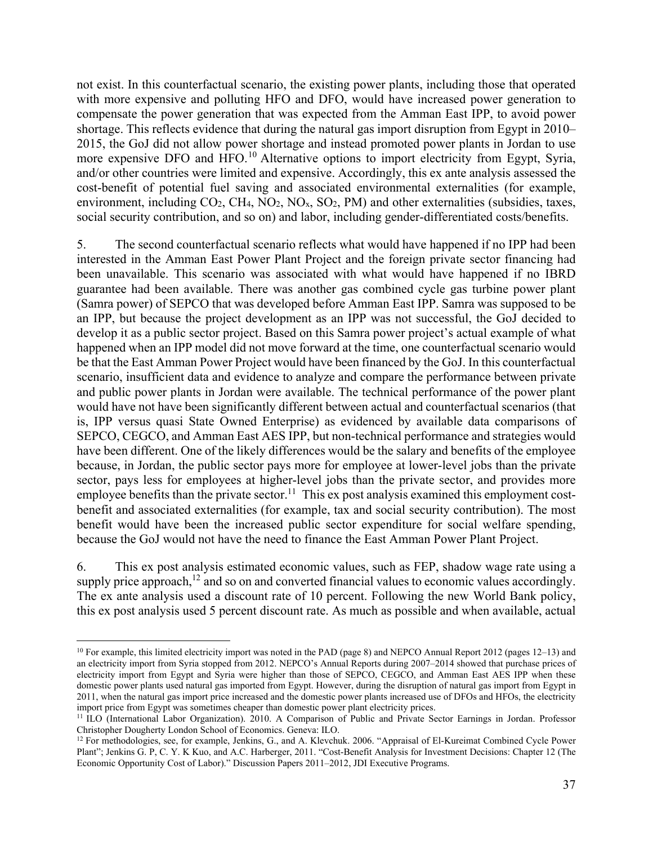not exist. In this counterfactual scenario, the existing power plants, including those that operated with more expensive and polluting HFO and DFO, would have increased power generation to compensate the power generation that was expected from the Amman East IPP, to avoid power shortage. This reflects evidence that during the natural gas import disruption from Egypt in 2010– 2015, the GoJ did not allow power shortage and instead promoted power plants in Jordan to use more expensive DFO and HFO.<sup>10</sup> Alternative options to import electricity from Egypt, Syria, and/or other countries were limited and expensive. Accordingly, this ex ante analysis assessed the cost-benefit of potential fuel saving and associated environmental externalities (for example, environment, including  $CO_2$ ,  $CH_4$ ,  $NO_2$ ,  $NO_x$ ,  $SO_2$ ,  $PM$ ) and other externalities (subsidies, taxes, social security contribution, and so on) and labor, including gender-differentiated costs/benefits.

5. The second counterfactual scenario reflects what would have happened if no IPP had been interested in the Amman East Power Plant Project and the foreign private sector financing had been unavailable. This scenario was associated with what would have happened if no IBRD guarantee had been available. There was another gas combined cycle gas turbine power plant (Samra power) of SEPCO that was developed before Amman East IPP. Samra was supposed to be an IPP, but because the project development as an IPP was not successful, the GoJ decided to develop it as a public sector project. Based on this Samra power project's actual example of what happened when an IPP model did not move forward at the time, one counterfactual scenario would be that the East Amman Power Project would have been financed by the GoJ. In this counterfactual scenario, insufficient data and evidence to analyze and compare the performance between private and public power plants in Jordan were available. The technical performance of the power plant would have not have been significantly different between actual and counterfactual scenarios (that is, IPP versus quasi State Owned Enterprise) as evidenced by available data comparisons of SEPCO, CEGCO, and Amman East AES IPP, but non-technical performance and strategies would have been different. One of the likely differences would be the salary and benefits of the employee because, in Jordan, the public sector pays more for employee at lower-level jobs than the private sector, pays less for employees at higher-level jobs than the private sector, and provides more employee benefits than the private sector.<sup>11</sup> This ex post analysis examined this employment costbenefit and associated externalities (for example, tax and social security contribution). The most benefit would have been the increased public sector expenditure for social welfare spending, because the GoJ would not have the need to finance the East Amman Power Plant Project.

6. This ex post analysis estimated economic values, such as FEP, shadow wage rate using a supply price approach, $12$  and so on and converted financial values to economic values accordingly. The ex ante analysis used a discount rate of 10 percent. Following the new World Bank policy, this ex post analysis used 5 percent discount rate. As much as possible and when available, actual

 $\overline{a}$  $10$  For example, this limited electricity import was noted in the PAD (page 8) and NEPCO Annual Report 2012 (pages 12–13) and an electricity import from Syria stopped from 2012. NEPCO's Annual Reports during 2007–2014 showed that purchase prices of electricity import from Egypt and Syria were higher than those of SEPCO, CEGCO, and Amman East AES IPP when these domestic power plants used natural gas imported from Egypt. However, during the disruption of natural gas import from Egypt in 2011, when the natural gas import price increased and the domestic power plants increased use of DFOs and HFOs, the electricity import price from Egypt was sometimes cheaper than domestic power plant electricity prices.<br><sup>11</sup> ILO (International Labor Organization). 2010. A Comparison of Public and Private Sector Earnings in Jordan. Professor

Christopher Dougherty London School of Economics. Geneva: ILO.<br><sup>12</sup> For methodologies, see, for example, Jenkins, G., and A. Klevchuk. 2006. "Appraisal of El-Kureimat Combined Cycle Power

Plant"; Jenkins G. P, C. Y. K Kuo, and A.C. Harberger, 2011. "Cost-Benefit Analysis for Investment Decisions: Chapter 12 (The Economic Opportunity Cost of Labor)." Discussion Papers 2011–2012, JDI Executive Programs.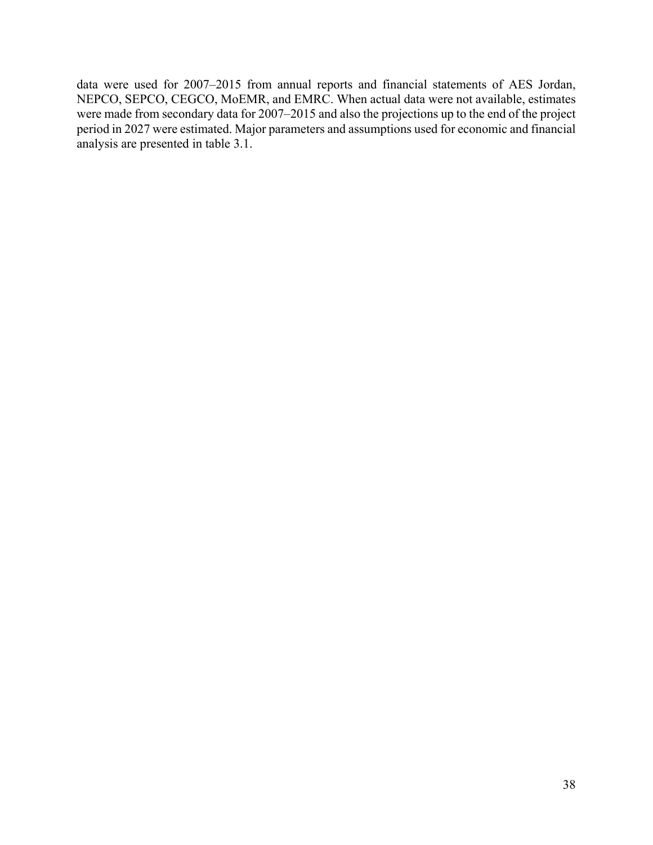data were used for 2007–2015 from annual reports and financial statements of AES Jordan, NEPCO, SEPCO, CEGCO, MoEMR, and EMRC. When actual data were not available, estimates were made from secondary data for 2007–2015 and also the projections up to the end of the project period in 2027 were estimated. Major parameters and assumptions used for economic and financial analysis are presented in table 3.1.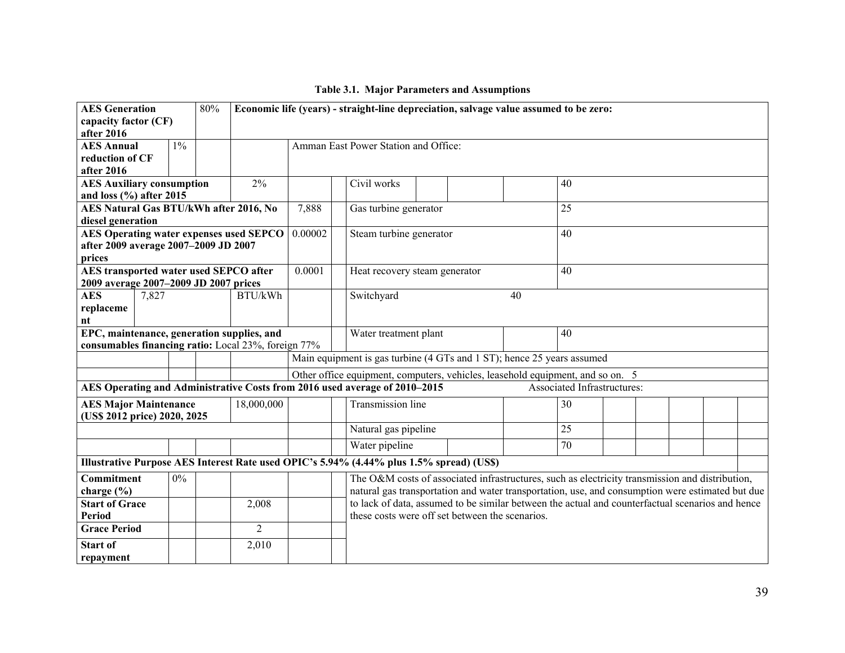|  |  |  |  | <b>Table 3.1. Major Parameters and Assumptions</b> |
|--|--|--|--|----------------------------------------------------|
|--|--|--|--|----------------------------------------------------|

| <b>AES</b> Generation                                       |       |       | $80\%$ |                |         | Economic life (years) - straight-line depreciation, salvage value assumed to be zero:            |    |  |                                    |  |  |  |
|-------------------------------------------------------------|-------|-------|--------|----------------|---------|--------------------------------------------------------------------------------------------------|----|--|------------------------------------|--|--|--|
| capacity factor (CF)<br>after 2016                          |       |       |        |                |         |                                                                                                  |    |  |                                    |  |  |  |
| <b>AES Annual</b>                                           |       | $1\%$ |        |                |         | Amman East Power Station and Office:                                                             |    |  |                                    |  |  |  |
| reduction of CF                                             |       |       |        |                |         |                                                                                                  |    |  |                                    |  |  |  |
| after 2016                                                  |       |       |        |                |         |                                                                                                  |    |  |                                    |  |  |  |
| <b>AES Auxiliary consumption</b>                            |       |       |        | 2%             |         | Civil works                                                                                      | 40 |  |                                    |  |  |  |
| and loss $(\% )$ after 2015                                 |       |       |        |                |         |                                                                                                  |    |  | 25                                 |  |  |  |
| AES Natural Gas BTU/kWh after 2016, No<br>diesel generation |       |       |        |                | 7,888   | Gas turbine generator                                                                            |    |  |                                    |  |  |  |
| <b>AES Operating water expenses used SEPCO</b>              |       |       |        |                | 0.00002 | Steam turbine generator                                                                          |    |  | 40                                 |  |  |  |
| after 2009 average 2007-2009 JD 2007                        |       |       |        |                |         |                                                                                                  |    |  |                                    |  |  |  |
| prices                                                      |       |       |        |                |         |                                                                                                  |    |  |                                    |  |  |  |
| AES transported water used SEPCO after                      |       |       |        |                | 0.0001  | Heat recovery steam generator                                                                    |    |  | 40                                 |  |  |  |
| 2009 average 2007-2009 JD 2007 prices                       |       |       |        |                |         |                                                                                                  | 40 |  |                                    |  |  |  |
| <b>AES</b>                                                  | 7,827 |       |        | BTU/kWh        |         | Switchyard                                                                                       |    |  |                                    |  |  |  |
| replaceme                                                   |       |       |        |                |         |                                                                                                  |    |  |                                    |  |  |  |
| nt<br>EPC, maintenance, generation supplies, and            |       |       |        |                |         | Water treatment plant                                                                            |    |  | 40                                 |  |  |  |
| consumables financing ratio: Local 23%, foreign 77%         |       |       |        |                |         |                                                                                                  |    |  |                                    |  |  |  |
|                                                             |       |       |        |                |         | Main equipment is gas turbine (4 GTs and 1 ST); hence 25 years assumed                           |    |  |                                    |  |  |  |
|                                                             |       |       |        |                |         | Other office equipment, computers, vehicles, leasehold equipment, and so on. 5                   |    |  |                                    |  |  |  |
|                                                             |       |       |        |                |         | AES Operating and Administrative Costs from 2016 used average of 2010-2015                       |    |  | <b>Associated Infrastructures:</b> |  |  |  |
| <b>AES Major Maintenance</b>                                |       |       |        | 18,000,000     |         | Transmission line                                                                                |    |  | 30                                 |  |  |  |
| (US\$ 2012 price) 2020, 2025                                |       |       |        |                |         |                                                                                                  |    |  |                                    |  |  |  |
|                                                             |       |       |        |                |         | Natural gas pipeline                                                                             |    |  | $\overline{25}$                    |  |  |  |
|                                                             |       |       |        |                |         | Water pipeline                                                                                   |    |  | 70                                 |  |  |  |
|                                                             |       |       |        |                |         | Illustrative Purpose AES Interest Rate used OPIC's 5.94% (4.44% plus 1.5% spread) (US\$)         |    |  |                                    |  |  |  |
| Commitment                                                  |       | $0\%$ |        |                |         | The O&M costs of associated infrastructures, such as electricity transmission and distribution,  |    |  |                                    |  |  |  |
| charge $(\% )$                                              |       |       |        |                |         | natural gas transportation and water transportation, use, and consumption were estimated but due |    |  |                                    |  |  |  |
| <b>Start of Grace</b>                                       |       |       |        | 2,008          |         | to lack of data, assumed to be similar between the actual and counterfactual scenarios and hence |    |  |                                    |  |  |  |
| Period                                                      |       |       |        |                |         | these costs were off set between the scenarios.                                                  |    |  |                                    |  |  |  |
| <b>Grace Period</b>                                         |       |       |        | $\overline{2}$ |         |                                                                                                  |    |  |                                    |  |  |  |
| <b>Start of</b>                                             |       |       |        | 2,010          |         |                                                                                                  |    |  |                                    |  |  |  |
| repayment                                                   |       |       |        |                |         |                                                                                                  |    |  |                                    |  |  |  |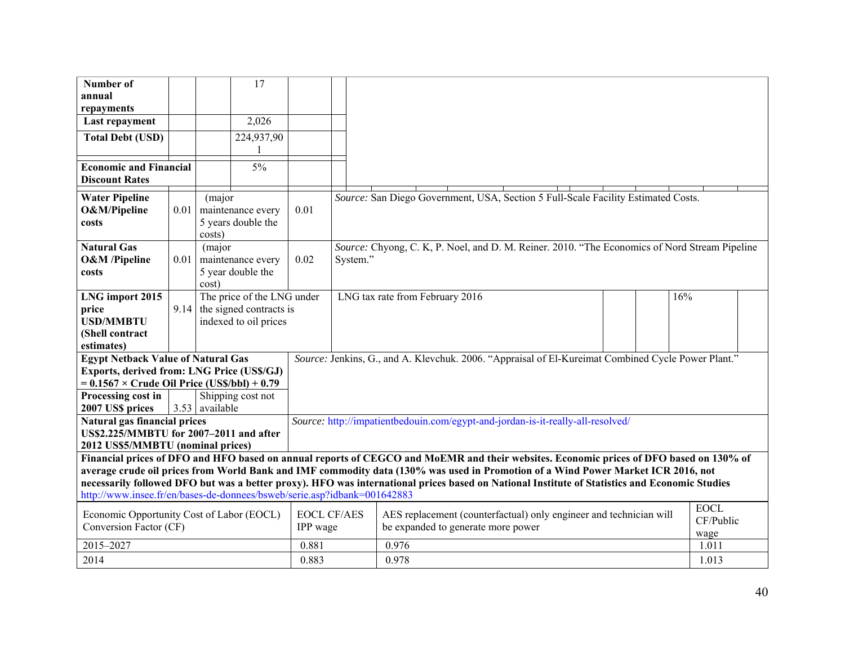| Number of<br>annual                                                      |  |                          | 17                             |                                                                                                           |  |                                                                                                                                               |  |               |  |  |  |  |  |
|--------------------------------------------------------------------------|--|--------------------------|--------------------------------|-----------------------------------------------------------------------------------------------------------|--|-----------------------------------------------------------------------------------------------------------------------------------------------|--|---------------|--|--|--|--|--|
| repayments                                                               |  |                          |                                |                                                                                                           |  |                                                                                                                                               |  |               |  |  |  |  |  |
| Last repayment                                                           |  |                          | 2,026                          |                                                                                                           |  |                                                                                                                                               |  |               |  |  |  |  |  |
| <b>Total Debt (USD)</b>                                                  |  |                          | 224,937,90                     |                                                                                                           |  |                                                                                                                                               |  |               |  |  |  |  |  |
|                                                                          |  |                          |                                |                                                                                                           |  |                                                                                                                                               |  |               |  |  |  |  |  |
| <b>Economic and Financial</b><br><b>Discount Rates</b>                   |  |                          | $5\%$                          |                                                                                                           |  |                                                                                                                                               |  |               |  |  |  |  |  |
| <b>Water Pipeline</b><br>(major                                          |  |                          |                                |                                                                                                           |  | Source: San Diego Government, USA, Section 5 Full-Scale Facility Estimated Costs.                                                             |  |               |  |  |  |  |  |
| O&M/Pipeline<br>$0.01$ maintenance every                                 |  |                          |                                | 0.01                                                                                                      |  |                                                                                                                                               |  |               |  |  |  |  |  |
| costs                                                                    |  |                          | 5 years double the             |                                                                                                           |  |                                                                                                                                               |  |               |  |  |  |  |  |
| <b>Natural Gas</b>                                                       |  | costs)<br>(major         |                                |                                                                                                           |  |                                                                                                                                               |  |               |  |  |  |  |  |
| <b>O&amp;M</b> /Pipeline                                                 |  | $0.01$ maintenance every | 0.02                           | Source: Chyong, C. K, P. Noel, and D. M. Reiner. 2010. "The Economics of Nord Stream Pipeline<br>System." |  |                                                                                                                                               |  |               |  |  |  |  |  |
| costs                                                                    |  |                          | 5 year double the              |                                                                                                           |  |                                                                                                                                               |  |               |  |  |  |  |  |
|                                                                          |  | cost)                    |                                |                                                                                                           |  |                                                                                                                                               |  |               |  |  |  |  |  |
| LNG import 2015                                                          |  |                          | The price of the LNG under     |                                                                                                           |  | LNG tax rate from February 2016                                                                                                               |  | 16%           |  |  |  |  |  |
| price                                                                    |  |                          | $9.14$ the signed contracts is |                                                                                                           |  |                                                                                                                                               |  |               |  |  |  |  |  |
| <b>USD/MMBTU</b>                                                         |  |                          | indexed to oil prices          |                                                                                                           |  |                                                                                                                                               |  |               |  |  |  |  |  |
| (Shell contract<br>estimates)                                            |  |                          |                                |                                                                                                           |  |                                                                                                                                               |  |               |  |  |  |  |  |
| <b>Egypt Netback Value of Natural Gas</b>                                |  |                          |                                |                                                                                                           |  | Source: Jenkins, G., and A. Klevchuk. 2006. "Appraisal of El-Kureimat Combined Cycle Power Plant."                                            |  |               |  |  |  |  |  |
| Exports, derived from: LNG Price (US\$/GJ)                               |  |                          |                                |                                                                                                           |  |                                                                                                                                               |  |               |  |  |  |  |  |
| $= 0.1567 \times$ Crude Oil Price (US\$/bbl) + 0.79                      |  |                          |                                |                                                                                                           |  |                                                                                                                                               |  |               |  |  |  |  |  |
| Processing cost in                                                       |  |                          | Shipping cost not              |                                                                                                           |  |                                                                                                                                               |  |               |  |  |  |  |  |
| 2007 US\$ prices                                                         |  | 3.53 available           |                                |                                                                                                           |  |                                                                                                                                               |  |               |  |  |  |  |  |
| Natural gas financial prices<br>US\$2.225/MMBTU for 2007-2011 and after  |  |                          |                                |                                                                                                           |  | Source: http://impatientbedouin.com/egypt-and-jordan-is-it-really-all-resolved/                                                               |  |               |  |  |  |  |  |
| 2012 US\$5/MMBTU (nominal prices)                                        |  |                          |                                |                                                                                                           |  |                                                                                                                                               |  |               |  |  |  |  |  |
|                                                                          |  |                          |                                |                                                                                                           |  | Financial prices of DFO and HFO based on annual reports of CEGCO and MoEMR and their websites. Economic prices of DFO based on 130% of        |  |               |  |  |  |  |  |
|                                                                          |  |                          |                                |                                                                                                           |  | average crude oil prices from World Bank and IMF commodity data (130% was used in Promotion of a Wind Power Market ICR 2016, not              |  |               |  |  |  |  |  |
|                                                                          |  |                          |                                |                                                                                                           |  | necessarily followed DFO but was a better proxy). HFO was international prices based on National Institute of Statistics and Economic Studies |  |               |  |  |  |  |  |
| http://www.insee.fr/en/bases-de-donnees/bsweb/serie.asp?idbank=001642883 |  |                          |                                |                                                                                                           |  |                                                                                                                                               |  |               |  |  |  |  |  |
| Economic Opportunity Cost of Labor (EOCL)                                |  |                          |                                | <b>EOCL CF/AES</b>                                                                                        |  | AES replacement (counterfactual) only engineer and technician will                                                                            |  | <b>EOCL</b>   |  |  |  |  |  |
| Conversion Factor (CF)                                                   |  |                          |                                | IPP wage                                                                                                  |  | be expanded to generate more power                                                                                                            |  | CF/Public     |  |  |  |  |  |
| 2015-2027                                                                |  |                          |                                | 0.881                                                                                                     |  | 0.976                                                                                                                                         |  | wage<br>1.011 |  |  |  |  |  |
| 2014                                                                     |  |                          |                                | 0.883                                                                                                     |  | 0.978                                                                                                                                         |  |               |  |  |  |  |  |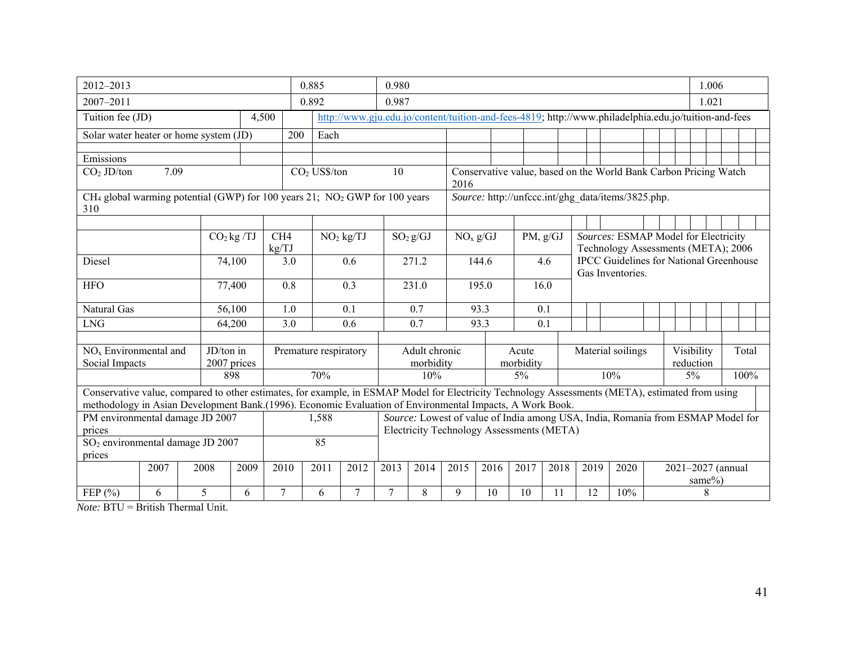| 2012-2013                                                                                                                                                                                                                                                    |                          |                                | 0.885                 |                           | 0.980  |                                                                          |                                                                                                      |                      |                    |                                                |  |      |                                                                                 |  | 1.006 |                         |        |  |       |
|--------------------------------------------------------------------------------------------------------------------------------------------------------------------------------------------------------------------------------------------------------------|--------------------------|--------------------------------|-----------------------|---------------------------|--------|--------------------------------------------------------------------------|------------------------------------------------------------------------------------------------------|----------------------|--------------------|------------------------------------------------|--|------|---------------------------------------------------------------------------------|--|-------|-------------------------|--------|--|-------|
| 2007-2011                                                                                                                                                                                                                                                    |                          |                                | 0.892                 |                           | 0.987  |                                                                          |                                                                                                      |                      |                    |                                                |  |      |                                                                                 |  |       | 1.021                   |        |  |       |
| Tuition fee (JD)                                                                                                                                                                                                                                             | 4,500                    |                                |                       |                           |        |                                                                          | http://www.gju.edu.jo/content/tuition-and-fees-4819; http://www.philadelphia.edu.jo/tuition-and-fees |                      |                    |                                                |  |      |                                                                                 |  |       |                         |        |  |       |
| Solar water heater or home system (JD)                                                                                                                                                                                                                       |                          | 200                            | Each                  |                           |        |                                                                          |                                                                                                      |                      |                    |                                                |  |      |                                                                                 |  |       |                         |        |  |       |
| Emissions                                                                                                                                                                                                                                                    |                          |                                |                       |                           |        |                                                                          |                                                                                                      |                      |                    |                                                |  |      |                                                                                 |  |       |                         |        |  |       |
| 7.09<br>$CO2$ JD/ton                                                                                                                                                                                                                                         |                          | CO <sub>2</sub> US\$/ton<br>10 |                       |                           |        | Conservative value, based on the World Bank Carbon Pricing Watch<br>2016 |                                                                                                      |                      |                    |                                                |  |      |                                                                                 |  |       |                         |        |  |       |
| $CH_4$ global warming potential (GWP) for 100 years 21; NO <sub>2</sub> GWP for 100 years<br>310                                                                                                                                                             |                          |                                |                       |                           |        |                                                                          |                                                                                                      |                      |                    |                                                |  |      | Source: http://unfccc.int/ghg_data/items/3825.php.                              |  |       |                         |        |  |       |
|                                                                                                                                                                                                                                                              |                          |                                |                       |                           |        |                                                                          |                                                                                                      |                      |                    |                                                |  |      |                                                                                 |  |       |                         |        |  |       |
|                                                                                                                                                                                                                                                              | $CO2$ kg /TJ             | CH <sub>4</sub><br>kg/TJ       |                       | $SO_2g/GJ$<br>$NO2$ kg/TJ |        |                                                                          |                                                                                                      | NO <sub>x</sub> g/GJ |                    | PM, g/GJ                                       |  |      | Sources: ESMAP Model for Electricity<br>Technology Assessments (META); 2006     |  |       |                         |        |  |       |
| Diesel                                                                                                                                                                                                                                                       | 74,100                   | 3.0                            |                       | 0.6                       |        | 271.2<br>144.6<br>4.6<br>Gas Inventories.                                |                                                                                                      |                      |                    | <b>IPCC Guidelines for National Greenhouse</b> |  |      |                                                                                 |  |       |                         |        |  |       |
| <b>HFO</b>                                                                                                                                                                                                                                                   | 77,400                   | 0.8                            |                       | 0.3                       |        | 231.0                                                                    |                                                                                                      | 195.0                | 16.0               |                                                |  |      |                                                                                 |  |       |                         |        |  |       |
| <b>Natural Gas</b>                                                                                                                                                                                                                                           | 56,100                   | 1.0                            |                       | 0.1                       |        | 0.7                                                                      |                                                                                                      | 93.3                 |                    | 0.1                                            |  |      |                                                                                 |  |       |                         |        |  |       |
| <b>LNG</b>                                                                                                                                                                                                                                                   | 64,200                   | 3.0                            |                       | 0.6                       |        | 0.7                                                                      |                                                                                                      | 93.3                 |                    | 0.1                                            |  |      |                                                                                 |  |       |                         |        |  |       |
|                                                                                                                                                                                                                                                              |                          |                                |                       |                           |        |                                                                          |                                                                                                      |                      |                    |                                                |  |      |                                                                                 |  |       |                         |        |  |       |
| $\overline{NO_x}$ Environmental and<br>Social Impacts                                                                                                                                                                                                        | JD/ton in<br>2007 prices |                                | Premature respiratory |                           |        | Adult chronic<br>morbidity                                               |                                                                                                      |                      | Acute<br>morbidity |                                                |  |      | Material soilings                                                               |  |       | Visibility<br>reduction |        |  | Total |
|                                                                                                                                                                                                                                                              | 898                      |                                | 70%                   |                           |        | 10%                                                                      |                                                                                                      |                      | $5\%$              |                                                |  |      | 10%                                                                             |  |       | 5%                      |        |  | 100%  |
| Conservative value, compared to other estimates, for example, in ESMAP Model for Electricity Technology Assessments (META), estimated from using<br>methodology in Asian Development Bank.(1996). Economic Evaluation of Environmental Impacts, A Work Book. |                          |                                |                       |                           |        |                                                                          |                                                                                                      |                      |                    |                                                |  |      |                                                                                 |  |       |                         |        |  |       |
| PM environmental damage JD 2007<br>prices                                                                                                                                                                                                                    |                          |                                | 1,588                 |                           |        | Electricity Technology Assessments (META)                                |                                                                                                      |                      |                    |                                                |  |      | Source: Lowest of value of India among USA, India, Romania from ESMAP Model for |  |       |                         |        |  |       |
| $SO2$ environmental damage JD 2007<br>prices                                                                                                                                                                                                                 |                          |                                | 85                    |                           |        |                                                                          |                                                                                                      |                      |                    |                                                |  |      |                                                                                 |  |       |                         |        |  |       |
| 2008<br>2007                                                                                                                                                                                                                                                 | 2009                     | 2010                           | 2011                  | 2012                      | 2013   | 2014                                                                     | 2015                                                                                                 | 2016                 | 2017               | 2018                                           |  | 2019 | 2020                                                                            |  |       | 2021-2027 (annual       | same%) |  |       |
| 5<br>FEP (%)<br>6                                                                                                                                                                                                                                            | 6                        | 7                              | 6                     | 7                         | $\tau$ | 8                                                                        | 9                                                                                                    | 10                   | 10                 | 11                                             |  | 12   | 10%                                                                             |  |       |                         | 8      |  |       |

*Note:* BTU = British Thermal Unit.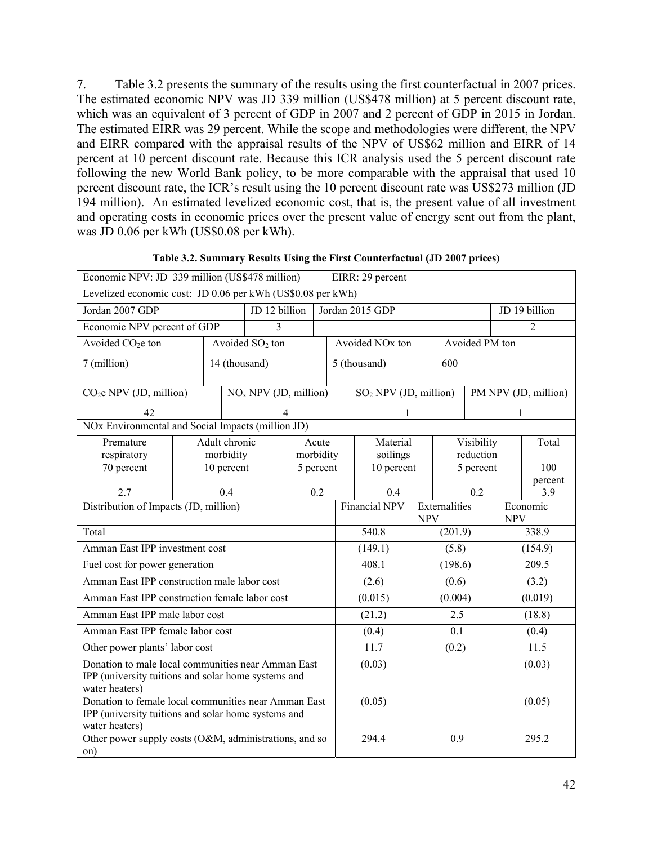7. Table 3.2 presents the summary of the results using the first counterfactual in 2007 prices. The estimated economic NPV was JD 339 million (US\$478 million) at 5 percent discount rate, which was an equivalent of 3 percent of GDP in 2007 and 2 percent of GDP in 2015 in Jordan. The estimated EIRR was 29 percent. While the scope and methodologies were different, the NPV and EIRR compared with the appraisal results of the NPV of US\$62 million and EIRR of 14 percent at 10 percent discount rate. Because this ICR analysis used the 5 percent discount rate following the new World Bank policy, to be more comparable with the appraisal that used 10 percent discount rate, the ICR's result using the 10 percent discount rate was US\$273 million (JD 194 million). An estimated levelized economic cost, that is, the present value of all investment and operating costs in economic prices over the present value of energy sent out from the plant, was JD 0.06 per kWh (US\$0.08 per kWh).

| Economic NPV: JD 339 million (US\$478 million)                        |  |               |                                   |                | EIRR: 29 percent |                  |                             |                  |           |                |                |                      |
|-----------------------------------------------------------------------|--|---------------|-----------------------------------|----------------|------------------|------------------|-----------------------------|------------------|-----------|----------------|----------------|----------------------|
| Levelized economic cost: JD 0.06 per kWh (US\$0.08 per kWh)           |  |               |                                   |                |                  |                  |                             |                  |           |                |                |                      |
| Jordan 2007 GDP                                                       |  |               | JD 12 billion                     |                |                  |                  | Jordan 2015 GDP             |                  |           |                | JD 19 billion  |                      |
| Economic NPV percent of GDP                                           |  |               | 3                                 |                |                  |                  |                             |                  |           |                | $\overline{c}$ |                      |
| Avoided CO <sub>2</sub> e ton                                         |  |               | Avoided SO <sub>2</sub> ton       |                |                  |                  | Avoided NO <sub>x</sub> ton |                  |           | Avoided PM ton |                |                      |
| 7 (million)                                                           |  | 14 (thousand) |                                   |                |                  |                  | 5 (thousand)                |                  | 600       |                |                |                      |
|                                                                       |  |               |                                   |                |                  |                  |                             |                  |           |                |                |                      |
| $CO2e NPV$ (JD, million)                                              |  |               | NO <sub>x</sub> NPV (JD, million) |                |                  |                  | $SO2$ NPV (JD, million)     |                  |           |                |                | PM NPV (JD, million) |
| 42                                                                    |  |               |                                   | $\overline{4}$ |                  |                  | 1                           |                  |           |                | 1              |                      |
| NOx Environmental and Social Impacts (million JD)                     |  |               |                                   |                |                  |                  |                             |                  |           |                |                |                      |
| Premature                                                             |  | Adult chronic |                                   |                | Acute            |                  | Material                    |                  |           | Visibility     |                | Total                |
| respiratory                                                           |  | morbidity     |                                   |                | morbidity        |                  | soilings                    |                  |           | reduction      |                |                      |
| 70 percent                                                            |  | 10 percent    |                                   |                | 5 percent        |                  | 10 percent                  |                  | 5 percent |                | 100<br>percent |                      |
| 2.7                                                                   |  | 0.4           |                                   |                | $\overline{0.2}$ | $\overline{0.4}$ |                             | $\overline{0.2}$ |           |                | 3.9            |                      |
| Distribution of Impacts (JD, million)                                 |  |               |                                   |                |                  |                  | <b>Financial NPV</b>        | Externalities    |           |                | Economic       |                      |
| Total                                                                 |  |               |                                   |                |                  |                  | 540.8                       | <b>NPV</b>       | (201.9)   |                | <b>NPV</b>     | 338.9                |
| Amman East IPP investment cost                                        |  |               |                                   |                |                  |                  | (149.1)                     | (5.8)            |           |                | (154.9)        |                      |
|                                                                       |  |               |                                   |                |                  |                  |                             |                  |           |                |                |                      |
| Fuel cost for power generation                                        |  |               |                                   |                |                  |                  | 408.1                       |                  | (198.6)   |                |                | 209.5                |
| Amman East IPP construction male labor cost                           |  |               |                                   |                |                  |                  | (2.6)                       |                  | (0.6)     |                |                | (3.2)                |
| Amman East IPP construction female labor cost                         |  |               |                                   |                |                  |                  | (0.015)                     |                  | (0.004)   |                |                | (0.019)              |
| Amman East IPP male labor cost                                        |  |               |                                   |                |                  |                  | (21.2)                      |                  | 2.5       |                |                | (18.8)               |
| Amman East IPP female labor cost                                      |  |               |                                   |                |                  |                  | (0.4)                       |                  | 0.1       |                |                | (0.4)                |
| Other power plants' labor cost                                        |  |               |                                   |                |                  |                  | 11.7                        |                  | (0.2)     |                |                | 11.5                 |
| Donation to male local communities near Amman East                    |  |               |                                   |                |                  |                  | (0.03)                      |                  |           |                |                | (0.03)               |
| IPP (university tuitions and solar home systems and<br>water heaters) |  |               |                                   |                |                  |                  |                             |                  |           |                |                |                      |
| Donation to female local communities near Amman East                  |  |               |                                   |                |                  |                  | (0.05)                      |                  |           |                |                | (0.05)               |
| IPP (university tuitions and solar home systems and<br>water heaters) |  |               |                                   |                |                  |                  |                             |                  |           |                |                |                      |
| Other power supply costs (O&M, administrations, and so                |  |               |                                   |                |                  |                  | 294.4                       |                  | 0.9       |                |                | 295.2                |
| on)                                                                   |  |               |                                   |                |                  |                  |                             |                  |           |                |                |                      |

**Table 3.2. Summary Results Using the First Counterfactual (JD 2007 prices)**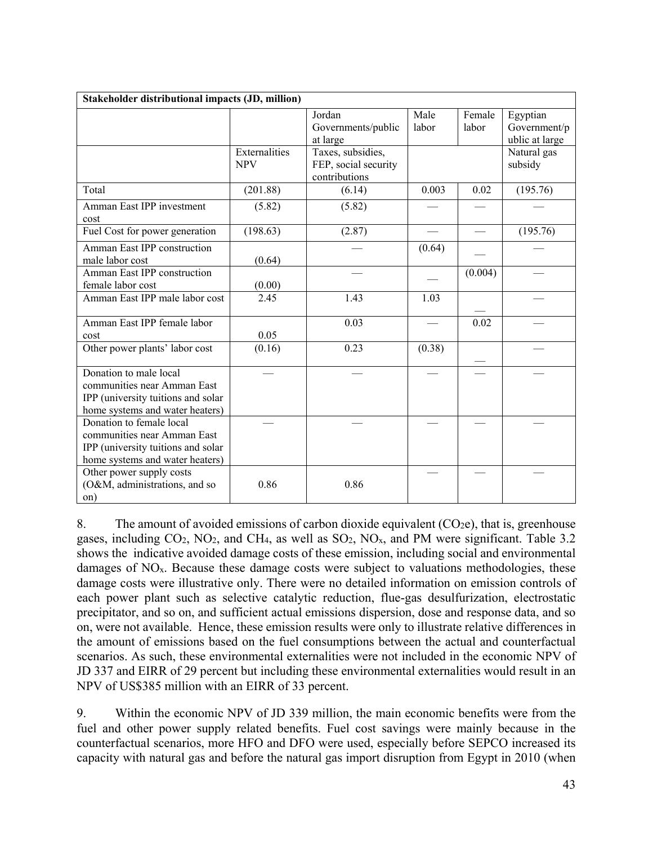| Stakeholder distributional impacts (JD, million)                                                                                 |                             |                                                            |                 |                 |                                            |
|----------------------------------------------------------------------------------------------------------------------------------|-----------------------------|------------------------------------------------------------|-----------------|-----------------|--------------------------------------------|
|                                                                                                                                  |                             | Jordan<br>Governments/public<br>at large                   | Male<br>labor   | Female<br>labor | Egyptian<br>Government/p<br>ublic at large |
|                                                                                                                                  | Externalities<br><b>NPV</b> | Taxes, subsidies,<br>FEP, social security<br>contributions |                 |                 | Natural gas<br>subsidy                     |
| Total                                                                                                                            | (201.88)                    | (6.14)                                                     | 0.003           | 0.02            | (195.76)                                   |
| Amman East IPP investment<br>cost                                                                                                | (5.82)                      | (5.82)                                                     |                 |                 |                                            |
| Fuel Cost for power generation                                                                                                   | (198.63)                    | (2.87)                                                     | $\qquad \qquad$ |                 | (195.76)                                   |
| Amman East IPP construction<br>male labor cost                                                                                   | (0.64)                      |                                                            | (0.64)          |                 |                                            |
| Amman East IPP construction<br>female labor cost                                                                                 | (0.00)                      |                                                            |                 | (0.004)         |                                            |
| Amman East IPP male labor cost                                                                                                   | 2.45                        | 1.43                                                       | 1.03            |                 |                                            |
| Amman East IPP female labor<br>cost                                                                                              | 0.05                        | 0.03                                                       |                 | 0.02            |                                            |
| Other power plants' labor cost                                                                                                   | (0.16)                      | 0.23                                                       | (0.38)          |                 |                                            |
| Donation to male local<br>communities near Amman East<br>IPP (university tuitions and solar<br>home systems and water heaters)   |                             |                                                            |                 |                 |                                            |
| Donation to female local<br>communities near Amman East<br>IPP (university tuitions and solar<br>home systems and water heaters) |                             |                                                            |                 |                 |                                            |
| Other power supply costs<br>(O&M, administrations, and so<br>on)                                                                 | 0.86                        | 0.86                                                       |                 |                 |                                            |

8. The amount of avoided emissions of carbon dioxide equivalent  $(CO<sub>2</sub>e)$ , that is, greenhouse gases, including  $CO_2$ ,  $NO_2$ , and  $CH_4$ , as well as  $SO_2$ ,  $NO_x$ , and PM were significant. Table 3.2 shows the indicative avoided damage costs of these emission, including social and environmental damages of NO<sub>x</sub>. Because these damage costs were subject to valuations methodologies, these damage costs were illustrative only. There were no detailed information on emission controls of each power plant such as selective catalytic reduction, flue-gas desulfurization, electrostatic precipitator, and so on, and sufficient actual emissions dispersion, dose and response data, and so on, were not available. Hence, these emission results were only to illustrate relative differences in the amount of emissions based on the fuel consumptions between the actual and counterfactual scenarios. As such, these environmental externalities were not included in the economic NPV of JD 337 and EIRR of 29 percent but including these environmental externalities would result in an NPV of US\$385 million with an EIRR of 33 percent.

9. Within the economic NPV of JD 339 million, the main economic benefits were from the fuel and other power supply related benefits. Fuel cost savings were mainly because in the counterfactual scenarios, more HFO and DFO were used, especially before SEPCO increased its capacity with natural gas and before the natural gas import disruption from Egypt in 2010 (when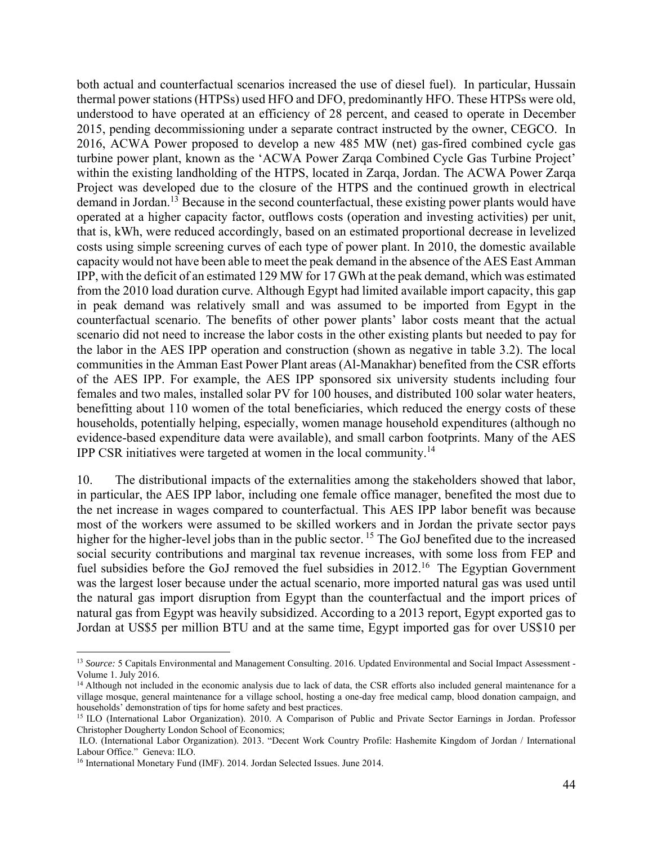both actual and counterfactual scenarios increased the use of diesel fuel). In particular, Hussain thermal power stations (HTPSs) used HFO and DFO, predominantly HFO. These HTPSs were old, understood to have operated at an efficiency of 28 percent, and ceased to operate in December 2015, pending decommissioning under a separate contract instructed by the owner, CEGCO. In 2016, ACWA Power proposed to develop a new 485 MW (net) gas-fired combined cycle gas turbine power plant, known as the 'ACWA Power Zarqa Combined Cycle Gas Turbine Project' within the existing landholding of the HTPS, located in Zarqa, Jordan. The ACWA Power Zarqa Project was developed due to the closure of the HTPS and the continued growth in electrical demand in Jordan.<sup>13</sup> Because in the second counterfactual, these existing power plants would have operated at a higher capacity factor, outflows costs (operation and investing activities) per unit, that is, kWh, were reduced accordingly, based on an estimated proportional decrease in levelized costs using simple screening curves of each type of power plant. In 2010, the domestic available capacity would not have been able to meet the peak demand in the absence of the AES East Amman IPP, with the deficit of an estimated 129 MW for 17 GWh at the peak demand, which was estimated from the 2010 load duration curve. Although Egypt had limited available import capacity, this gap in peak demand was relatively small and was assumed to be imported from Egypt in the counterfactual scenario. The benefits of other power plants' labor costs meant that the actual scenario did not need to increase the labor costs in the other existing plants but needed to pay for the labor in the AES IPP operation and construction (shown as negative in table 3.2). The local communities in the Amman East Power Plant areas (Al-Manakhar) benefited from the CSR efforts of the AES IPP. For example, the AES IPP sponsored six university students including four females and two males, installed solar PV for 100 houses, and distributed 100 solar water heaters, benefitting about 110 women of the total beneficiaries, which reduced the energy costs of these households, potentially helping, especially, women manage household expenditures (although no evidence-based expenditure data were available), and small carbon footprints. Many of the AES IPP CSR initiatives were targeted at women in the local community.14

10. The distributional impacts of the externalities among the stakeholders showed that labor, in particular, the AES IPP labor, including one female office manager, benefited the most due to the net increase in wages compared to counterfactual. This AES IPP labor benefit was because most of the workers were assumed to be skilled workers and in Jordan the private sector pays higher for the higher-level jobs than in the public sector.<sup>15</sup> The GoJ benefited due to the increased social security contributions and marginal tax revenue increases, with some loss from FEP and fuel subsidies before the GoJ removed the fuel subsidies in 2012.<sup>16</sup> The Egyptian Government was the largest loser because under the actual scenario, more imported natural gas was used until the natural gas import disruption from Egypt than the counterfactual and the import prices of natural gas from Egypt was heavily subsidized. According to a 2013 report, Egypt exported gas to Jordan at US\$5 per million BTU and at the same time, Egypt imported gas for over US\$10 per

1

<sup>&</sup>lt;sup>13</sup> Source: 5 Capitals Environmental and Management Consulting. 2016. Updated Environmental and Social Impact Assessment -Volume 1. July 2016.

<sup>&</sup>lt;sup>14</sup> Although not included in the economic analysis due to lack of data, the CSR efforts also included general maintenance for a village mosque, general maintenance for a village school, hosting a one-day free medical camp, blood donation campaign, and households' demonstration of tips for home safety and best practices.<br><sup>15</sup> ILO (International Labor Organization). 2010. A Comparison of Public and Private Sector Earnings in Jordan. Professor

Christopher Dougherty London School of Economics;

ILO. (International Labor Organization). 2013. "Decent Work Country Profile: Hashemite Kingdom of Jordan / International Labour Office." Geneva: ILO.<br><sup>16</sup> International Monetary Fund (IMF). 2014. Jordan Selected Issues. June 2014.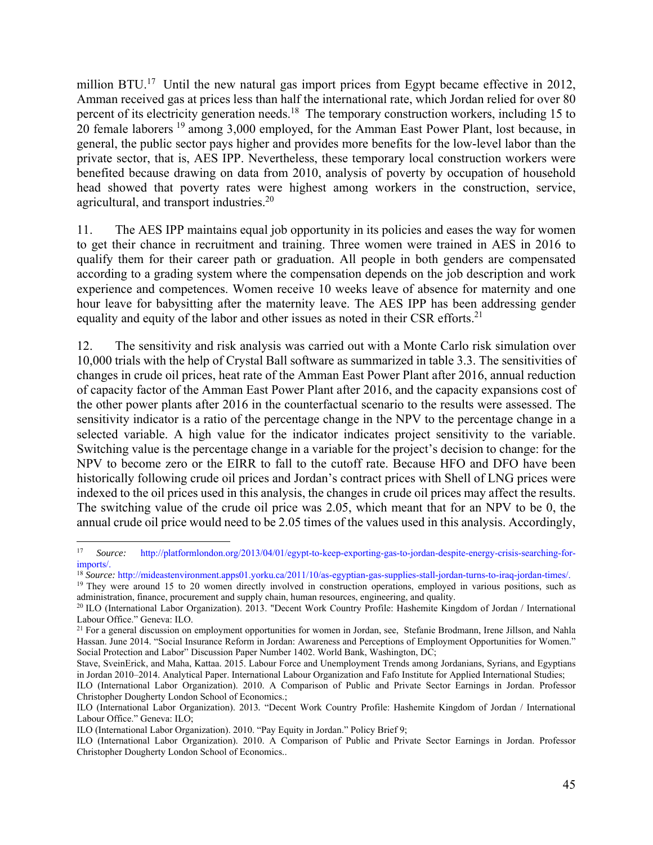million BTU.<sup>17</sup> Until the new natural gas import prices from Egypt became effective in 2012, Amman received gas at prices less than half the international rate, which Jordan relied for over 80 percent of its electricity generation needs.<sup>18</sup> The temporary construction workers, including 15 to 20 female laborers <sup>19</sup> among 3,000 employed, for the Amman East Power Plant, lost because, in general, the public sector pays higher and provides more benefits for the low-level labor than the private sector, that is, AES IPP. Nevertheless, these temporary local construction workers were benefited because drawing on data from 2010, analysis of poverty by occupation of household head showed that poverty rates were highest among workers in the construction, service, agricultural, and transport industries.<sup>20</sup>

11. The AES IPP maintains equal job opportunity in its policies and eases the way for women to get their chance in recruitment and training. Three women were trained in AES in 2016 to qualify them for their career path or graduation. All people in both genders are compensated according to a grading system where the compensation depends on the job description and work experience and competences. Women receive 10 weeks leave of absence for maternity and one hour leave for babysitting after the maternity leave. The AES IPP has been addressing gender equality and equity of the labor and other issues as noted in their CSR efforts.<sup>21</sup>

12. The sensitivity and risk analysis was carried out with a Monte Carlo risk simulation over 10,000 trials with the help of Crystal Ball software as summarized in table 3.3. The sensitivities of changes in crude oil prices, heat rate of the Amman East Power Plant after 2016, annual reduction of capacity factor of the Amman East Power Plant after 2016, and the capacity expansions cost of the other power plants after 2016 in the counterfactual scenario to the results were assessed. The sensitivity indicator is a ratio of the percentage change in the NPV to the percentage change in a selected variable. A high value for the indicator indicates project sensitivity to the variable. Switching value is the percentage change in a variable for the project's decision to change: for the NPV to become zero or the EIRR to fall to the cutoff rate. Because HFO and DFO have been historically following crude oil prices and Jordan's contract prices with Shell of LNG prices were indexed to the oil prices used in this analysis, the changes in crude oil prices may affect the results. The switching value of the crude oil price was 2.05, which meant that for an NPV to be 0, the annual crude oil price would need to be 2.05 times of the values used in this analysis. Accordingly,

<sup>17</sup> <sup>17</sup> *Source:* http://platformlondon.org/2013/04/01/egypt-to-keep-exporting-gas-to-jordan-despite-energy-crisis-searching-forimports/.

<sup>18</sup> *Source:* http://mideastenvironment.apps01.yorku.ca/2011/10/as-egyptian-gas-supplies-stall-jordan-turns-to-iraq-jordan-times/.

<sup>&</sup>lt;sup>19</sup> They were around 15 to 20 women directly involved in construction operations, employed in various positions, such as administration, finance, procurement and supply chain, human resources, engineering, and quality.<br><sup>20</sup> ILO (International Labor Organization). 2013. "Decent Work Country Profile: Hashemite Kingdom of Jordan / International

Labour Office." Geneva: ILO.<br><sup>21</sup> For a general discussion on employment opportunities for women in Jordan, see, Stefanie Brodmann, Irene Jillson, and Nahla

Hassan. June 2014. "Social Insurance Reform in Jordan: Awareness and Perceptions of Employment Opportunities for Women." Social Protection and Labor" Discussion Paper Number 1402. World Bank, Washington, DC;

Stave, SveinErick, and Maha, Kattaa. 2015. Labour Force and Unemployment Trends among Jordanians, Syrians, and Egyptians in Jordan 2010–2014. Analytical Paper. International Labour Organization and Fafo Institute for Applied International Studies;

ILO (International Labor Organization). 2010. A Comparison of Public and Private Sector Earnings in Jordan. Professor Christopher Dougherty London School of Economics.;

ILO (International Labor Organization). 2013*.* "Decent Work Country Profile: Hashemite Kingdom of Jordan / International Labour Office." Geneva: ILO;

ILO (International Labor Organization). 2010. "Pay Equity in Jordan." Policy Brief 9;

ILO (International Labor Organization). 2010. A Comparison of Public and Private Sector Earnings in Jordan. Professor Christopher Dougherty London School of Economics..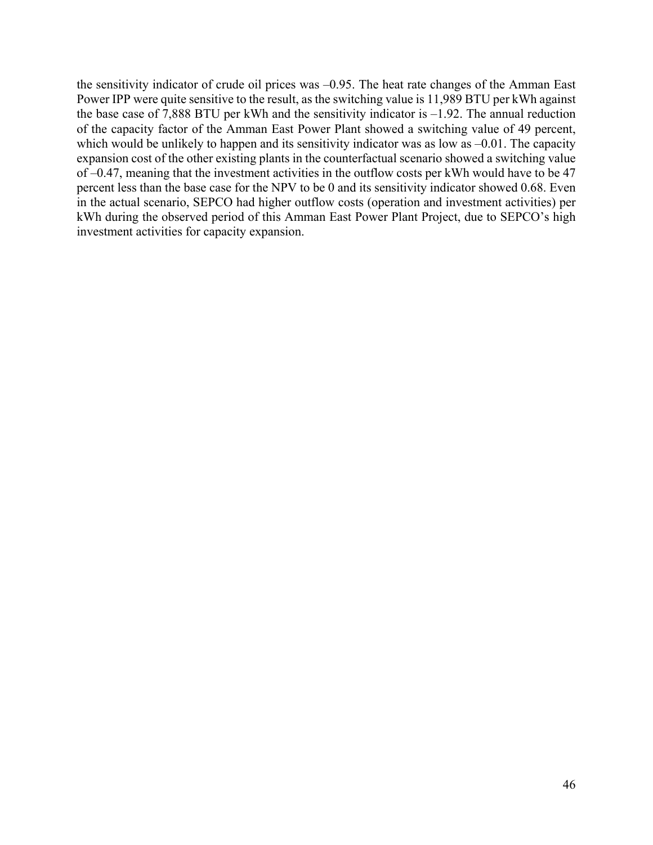the sensitivity indicator of crude oil prices was –0.95. The heat rate changes of the Amman East Power IPP were quite sensitive to the result, as the switching value is 11,989 BTU per kWh against the base case of 7,888 BTU per kWh and the sensitivity indicator is –1.92. The annual reduction of the capacity factor of the Amman East Power Plant showed a switching value of 49 percent, which would be unlikely to happen and its sensitivity indicator was as low as  $-0.01$ . The capacity expansion cost of the other existing plants in the counterfactual scenario showed a switching value of –0.47, meaning that the investment activities in the outflow costs per kWh would have to be 47 percent less than the base case for the NPV to be 0 and its sensitivity indicator showed 0.68. Even in the actual scenario, SEPCO had higher outflow costs (operation and investment activities) per kWh during the observed period of this Amman East Power Plant Project, due to SEPCO's high investment activities for capacity expansion.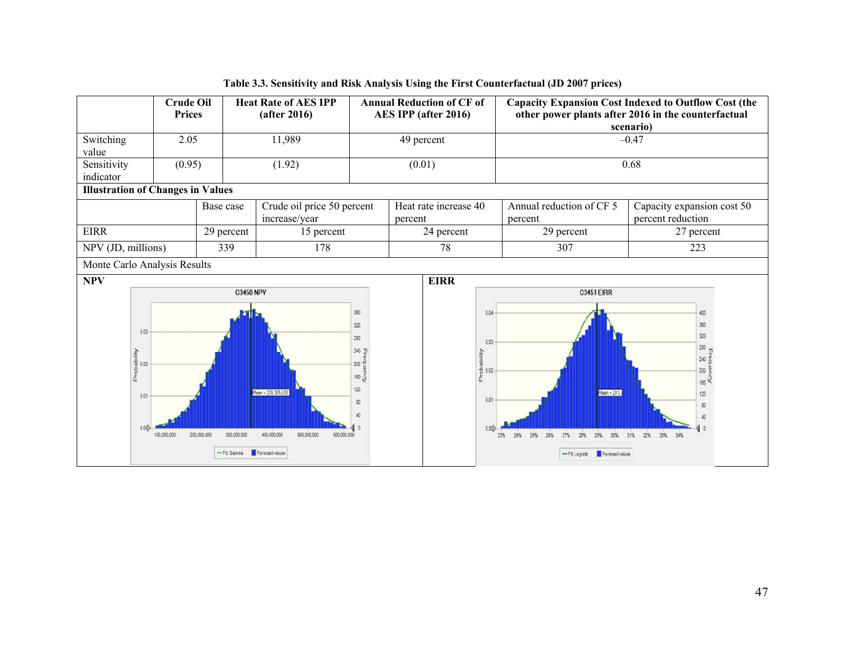|                                                         | <b>Crude Oil</b><br><b>Prices</b> |                  |                                               | <b>Heat Rate of AES IPP</b><br>(after 2016)                                         |                                                           | <b>Annual Reduction of CF of</b><br>AES IPP (after 2016) |                                                  | <b>Capacity Expansion Cost Indexed to Outflow Cost (the</b><br>other power plants after 2016 in the counterfactual<br>scenario) |                                                                                                                  |  |
|---------------------------------------------------------|-----------------------------------|------------------|-----------------------------------------------|-------------------------------------------------------------------------------------|-----------------------------------------------------------|----------------------------------------------------------|--------------------------------------------------|---------------------------------------------------------------------------------------------------------------------------------|------------------------------------------------------------------------------------------------------------------|--|
| Switching<br>value                                      | 2.05                              |                  |                                               | 11,989                                                                              |                                                           | 49 percent                                               |                                                  | $-0.47$                                                                                                                         |                                                                                                                  |  |
| Sensitivity<br>indicator                                |                                   | (0.95)<br>(1.92) |                                               | (0.01)                                                                              |                                                           |                                                          | 0.68                                             |                                                                                                                                 |                                                                                                                  |  |
| <b>Illustration of Changes in Values</b>                |                                   |                  |                                               |                                                                                     |                                                           |                                                          |                                                  |                                                                                                                                 |                                                                                                                  |  |
|                                                         |                                   | Base case        |                                               | Crude oil price 50 percent<br>increase/year                                         |                                                           | Heat rate increase 40<br>percent                         |                                                  | Annual reduction of CF 5<br>percent                                                                                             | Capacity expansion cost 50<br>percent reduction                                                                  |  |
| <b>EIRR</b>                                             |                                   |                  | 29 percent                                    | 15 percent                                                                          |                                                           | 24 percent                                               |                                                  | 29 percent                                                                                                                      | 27 percent                                                                                                       |  |
| NPV (JD, millions)                                      |                                   |                  | 339                                           | 178                                                                                 | 78                                                        |                                                          |                                                  | 307                                                                                                                             | 223                                                                                                              |  |
| Monte Carlo Analysis Results                            |                                   |                  |                                               |                                                                                     |                                                           |                                                          |                                                  |                                                                                                                                 |                                                                                                                  |  |
| <b>NPV</b><br>0.03<br>È<br>Probabl<br>R<br>0.01<br>0.00 | 100,000.000                       | 200.000.000      | <b>C3450 NPV</b><br>300.000.000<br>-Fit Gamma | Mean = 339, 365, 639<br>400,000,000<br>500,000.000<br>600.000.000<br>Forecastvalues | 360<br>320<br>280<br>240 고<br>200 은<br>160 0<br>120<br>80 | <b>EIRR</b>                                              | 0.04<br>0.03<br>Probability<br>8<br>0.01<br>0.00 | <b>C3451 EIRR</b><br>Mean = 29%<br>23%<br>26%<br>26%<br>27%<br>29%<br>30%<br>24%<br>28%<br>-Fit Logistic Forecast values        | 400<br>360<br>320<br>$-280$<br>$240\frac{6}{12}$<br>$200 - 2$<br>$180 - 2$<br>120<br>80<br>31%<br>32%<br>33% 34% |  |

#### **Table 3.3. Sensitivity and Risk Analysis Using the First Counterfactual (JD 2007 prices)**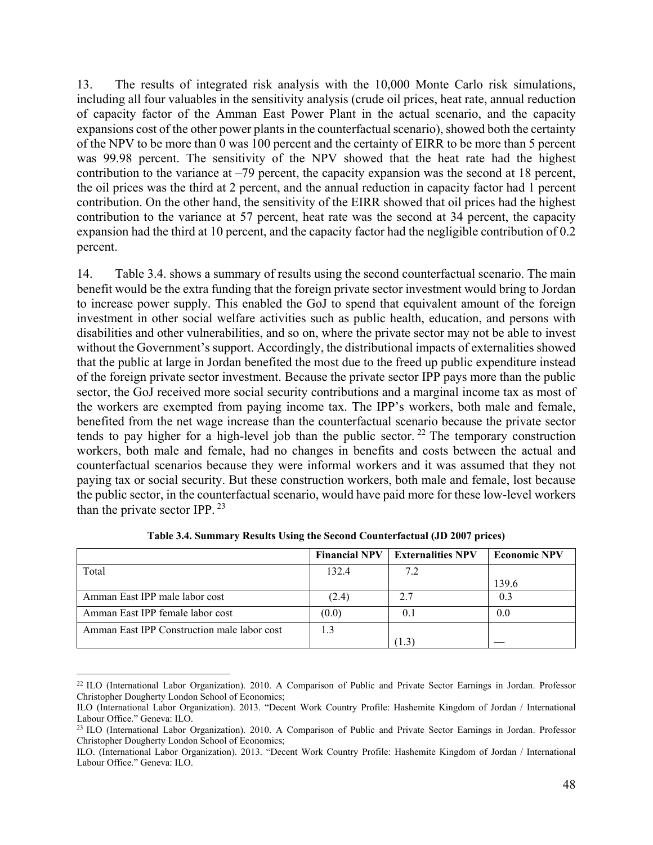13. The results of integrated risk analysis with the 10,000 Monte Carlo risk simulations, including all four valuables in the sensitivity analysis (crude oil prices, heat rate, annual reduction of capacity factor of the Amman East Power Plant in the actual scenario, and the capacity expansions cost of the other power plants in the counterfactual scenario), showed both the certainty of the NPV to be more than 0 was 100 percent and the certainty of EIRR to be more than 5 percent was 99.98 percent. The sensitivity of the NPV showed that the heat rate had the highest contribution to the variance at –79 percent, the capacity expansion was the second at 18 percent, the oil prices was the third at 2 percent, and the annual reduction in capacity factor had 1 percent contribution. On the other hand, the sensitivity of the EIRR showed that oil prices had the highest contribution to the variance at 57 percent, heat rate was the second at 34 percent, the capacity expansion had the third at 10 percent, and the capacity factor had the negligible contribution of 0.2 percent.

14. Table 3.4. shows a summary of results using the second counterfactual scenario. The main benefit would be the extra funding that the foreign private sector investment would bring to Jordan to increase power supply. This enabled the GoJ to spend that equivalent amount of the foreign investment in other social welfare activities such as public health, education, and persons with disabilities and other vulnerabilities, and so on, where the private sector may not be able to invest without the Government's support. Accordingly, the distributional impacts of externalities showed that the public at large in Jordan benefited the most due to the freed up public expenditure instead of the foreign private sector investment. Because the private sector IPP pays more than the public sector, the GoJ received more social security contributions and a marginal income tax as most of the workers are exempted from paying income tax. The IPP's workers, both male and female, benefited from the net wage increase than the counterfactual scenario because the private sector tends to pay higher for a high-level job than the public sector.<sup>22</sup> The temporary construction workers, both male and female, had no changes in benefits and costs between the actual and counterfactual scenarios because they were informal workers and it was assumed that they not paying tax or social security. But these construction workers, both male and female, lost because the public sector, in the counterfactual scenario, would have paid more for these low-level workers than the private sector IPP. 23

|                                             | <b>Financial NPV</b> | <b>Externalities NPV</b> | <b>Economic NPV</b> |
|---------------------------------------------|----------------------|--------------------------|---------------------|
| Total                                       | 132.4                | 7.2                      |                     |
|                                             |                      |                          | 139.6               |
| Amman East IPP male labor cost              | (2.4)                | 2.7                      | 0.3                 |
| Amman East IPP female labor cost            | (0.0)                | 0.1                      | 0.0                 |
| Amman East IPP Construction male labor cost | 1.3                  |                          |                     |
|                                             |                      |                          |                     |

**Table 3.4. Summary Results Using the Second Counterfactual (JD 2007 prices)** 

 $\overline{a}$ 

<sup>22</sup> ILO (International Labor Organization). 2010. A Comparison of Public and Private Sector Earnings in Jordan. Professor Christopher Dougherty London School of Economics;

ILO (International Labor Organization). 2013. "Decent Work Country Profile: Hashemite Kingdom of Jordan / International Labour Office." Geneva: ILO.<br><sup>23</sup> ILO (International Labor Organization). 2010. A Comparison of Public and Private Sector Earnings in Jordan. Professor

Christopher Dougherty London School of Economics;

ILO. (International Labor Organization). 2013. "Decent Work Country Profile: Hashemite Kingdom of Jordan / International Labour Office." Geneva: ILO.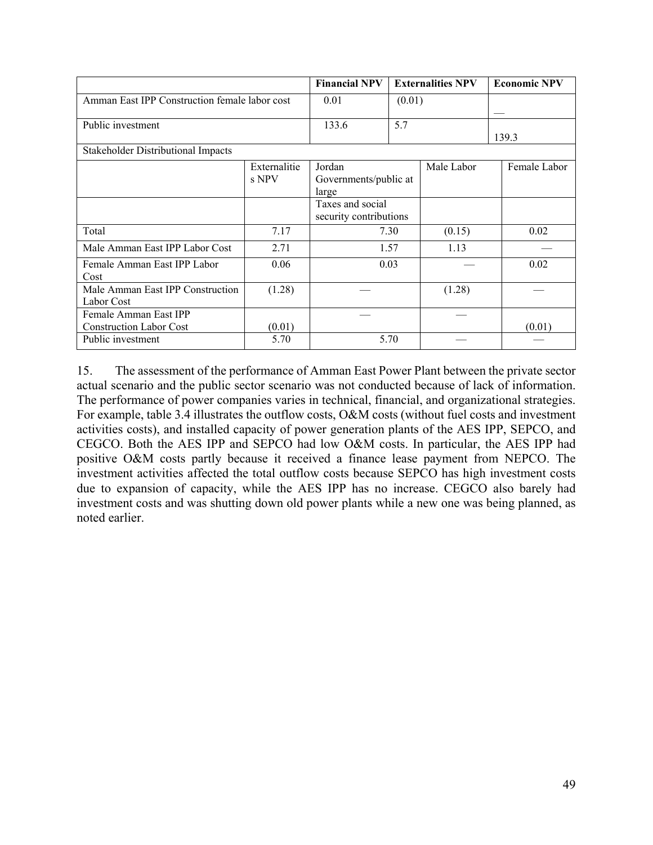|                                                         |                       | <b>Financial NPV</b>                       |        | <b>Externalities NPV</b> |       | <b>Economic NPV</b> |
|---------------------------------------------------------|-----------------------|--------------------------------------------|--------|--------------------------|-------|---------------------|
| Amman East IPP Construction female labor cost           |                       | 0.01                                       | (0.01) |                          |       |                     |
| Public investment                                       |                       | 133.6                                      | 5.7    |                          |       |                     |
| Stakeholder Distributional Impacts                      |                       |                                            |        |                          | 139.3 |                     |
|                                                         | Externalitie<br>s NPV | Jordan<br>Governments/public at<br>large   |        | Male Labor               |       | Female Labor        |
|                                                         |                       | Taxes and social<br>security contributions |        |                          |       |                     |
| Total                                                   | 7.17                  |                                            | 7.30   | (0.15)                   |       | 0.02                |
| Male Amman East IPP Labor Cost                          | 2.71                  |                                            | 1.57   | 1.13                     |       |                     |
| Female Amman East IPP Labor<br>Cost                     | 0.06                  |                                            | 0.03   |                          |       | 0.02                |
| Male Amman East IPP Construction<br>Labor Cost          | (1.28)                |                                            |        | (1.28)                   |       |                     |
| Female Amman East IPP<br><b>Construction Labor Cost</b> | (0.01)                |                                            |        |                          |       | (0.01)              |
| Public investment                                       | 5.70                  |                                            | 5.70   |                          |       |                     |

15. The assessment of the performance of Amman East Power Plant between the private sector actual scenario and the public sector scenario was not conducted because of lack of information. The performance of power companies varies in technical, financial, and organizational strategies. For example, table 3.4 illustrates the outflow costs, O&M costs (without fuel costs and investment activities costs), and installed capacity of power generation plants of the AES IPP, SEPCO, and CEGCO. Both the AES IPP and SEPCO had low O&M costs. In particular, the AES IPP had positive O&M costs partly because it received a finance lease payment from NEPCO. The investment activities affected the total outflow costs because SEPCO has high investment costs due to expansion of capacity, while the AES IPP has no increase. CEGCO also barely had investment costs and was shutting down old power plants while a new one was being planned, as noted earlier.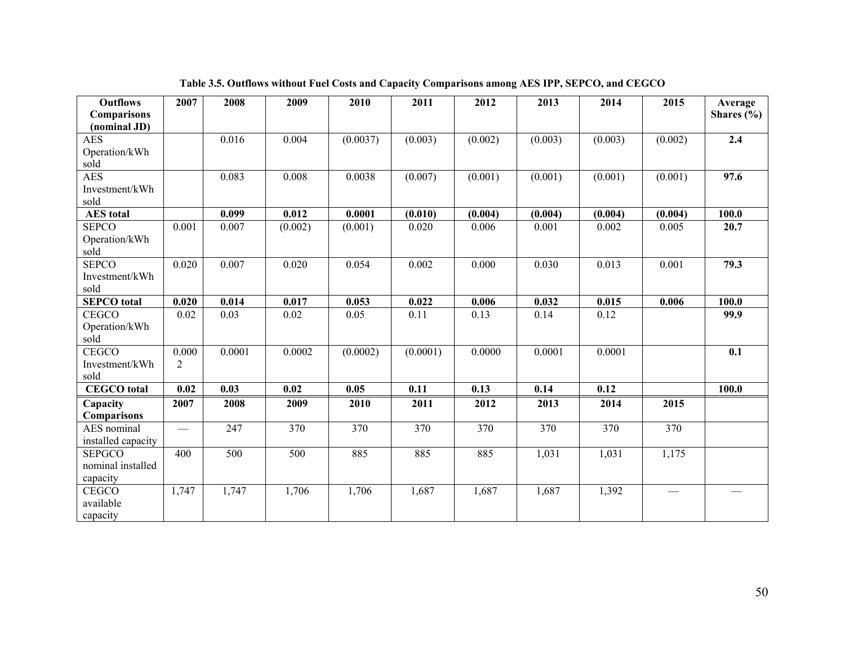| <b>Outflows</b>    | 2007              | 2008   | 2009    | 2010     | 2011     | 2012              | 2013    | 2014    | 2015    | Average        |
|--------------------|-------------------|--------|---------|----------|----------|-------------------|---------|---------|---------|----------------|
| Comparisons        |                   |        |         |          |          |                   |         |         |         | Shares $(\% )$ |
| (nominal JD)       |                   |        |         |          |          |                   |         |         |         |                |
| <b>AES</b>         |                   | 0.016  | 0.004   | (0.0037) | (0.003)  | (0.002)           | (0.003) | (0.003) | (0.002) | 2.4            |
| Operation/kWh      |                   |        |         |          |          |                   |         |         |         |                |
| sold               |                   |        |         |          |          |                   |         |         |         |                |
| <b>AES</b>         |                   | 0.083  | 0.008   | 0.0038   | (0.007)  | (0.001)           | (0.001) | (0.001) | (0.001) | 97.6           |
| Investment/kWh     |                   |        |         |          |          |                   |         |         |         |                |
| sold               |                   |        |         |          |          |                   |         |         |         |                |
| <b>AES</b> total   |                   | 0.099  | 0.012   | 0.0001   | (0.010)  | (0.004)           | (0.004) | (0.004) | (0.004) | 100.0          |
| <b>SEPCO</b>       | 0.001             | 0.007  | (0.002) | (0.001)  | 0.020    | 0.006             | 0.001   | 0.002   | 0.005   | 20.7           |
| Operation/kWh      |                   |        |         |          |          |                   |         |         |         |                |
| sold               |                   |        |         |          |          |                   |         |         |         |                |
| <b>SEPCO</b>       | 0.020             | 0.007  | 0.020   | 0.054    | 0.002    | 0.000             | 0.030   | 0.013   | 0.001   | 79.3           |
| Investment/kWh     |                   |        |         |          |          |                   |         |         |         |                |
| sold               |                   |        |         |          |          |                   |         |         |         |                |
| <b>SEPCO</b> total | 0.020             | 0.014  | 0.017   | 0.053    | 0.022    | 0.006             | 0.032   | 0.015   | 0.006   | 100.0          |
| <b>CEGCO</b>       | 0.02              | 0.03   | 0.02    | 0.05     | 0.11     | 0.13              | 0.14    | 0.12    |         | 99.9           |
| Operation/kWh      |                   |        |         |          |          |                   |         |         |         |                |
| sold               |                   |        |         |          |          |                   |         |         |         |                |
| <b>CEGCO</b>       | 0.000             | 0.0001 | 0.0002  | (0.0002) | (0.0001) | 0.0000            | 0.0001  | 0.0001  |         | 0.1            |
| Investment/kWh     | $\overline{2}$    |        |         |          |          |                   |         |         |         |                |
| sold               |                   |        |         |          |          |                   |         |         |         |                |
| <b>CEGCO</b> total | 0.02              | 0.03   | 0.02    | 0.05     | 0.11     | $\overline{0.13}$ | 0.14    | 0.12    |         | 100.0          |
| Capacity           | 2007              | 2008   | 2009    | 2010     | 2011     | 2012              | 2013    | 2014    | 2015    |                |
| <b>Comparisons</b> |                   |        |         |          |          |                   |         |         |         |                |
| AES nominal        | $\hspace{0.05cm}$ | 247    | 370     | 370      | 370      | 370               | 370     | 370     | 370     |                |
| installed capacity |                   |        |         |          |          |                   |         |         |         |                |
| <b>SEPGCO</b>      | 400               | 500    | 500     | 885      | 885      | 885               | 1,031   | 1,031   | 1,175   |                |
| nominal installed  |                   |        |         |          |          |                   |         |         |         |                |
| capacity           |                   |        |         |          |          |                   |         |         |         |                |
| <b>CEGCO</b>       | 1,747             | 1,747  | 1,706   | 1,706    | 1,687    | 1,687             | 1,687   | 1,392   |         |                |
| available          |                   |        |         |          |          |                   |         |         |         |                |
| capacity           |                   |        |         |          |          |                   |         |         |         |                |

**Table 3.5. Outflows without Fuel Costs and Capacity Comparisons among AES IPP, SEPCO, and CEGCO**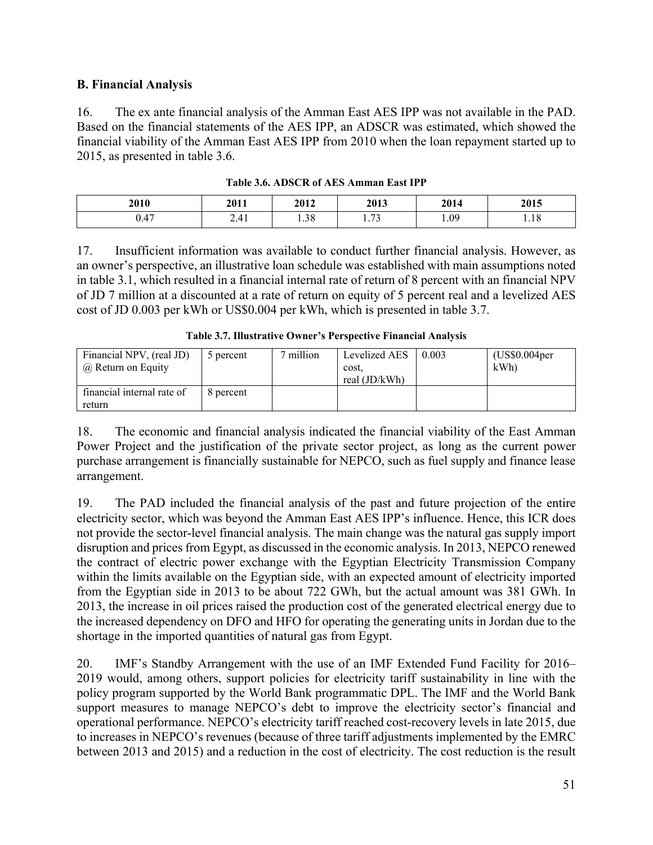#### **B. Financial Analysis**

16. The ex ante financial analysis of the Amman East AES IPP was not available in the PAD. Based on the financial statements of the AES IPP, an ADSCR was estimated, which showed the financial viability of the Amman East AES IPP from 2010 when the loan repayment started up to 2015, as presented in table 3.6.

| 2010 | 2011 | 2012 | 2013                          | 2014 | 2015        |
|------|------|------|-------------------------------|------|-------------|
| 0.47 | 2.41 | 1.38 | $\mathbf{a}$<br>1. <i>1 J</i> | 1.09 | 1 O<br>1.10 |

**Table 3.6. ADSCR of AES Amman East IPP** 

17. Insufficient information was available to conduct further financial analysis. However, as an owner's perspective, an illustrative loan schedule was established with main assumptions noted in table 3.1, which resulted in a financial internal rate of return of 8 percent with an financial NPV of JD 7 million at a discounted at a rate of return on equity of 5 percent real and a levelized AES cost of JD 0.003 per kWh or US\$0.004 per kWh, which is presented in table 3.7.

**Table 3.7. Illustrative Owner's Perspective Financial Analysis** 

| Financial NPV, (real JD)   | 5 percent | ' million | Levelized AES | 0.003 | (US\$0.004 <sub>per</sub> ] |
|----------------------------|-----------|-----------|---------------|-------|-----------------------------|
| @ Return on Equity         |           |           | cost.         |       | kWh                         |
|                            |           |           | real (JD/kWh) |       |                             |
| financial internal rate of | 8 percent |           |               |       |                             |
| return                     |           |           |               |       |                             |

18. The economic and financial analysis indicated the financial viability of the East Amman Power Project and the justification of the private sector project, as long as the current power purchase arrangement is financially sustainable for NEPCO, such as fuel supply and finance lease arrangement.

19. The PAD included the financial analysis of the past and future projection of the entire electricity sector, which was beyond the Amman East AES IPP's influence. Hence, this ICR does not provide the sector-level financial analysis. The main change was the natural gas supply import disruption and prices from Egypt, as discussed in the economic analysis. In 2013, NEPCO renewed the contract of electric power exchange with the Egyptian Electricity Transmission Company within the limits available on the Egyptian side, with an expected amount of electricity imported from the Egyptian side in 2013 to be about 722 GWh, but the actual amount was 381 GWh. In 2013, the increase in oil prices raised the production cost of the generated electrical energy due to the increased dependency on DFO and HFO for operating the generating units in Jordan due to the shortage in the imported quantities of natural gas from Egypt.

20. IMF's Standby Arrangement with the use of an IMF Extended Fund Facility for 2016– 2019 would, among others, support policies for electricity tariff sustainability in line with the policy program supported by the World Bank programmatic DPL. The IMF and the World Bank support measures to manage NEPCO's debt to improve the electricity sector's financial and operational performance. NEPCO's electricity tariff reached cost-recovery levels in late 2015, due to increases in NEPCO's revenues (because of three tariff adjustments implemented by the EMRC between 2013 and 2015) and a reduction in the cost of electricity. The cost reduction is the result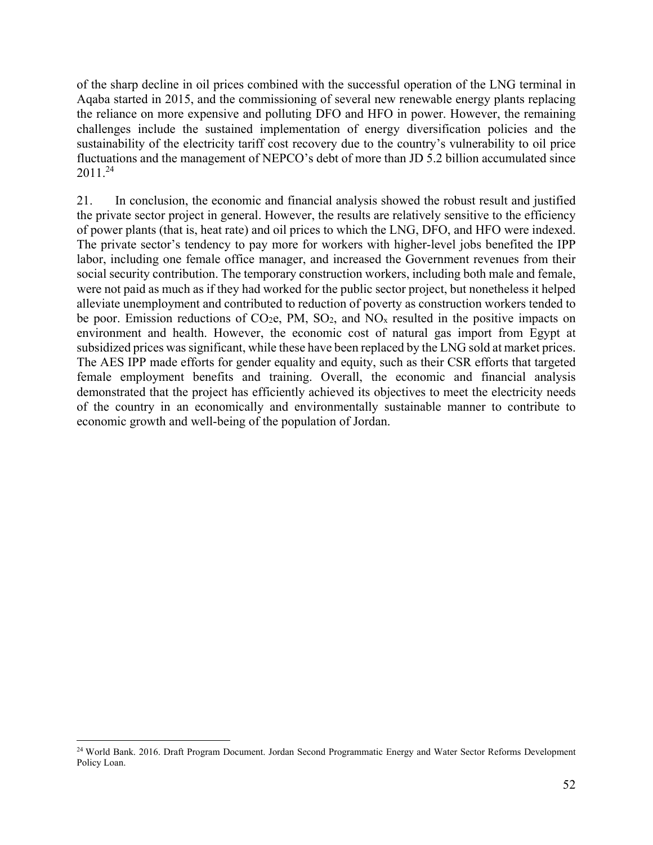of the sharp decline in oil prices combined with the successful operation of the LNG terminal in Aqaba started in 2015, and the commissioning of several new renewable energy plants replacing the reliance on more expensive and polluting DFO and HFO in power. However, the remaining challenges include the sustained implementation of energy diversification policies and the sustainability of the electricity tariff cost recovery due to the country's vulnerability to oil price fluctuations and the management of NEPCO's debt of more than JD 5.2 billion accumulated since 2011.<sup>24</sup>

21. In conclusion, the economic and financial analysis showed the robust result and justified the private sector project in general. However, the results are relatively sensitive to the efficiency of power plants (that is, heat rate) and oil prices to which the LNG, DFO, and HFO were indexed. The private sector's tendency to pay more for workers with higher-level jobs benefited the IPP labor, including one female office manager, and increased the Government revenues from their social security contribution. The temporary construction workers, including both male and female, were not paid as much as if they had worked for the public sector project, but nonetheless it helped alleviate unemployment and contributed to reduction of poverty as construction workers tended to be poor. Emission reductions of CO2e, PM, SO2, and NOx resulted in the positive impacts on environment and health. However, the economic cost of natural gas import from Egypt at subsidized prices was significant, while these have been replaced by the LNG sold at market prices. The AES IPP made efforts for gender equality and equity, such as their CSR efforts that targeted female employment benefits and training. Overall, the economic and financial analysis demonstrated that the project has efficiently achieved its objectives to meet the electricity needs of the country in an economically and environmentally sustainable manner to contribute to economic growth and well-being of the population of Jordan.

 $\overline{a}$ 

<sup>&</sup>lt;sup>24</sup> World Bank. 2016. Draft Program Document. Jordan Second Programmatic Energy and Water Sector Reforms Development Policy Loan.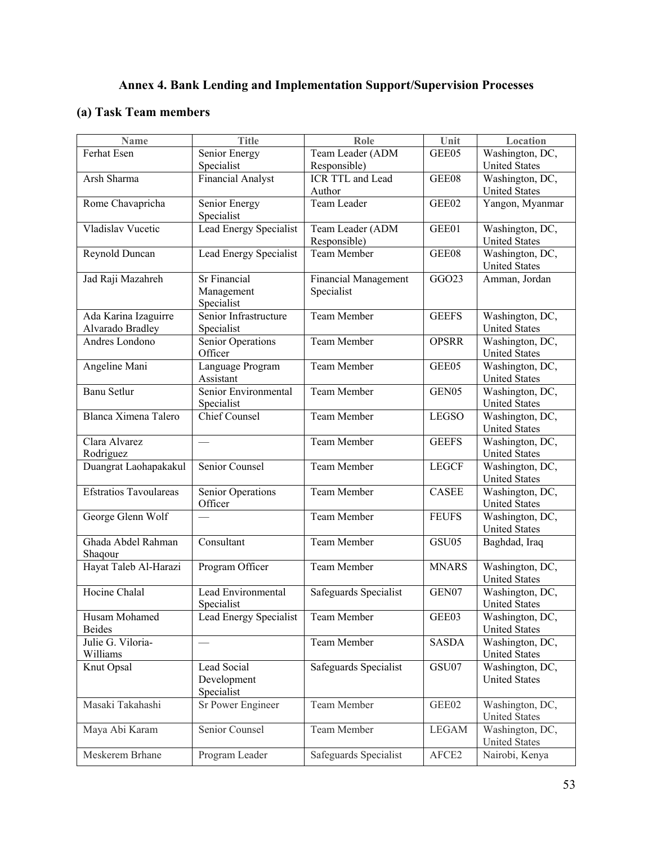# **Annex 4. Bank Lending and Implementation Support/Supervision Processes**

# **(a) Task Team members**

| <b>Name</b>                              | <b>Title</b>                             | Role                                      | Unit              | Location                                |
|------------------------------------------|------------------------------------------|-------------------------------------------|-------------------|-----------------------------------------|
| Ferhat Esen                              | Senior Energy                            | Team Leader (ADM                          | GEE05             | Washington, DC,                         |
|                                          | Specialist                               | Responsible)                              |                   | <b>United States</b>                    |
| Arsh Sharma                              | <b>Financial Analyst</b>                 | ICR TTL and Lead                          | GEE08             | Washington, DC,                         |
|                                          |                                          | Author                                    |                   | <b>United States</b>                    |
| Rome Chavapricha                         | Senior Energy<br>Specialist              | Team Leader                               | GEE02             | Yangon, Myanmar                         |
| Vladislav Vucetic                        | Lead Energy Specialist                   | Team Leader (ADM<br>Responsible)          | GEE01             | Washington, DC,<br><b>United States</b> |
| Reynold Duncan                           | Lead Energy Specialist                   | Team Member                               | GEE08             | Washington, DC,<br><b>United States</b> |
| Jad Raji Mazahreh                        | Sr Financial<br>Management<br>Specialist | <b>Financial Management</b><br>Specialist | GGO <sub>23</sub> | Amman, Jordan                           |
| Ada Karina Izaguirre<br>Alvarado Bradley | Senior Infrastructure<br>Specialist      | Team Member                               | <b>GEEFS</b>      | Washington, DC,<br><b>United States</b> |
| Andres Londono                           | Senior Operations<br>Officer             | Team Member                               | <b>OPSRR</b>      | Washington, DC,<br><b>United States</b> |
| Angeline Mani                            | Language Program<br>Assistant            | Team Member                               | GEE05             | Washington, DC,<br><b>United States</b> |
| Banu Setlur                              | Senior Environmental<br>Specialist       | Team Member                               | GEN05             | Washington, DC,<br><b>United States</b> |
| Blanca Ximena Talero                     | Chief Counsel                            | Team Member                               | <b>LEGSO</b>      | Washington, DC,<br><b>United States</b> |
| Clara Alvarez<br>Rodriguez               |                                          | Team Member                               | <b>GEEFS</b>      | Washington, DC,<br><b>United States</b> |
| Duangrat Laohapakakul                    | Senior Counsel                           | Team Member                               | <b>LEGCF</b>      | Washington, DC,<br><b>United States</b> |
| <b>Efstratios Tavoulareas</b>            | Senior Operations<br>Officer             | Team Member                               | <b>CASEE</b>      | Washington, DC,<br><b>United States</b> |
| George Glenn Wolf                        |                                          | Team Member                               | <b>FEUFS</b>      | Washington, DC,<br><b>United States</b> |
| Ghada Abdel Rahman<br>Shaqour            | Consultant                               | Team Member                               | GSU05             | Baghdad, Iraq                           |
| Hayat Taleb Al-Harazi                    | Program Officer                          | Team Member                               | <b>MNARS</b>      | Washington, DC,<br><b>United States</b> |
| Hocine Chalal                            | Lead Environmental<br>Specialist         | Safeguards Specialist                     | GEN07             | Washington, DC,<br><b>United States</b> |
| Husam Mohamed<br><b>Beides</b>           | Lead Energy Specialist                   | Team Member                               | GEE03             | Washington, DC,<br><b>United States</b> |
| Julie G. Viloria-<br>Williams            |                                          | Team Member                               | <b>SASDA</b>      | Washington, DC,<br><b>United States</b> |
| Knut Opsal                               | Lead Social<br>Development<br>Specialist | Safeguards Specialist                     | GSU07             | Washington, DC,<br><b>United States</b> |
| Masaki Takahashi                         | Sr Power Engineer                        | Team Member                               | GEE02             | Washington, DC,<br><b>United States</b> |
| Maya Abi Karam                           | Senior Counsel                           | Team Member                               | <b>LEGAM</b>      | Washington, DC,<br><b>United States</b> |
| Meskerem Brhane                          | Program Leader                           | Safeguards Specialist                     | AFCE2             | Nairobi, Kenya                          |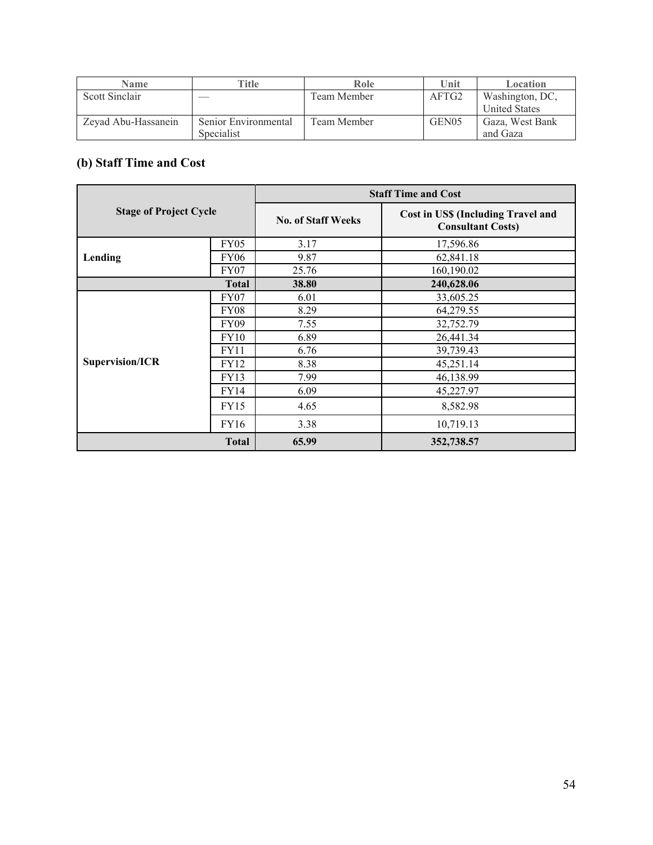| <b>Name</b>         | <b>Title</b>         | Role        | Unit              | Location             |
|---------------------|----------------------|-------------|-------------------|----------------------|
| Scott Sinclair      |                      | Team Member | AFTG2             | Washington, DC,      |
|                     |                      |             |                   | <b>United States</b> |
| Zeyad Abu-Hassanein | Senior Environmental | Team Member | GEN <sub>05</sub> | Gaza, West Bank      |
|                     | Specialist           |             |                   | and Gaza             |

# **(b) Staff Time and Cost**

|                               |                  | <b>Staff Time and Cost</b> |                                                                       |
|-------------------------------|------------------|----------------------------|-----------------------------------------------------------------------|
| <b>Stage of Project Cycle</b> |                  | <b>No. of Staff Weeks</b>  | <b>Cost in US\$ (Including Travel and</b><br><b>Consultant Costs)</b> |
|                               | <b>FY05</b>      | 3.17                       | 17,596.86                                                             |
| Lending                       | <b>FY06</b>      | 9.87                       | 62,841.18                                                             |
|                               | FY07             | 25.76                      | 160,190.02                                                            |
|                               | <b>Total</b>     | 38.80                      | 240,628.06                                                            |
|                               | FY07             | 6.01                       | 33,605.25                                                             |
|                               | FY <sub>08</sub> | 8.29                       | 64,279.55                                                             |
|                               | <b>FY09</b>      | 7.55                       | 32,752.79                                                             |
|                               | FY10             | 6.89                       | 26,441.34                                                             |
|                               | <b>FY11</b>      | 6.76                       | 39,739.43                                                             |
| <b>Supervision/ICR</b>        | FY12             | 8.38                       | 45,251.14                                                             |
|                               | <b>FY13</b>      | 7.99                       | 46,138.99                                                             |
|                               | <b>FY14</b>      | 6.09                       | 45,227.97                                                             |
|                               | <b>FY15</b>      | 4.65                       | 8,582.98                                                              |
|                               | FY16             | 3.38                       | 10,719.13                                                             |
|                               | <b>Total</b>     | 65.99                      | 352,738.57                                                            |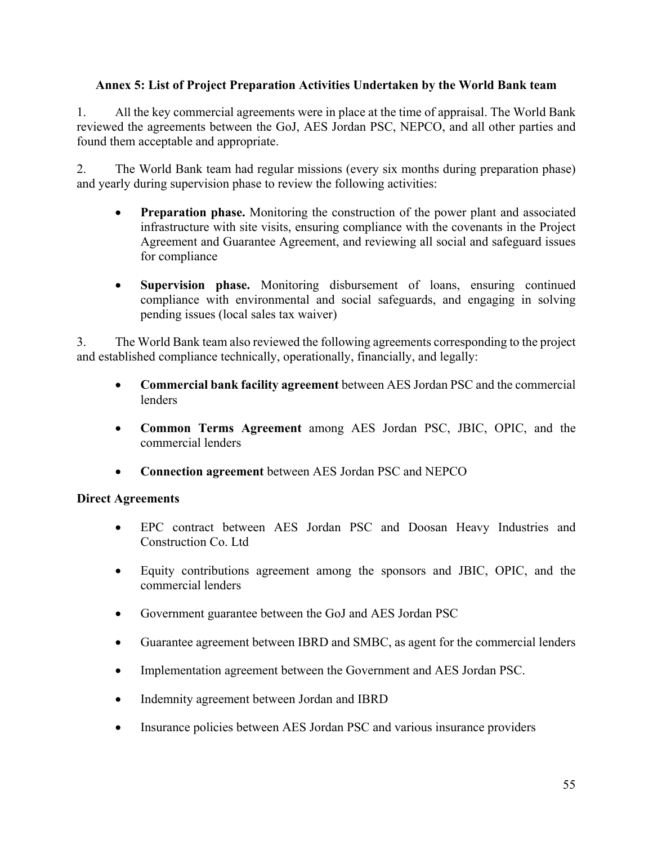#### **Annex 5: List of Project Preparation Activities Undertaken by the World Bank team**

1. All the key commercial agreements were in place at the time of appraisal. The World Bank reviewed the agreements between the GoJ, AES Jordan PSC, NEPCO, and all other parties and found them acceptable and appropriate.

2. The World Bank team had regular missions (every six months during preparation phase) and yearly during supervision phase to review the following activities:

- **Preparation phase.** Monitoring the construction of the power plant and associated infrastructure with site visits, ensuring compliance with the covenants in the Project Agreement and Guarantee Agreement, and reviewing all social and safeguard issues for compliance
- **Supervision phase.** Monitoring disbursement of loans, ensuring continued compliance with environmental and social safeguards, and engaging in solving pending issues (local sales tax waiver)

3. The World Bank team also reviewed the following agreements corresponding to the project and established compliance technically, operationally, financially, and legally:

- **Commercial bank facility agreement** between AES Jordan PSC and the commercial lenders
- **Common Terms Agreement** among AES Jordan PSC, JBIC, OPIC, and the commercial lenders
- **Connection agreement** between AES Jordan PSC and NEPCO

#### **Direct Agreements**

- EPC contract between AES Jordan PSC and Doosan Heavy Industries and Construction Co. Ltd
- Equity contributions agreement among the sponsors and JBIC, OPIC, and the commercial lenders
- Government guarantee between the GoJ and AES Jordan PSC
- Guarantee agreement between IBRD and SMBC, as agent for the commercial lenders
- Implementation agreement between the Government and AES Jordan PSC.
- Indemnity agreement between Jordan and IBRD
- Insurance policies between AES Jordan PSC and various insurance providers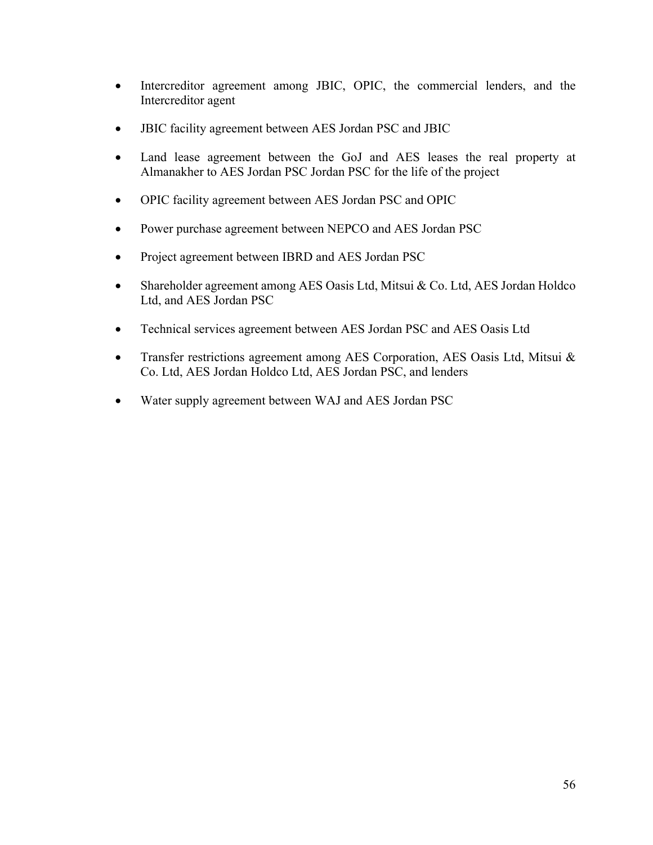- Intercreditor agreement among JBIC, OPIC, the commercial lenders, and the Intercreditor agent
- JBIC facility agreement between AES Jordan PSC and JBIC
- Land lease agreement between the GoJ and AES leases the real property at Almanakher to AES Jordan PSC Jordan PSC for the life of the project
- OPIC facility agreement between AES Jordan PSC and OPIC
- Power purchase agreement between NEPCO and AES Jordan PSC
- Project agreement between IBRD and AES Jordan PSC
- Shareholder agreement among AES Oasis Ltd, Mitsui & Co. Ltd, AES Jordan Holdco Ltd, and AES Jordan PSC
- Technical services agreement between AES Jordan PSC and AES Oasis Ltd
- Transfer restrictions agreement among AES Corporation, AES Oasis Ltd, Mitsui & Co. Ltd, AES Jordan Holdco Ltd, AES Jordan PSC, and lenders
- Water supply agreement between WAJ and AES Jordan PSC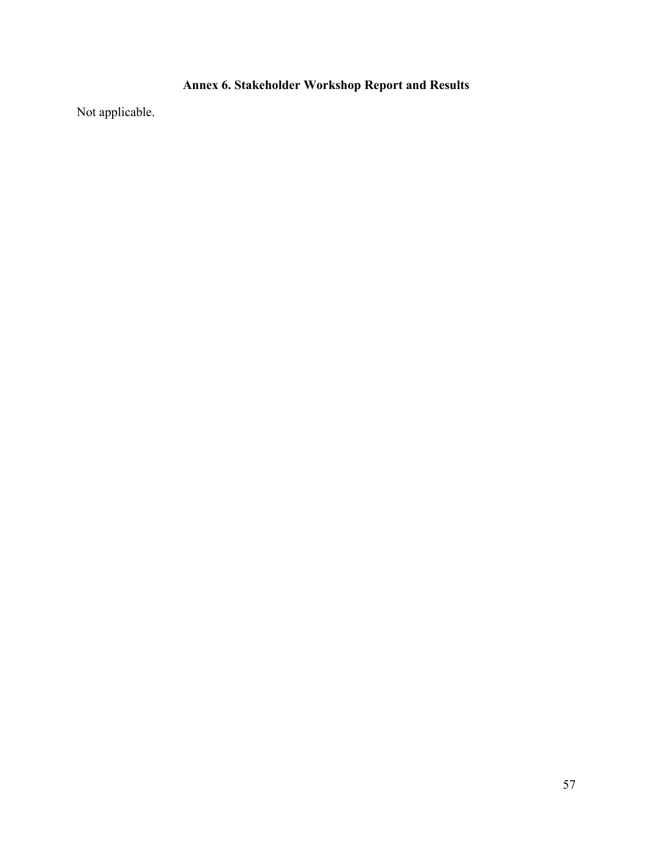# **Annex 6. Stakeholder Workshop Report and Results**

Not applicable.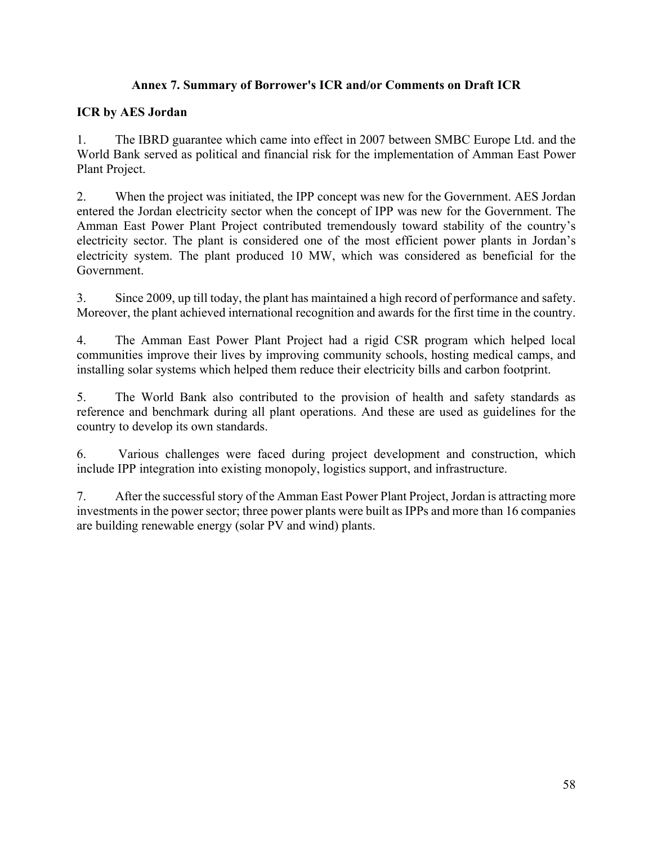#### **Annex 7. Summary of Borrower's ICR and/or Comments on Draft ICR**

### **ICR by AES Jordan**

1. The IBRD guarantee which came into effect in 2007 between SMBC Europe Ltd. and the World Bank served as political and financial risk for the implementation of Amman East Power Plant Project.

2. When the project was initiated, the IPP concept was new for the Government. AES Jordan entered the Jordan electricity sector when the concept of IPP was new for the Government. The Amman East Power Plant Project contributed tremendously toward stability of the country's electricity sector. The plant is considered one of the most efficient power plants in Jordan's electricity system. The plant produced 10 MW, which was considered as beneficial for the Government.

3. Since 2009, up till today, the plant has maintained a high record of performance and safety. Moreover, the plant achieved international recognition and awards for the first time in the country.

4. The Amman East Power Plant Project had a rigid CSR program which helped local communities improve their lives by improving community schools, hosting medical camps, and installing solar systems which helped them reduce their electricity bills and carbon footprint.

5. The World Bank also contributed to the provision of health and safety standards as reference and benchmark during all plant operations. And these are used as guidelines for the country to develop its own standards.

6. Various challenges were faced during project development and construction, which include IPP integration into existing monopoly, logistics support, and infrastructure.

7. After the successful story of the Amman East Power Plant Project, Jordan is attracting more investments in the power sector; three power plants were built as IPPs and more than 16 companies are building renewable energy (solar PV and wind) plants.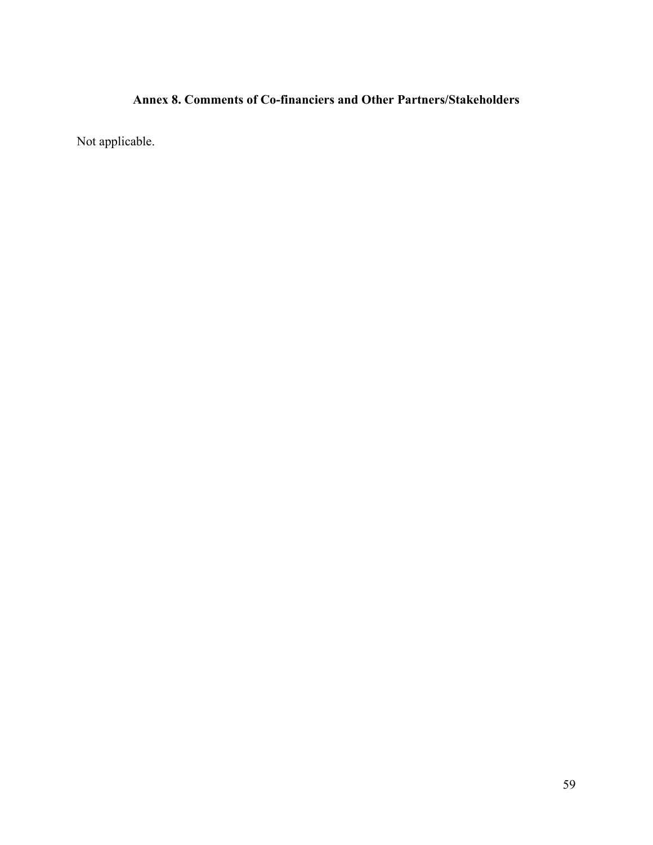# **Annex 8. Comments of Co-financiers and Other Partners/Stakeholders**

Not applicable.